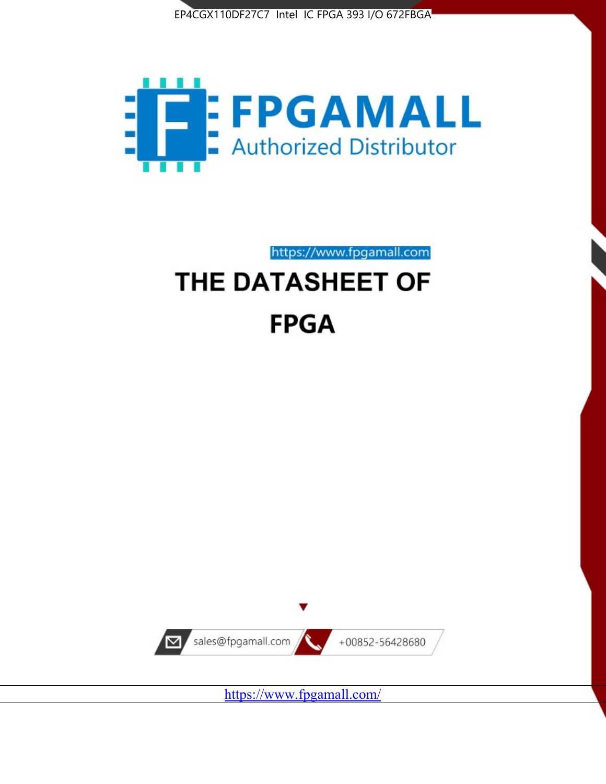



https://www.fpgamall.com

# THE DATASHEET OF **FPGA**



<https://www.fpgamall.com/>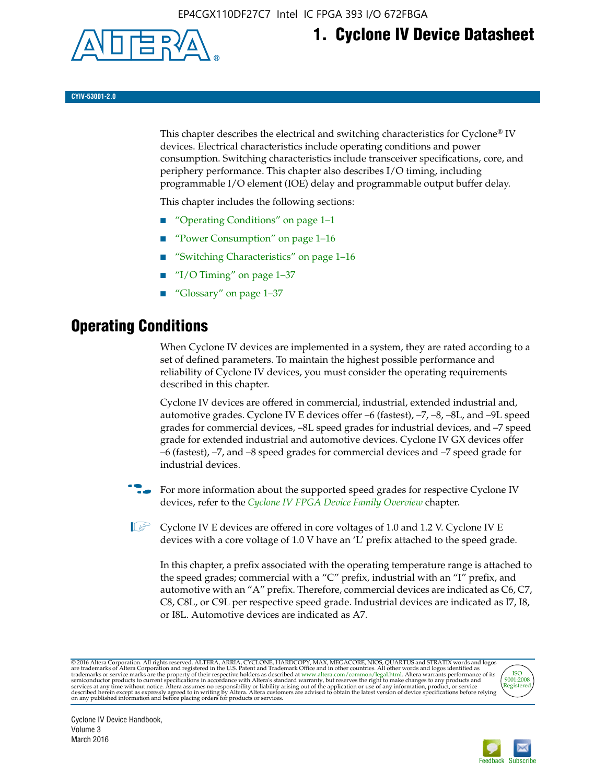

## **1. Cyclone IV Device Datasheet**

**CYIV-53001-2.0**

This chapter describes the electrical and switching characteristics for Cyclone<sup>®</sup> IV devices. Electrical characteristics include operating conditions and power consumption. Switching characteristics include transceiver specifications, core, and periphery performance. This chapter also describes I/O timing, including programmable I/O element (IOE) delay and programmable output buffer delay.

This chapter includes the following sections:

- "Operating Conditions" on page 1–1
- "Power Consumption" on page 1–16
- "Switching Characteristics" on page 1–16
- " $I/O$  Timing" on page  $1-37$
- "Glossary" on page 1–37

## **Operating Conditions**

When Cyclone IV devices are implemented in a system, they are rated according to a set of defined parameters. To maintain the highest possible performance and reliability of Cyclone IV devices, you must consider the operating requirements described in this chapter.

Cyclone IV devices are offered in commercial, industrial, extended industrial and, automotive grades. Cyclone IV E devices offer –6 (fastest), –7, –8, –8L, and –9L speed grades for commercial devices, –8L speed grades for industrial devices, and –7 speed grade for extended industrial and automotive devices. Cyclone IV GX devices offer –6 (fastest), –7, and –8 speed grades for commercial devices and –7 speed grade for industrial devices.

**For more information about the supported speed grades for respective Cyclone IV** devices, refer to the *[Cyclone IV FPGA Device Family Overview](http://www.altera.com/literature/hb/cyclone-iv/cyiv-51001.pdf)* chapter.

**1** Cyclone IV E devices are offered in core voltages of 1.0 and 1.2 V. Cyclone IV E devices with a core voltage of 1.0 V have an 'L' prefix attached to the speed grade.

In this chapter, a prefix associated with the operating temperature range is attached to the speed grades; commercial with a "C" prefix, industrial with an "I" prefix, and automotive with an "A" prefix. Therefore, commercial devices are indicated as C6, C7, C8, C8L, or C9L per respective speed grade. Industrial devices are indicated as I7, I8, or I8L. Automotive devices are indicated as A7.

@2016 Altera Corporation. All rights reserved. ALTERA, ARRIA, CYCLONE, HARDCOPY, MAX, MEGACORE, NIOS, QUARTUS and STRATIX words and logos are trademarks of Altera Corporation and registered in the U.S. Patent and Trademark



Cyclone IV Device Handbook, Volume 3 March 2016

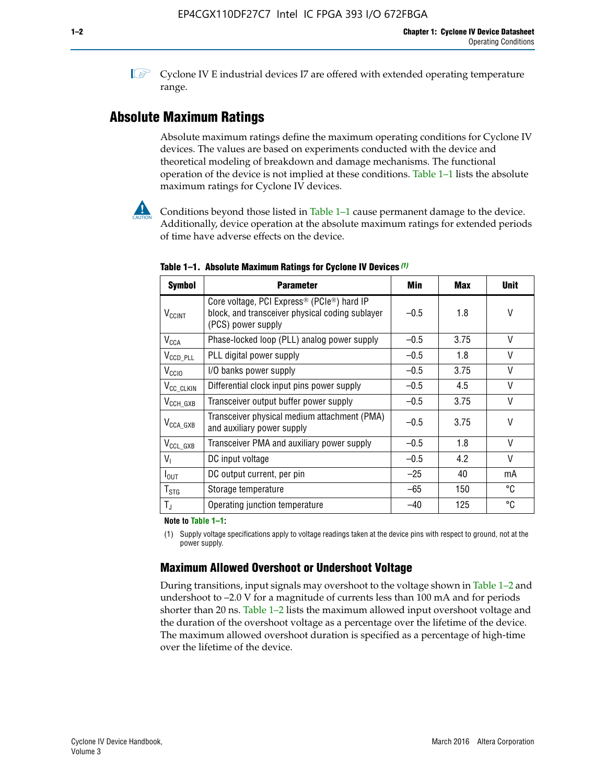$\mathbb{I}$  Cyclone IV E industrial devices I7 are offered with extended operating temperature range.

## **Absolute Maximum Ratings**

Absolute maximum ratings define the maximum operating conditions for Cyclone IV devices. The values are based on experiments conducted with the device and theoretical modeling of breakdown and damage mechanisms. The functional operation of the device is not implied at these conditions. Table 1–1 lists the absolute maximum ratings for Cyclone IV devices.



Conditions beyond those listed in Table  $1-1$  cause permanent damage to the device. Additionally, device operation at the absolute maximum ratings for extended periods of time have adverse effects on the device.

| <b>Symbol</b>            | <b>Parameter</b>                                                                                                                             | Min    | <b>Max</b> | <b>Unit</b> |
|--------------------------|----------------------------------------------------------------------------------------------------------------------------------------------|--------|------------|-------------|
| <b>V<sub>CCINT</sub></b> | Core voltage, PCI Express <sup>®</sup> (PCIe <sup>®</sup> ) hard IP<br>block, and transceiver physical coding sublayer<br>(PCS) power supply | $-0.5$ | 1.8        | V           |
| $V_{CCA}$                | Phase-locked loop (PLL) analog power supply                                                                                                  | $-0.5$ | 3.75       | V           |
| $V_{CCD\_PLL}$           | PLL digital power supply                                                                                                                     | $-0.5$ | 1.8        | V           |
| V <sub>CCIO</sub>        | I/O banks power supply                                                                                                                       | $-0.5$ | 3.75       | V           |
| V <sub>CC_CLKIN</sub>    | Differential clock input pins power supply                                                                                                   | $-0.5$ | 4.5        | V           |
| $V_{\text{CCH_GXB}}$     | Transceiver output buffer power supply                                                                                                       | $-0.5$ | 3.75       | V           |
| $V_{\text{CCA\_GXB}}$    | Transceiver physical medium attachment (PMA)<br>and auxiliary power supply                                                                   | $-0.5$ | 3.75       | V           |
| $V_{CCL_GXB}$            | Transceiver PMA and auxiliary power supply                                                                                                   | $-0.5$ | 1.8        | V           |
| $V_{1}$                  | DC input voltage                                                                                                                             | $-0.5$ | 4.2        | V           |
| $I_{\text{OUT}}$         | DC output current, per pin                                                                                                                   | $-25$  | 40         | mA          |
| $T_{\mathtt{STG}}$       | Storage temperature                                                                                                                          | -65    | 150        | °C          |
| $T_{\rm J}$              | Operating junction temperature                                                                                                               | $-40$  | 125        | °C          |

**Table 1–1. Absolute Maximum Ratings for Cyclone IV Devices** *(1)*

**Note to Table 1–1:**

(1) Supply voltage specifications apply to voltage readings taken at the device pins with respect to ground, not at the power supply.

## **Maximum Allowed Overshoot or Undershoot Voltage**

During transitions, input signals may overshoot to the voltage shown in Table 1–2 and undershoot to –2.0 V for a magnitude of currents less than 100 mA and for periods shorter than 20 ns. Table 1–2 lists the maximum allowed input overshoot voltage and the duration of the overshoot voltage as a percentage over the lifetime of the device. The maximum allowed overshoot duration is specified as a percentage of high-time over the lifetime of the device.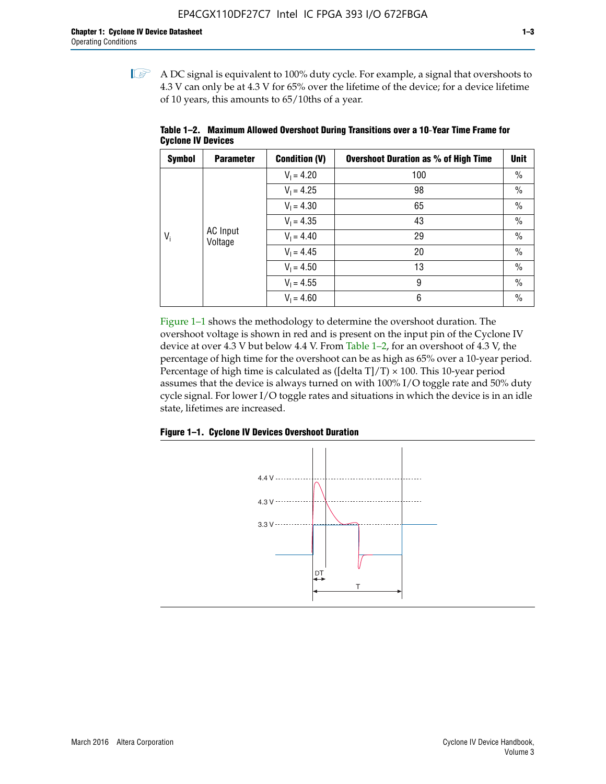$\mathbb{I}$  A DC signal is equivalent to 100% duty cycle. For example, a signal that overshoots to 4.3 V can only be at 4.3 V for 65% over the lifetime of the device; for a device lifetime of 10 years, this amounts to 65/10ths of a year.

| <b>Symbol</b> | <b>Parameter</b>    | <b>Condition (V)</b> | <b>Overshoot Duration as % of High Time</b> | <b>Unit</b>   |
|---------------|---------------------|----------------------|---------------------------------------------|---------------|
|               |                     | $V_1 = 4.20$         | 100                                         | $\%$          |
|               |                     | $V_1 = 4.25$         | 98                                          | $\%$          |
|               | AC Input<br>Voltage | $V_1 = 4.30$         | 65                                          | $\%$          |
|               |                     | $V_1 = 4.35$         | 43                                          | $\%$          |
| $V_i$         |                     | $V_1 = 4.40$         | 29                                          | $\%$          |
|               |                     | $V_1 = 4.45$         | 20                                          | $\%$          |
|               |                     | $V_1 = 4.50$         | 13                                          | $\%$          |
|               |                     | $V_1 = 4.55$         | 9                                           | $\frac{0}{0}$ |
|               |                     | $V_1 = 4.60$         | 6                                           | $\%$          |

**Table 1–2. Maximum Allowed Overshoot During Transitions over a 10**-**Year Time Frame for Cyclone IV Devices**

Figure 1–1 shows the methodology to determine the overshoot duration. The overshoot voltage is shown in red and is present on the input pin of the Cyclone IV device at over 4.3 V but below 4.4 V. From Table 1–2, for an overshoot of 4.3 V, the percentage of high time for the overshoot can be as high as 65% over a 10-year period. Percentage of high time is calculated as ([delta  $T$ ]/T)  $\times$  100. This 10-year period assumes that the device is always turned on with 100% I/O toggle rate and 50% duty cycle signal. For lower I/O toggle rates and situations in which the device is in an idle state, lifetimes are increased.



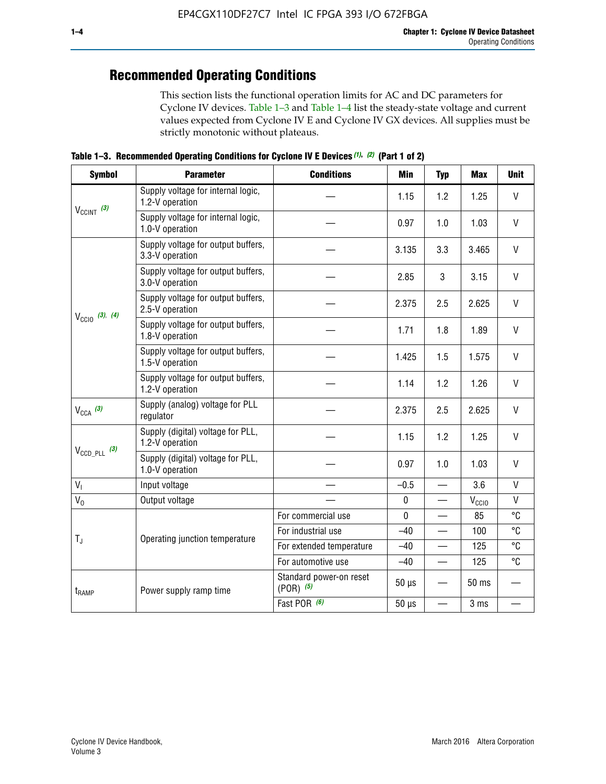## **Recommended Operating Conditions**

This section lists the functional operation limits for AC and DC parameters for Cyclone IV devices. Table 1–3 and Table 1–4 list the steady-state voltage and current values expected from Cyclone IV E and Cyclone IV GX devices. All supplies must be strictly monotonic without plateaus.

**Table 1–3. Recommended Operating Conditions for Cyclone IV E Devices** *(1)***,** *(2)* **(Part 1 of 2)**

| <b>Symbol</b>                                                                                                                  | <b>Parameter</b>                                      | <b>Conditions</b>                        | <b>Min</b>  | <b>Typ</b>               | <b>Max</b>     | <b>Unit</b>  |
|--------------------------------------------------------------------------------------------------------------------------------|-------------------------------------------------------|------------------------------------------|-------------|--------------------------|----------------|--------------|
|                                                                                                                                | Supply voltage for internal logic,<br>1.2-V operation |                                          | 1.15        | 1.2                      | 1.25           | V            |
|                                                                                                                                | Supply voltage for internal logic,<br>1.0-V operation |                                          | 0.97        | 1.0                      | 1.03           | $\mathsf{V}$ |
|                                                                                                                                | Supply voltage for output buffers,<br>3.3-V operation |                                          | 3.135       | 3.3                      | 3.465          | $\vee$       |
| $V_{CClNT}$ (3)<br>$V_{\text{CCIO}}$ (3), (4)<br>$V_{CCA}$ (3)<br>$V_{\text{CCD\_PLL}}$ (3)<br>$V_{I}$<br>$V_0$<br>$T_{\rm J}$ | Supply voltage for output buffers,<br>3.0-V operation |                                          | 2.85        | 3                        | 3.15           | V            |
|                                                                                                                                | Supply voltage for output buffers,<br>2.5-V operation |                                          | 2.375       | 2.5                      | 2.625          | $\vee$       |
|                                                                                                                                | Supply voltage for output buffers,<br>1.8-V operation |                                          | 1.71        | 1.8                      | 1.89           | $\mathsf{V}$ |
|                                                                                                                                | Supply voltage for output buffers,<br>1.5-V operation |                                          | 1.425       | 1.5                      | 1.575          | V            |
|                                                                                                                                | Supply voltage for output buffers,<br>1.2-V operation |                                          | 1.14        | 1.2                      | 1.26           | V            |
|                                                                                                                                | Supply (analog) voltage for PLL<br>regulator          |                                          | 2.375       | 2.5                      | 2.625          | $\vee$       |
| $t_{\rm{RAMP}}$                                                                                                                | Supply (digital) voltage for PLL,<br>1.2-V operation  |                                          | 1.15        | 1.2                      | 1.25           | V            |
|                                                                                                                                | Supply (digital) voltage for PLL,<br>1.0-V operation  |                                          | 0.97        | 1.0                      | 1.03           | $\vee$       |
|                                                                                                                                | Input voltage                                         |                                          | $-0.5$      | $\equiv$                 | 3.6            | $\mathsf{V}$ |
|                                                                                                                                | Output voltage                                        |                                          | $\pmb{0}$   |                          | $V_{\rm CClO}$ | V            |
|                                                                                                                                |                                                       | For commercial use                       | $\mathbf 0$ |                          | 85             | °C           |
|                                                                                                                                | Operating junction temperature                        | For industrial use                       | $-40$       |                          | 100            | °C           |
|                                                                                                                                |                                                       | For extended temperature                 | $-40$       |                          | 125            | °C           |
|                                                                                                                                |                                                       | For automotive use                       | $-40$       | $\qquad \qquad$          | 125            | °C           |
|                                                                                                                                | Power supply ramp time                                | Standard power-on reset<br>$(POR)$ $(5)$ | $50 \mu s$  |                          | 50 ms          |              |
|                                                                                                                                |                                                       | Fast POR (6)                             | $50 \mu s$  | $\overline{\phantom{0}}$ | 3 ms           |              |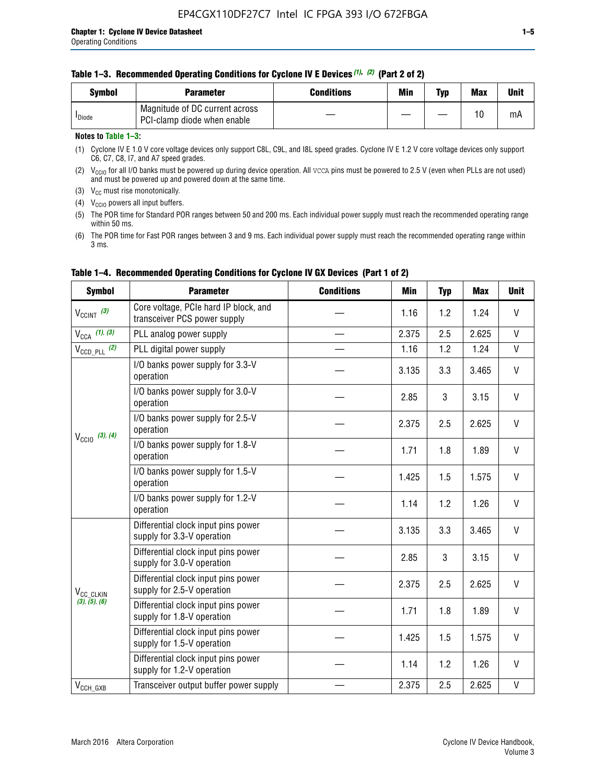#### **Table 1–3. Recommended Operating Conditions for Cyclone IV E Devices** *(1)***,** *(2)* **(Part 2 of 2)**

| Svmbol             | <b>Parameter</b>                                              | <b>Conditions</b> | Min | Typ | <b>Max</b> | Unit |
|--------------------|---------------------------------------------------------------|-------------------|-----|-----|------------|------|
| <sup>I</sup> Diode | Magnitude of DC current across<br>PCI-clamp diode when enable |                   |     |     | 10         | mA   |

#### **Notes to Table 1–3:**

(1) Cyclone IV E 1.0 V core voltage devices only support C8L, C9L, and I8L speed grades. Cyclone IV E 1.2 V core voltage devices only support C6, C7, C8, I7, and A7 speed grades.

(2)  $V_{CCIO}$  for all I/O banks must be powered up during device operation. All vcca pins must be powered to 2.5 V (even when PLLs are not used) and must be powered up and powered down at the same time.

(3)  $V_{CC}$  must rise monotonically.

(4)  $V_{\text{CCIO}}$  powers all input buffers.

(5) The POR time for Standard POR ranges between 50 and 200 ms. Each individual power supply must reach the recommended operating range within 50 ms.

(6) The POR time for Fast POR ranges between 3 and 9 ms. Each individual power supply must reach the recommended operating range within 3 ms.

| <b>Symbol</b>              | <b>Parameter</b>                                                      | <b>Conditions</b> | <b>Min</b> | <b>Typ</b> | <b>Max</b> | <b>Unit</b>                                                                               |  |  |  |  |
|----------------------------|-----------------------------------------------------------------------|-------------------|------------|------------|------------|-------------------------------------------------------------------------------------------|--|--|--|--|
| $V_{\text{CCINT}}$ (3)     | Core voltage, PCIe hard IP block, and<br>transceiver PCS power supply |                   | 1.16       | 1.2        | 1.24       | V                                                                                         |  |  |  |  |
| $V_{\text{CCA}}$ (1), (3)  | PLL analog power supply                                               |                   | 2.375      | 2.5        | 2.625      | V                                                                                         |  |  |  |  |
| $V_{\text{CCD\_PLL}}$ (2)  | PLL digital power supply                                              |                   | 1.16       | 1.2        | 1.24       | V<br>V<br>$\mathsf{V}$<br>V<br>V<br>V<br>V<br>V<br>$\mathsf{V}$<br>$\mathsf{V}$<br>V<br>V |  |  |  |  |
|                            | I/O banks power supply for 3.3-V<br>operation                         |                   | 3.135      | 3.3        | 3.465      |                                                                                           |  |  |  |  |
| $V_{\text{CC10}}$ (3), (4) | I/O banks power supply for 3.0-V<br>operation                         |                   | 2.85       | 3          | 3.15       |                                                                                           |  |  |  |  |
|                            | I/O banks power supply for 2.5-V<br>operation                         |                   | 2.375      | 2.5        | 2.625      |                                                                                           |  |  |  |  |
|                            | I/O banks power supply for 1.8-V<br>operation                         |                   | 1.71       | 1.8        | 1.89       |                                                                                           |  |  |  |  |
|                            | I/O banks power supply for 1.5-V<br>operation                         |                   | 1.425      | 1.5        | 1.575      |                                                                                           |  |  |  |  |
|                            | I/O banks power supply for 1.2-V<br>operation                         |                   | 1.14       | 1.2        | 1.26       |                                                                                           |  |  |  |  |
|                            | Differential clock input pins power<br>supply for 3.3-V operation     |                   | 3.135      | 3.3        | 3.465      |                                                                                           |  |  |  |  |
|                            | Differential clock input pins power<br>supply for 3.0-V operation     |                   | 2.85       | 3          | 3.15       |                                                                                           |  |  |  |  |
| V <sub>CC</sub> CLKIN      | Differential clock input pins power<br>supply for 2.5-V operation     |                   | 2.375      | 2.5        | 2.625      |                                                                                           |  |  |  |  |
| (3), (5), (6)              | Differential clock input pins power<br>supply for 1.8-V operation     |                   | 1.71       | 1.8        | 1.89       |                                                                                           |  |  |  |  |
|                            | Differential clock input pins power<br>supply for 1.5-V operation     |                   | 1.425      | 1.5        | 1.575      |                                                                                           |  |  |  |  |
|                            | Differential clock input pins power<br>supply for 1.2-V operation     |                   | 1.14       | 1.2        | 1.26       | V                                                                                         |  |  |  |  |
| $V_{CCH_GXB}$              | Transceiver output buffer power supply                                |                   | 2.375      | 2.5        | 2.625      | V                                                                                         |  |  |  |  |

#### **Table 1–4. Recommended Operating Conditions for Cyclone IV GX Devices (Part 1 of 2)**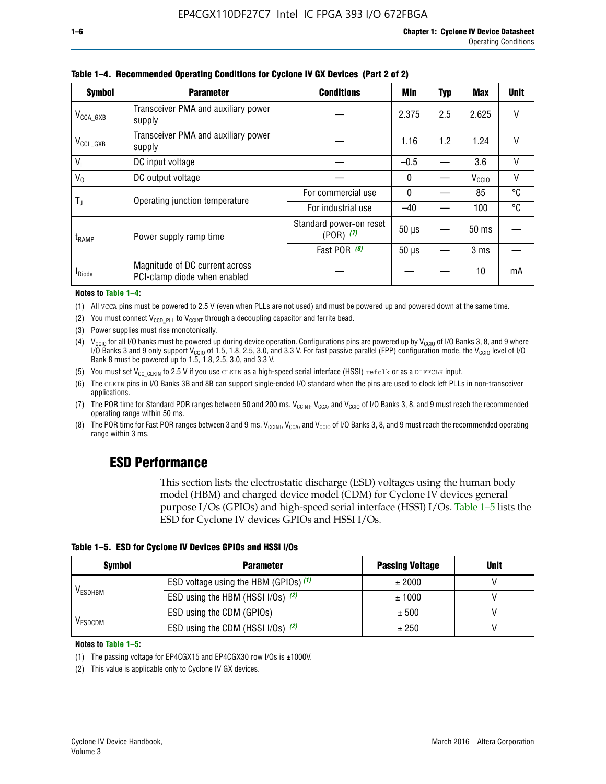| <b>Symbol</b>         | <b>Parameter</b>                                               | <b>Conditions</b>                        | <b>Min</b> | <b>Typ</b> | <b>Max</b>        | <b>Unit</b> |
|-----------------------|----------------------------------------------------------------|------------------------------------------|------------|------------|-------------------|-------------|
| $V_{\text{CCA\_GXB}}$ | Transceiver PMA and auxiliary power<br>supply                  |                                          | 2.375      | 2.5        | 2.625             |             |
| $V_{CCL_GXB}$         | Transceiver PMA and auxiliary power<br>supply                  |                                          | 1.16       | 1.2        | 1.24              | V           |
| $V_{1}$               | DC input voltage                                               |                                          | $-0.5$     |            | 3.6               | $\vee$      |
| $V_0$                 | DC output voltage                                              |                                          | 0          |            | V <sub>CCIO</sub> | V           |
|                       | Operating junction temperature                                 | For commercial use                       | 0          |            | 85                | °C          |
| T,                    |                                                                | For industrial use                       | $-40$      |            | 100               | °C          |
| $t_{\rm{RAMP}}$       | Power supply ramp time                                         | Standard power-on reset<br>$(POR)$ $(7)$ | $50 \mu s$ |            | 50 ms             |             |
|                       |                                                                | Fast POR (8)                             | $50 \mu s$ |            | 3 <sub>ms</sub>   |             |
| <b>I</b> Diode        | Magnitude of DC current across<br>PCI-clamp diode when enabled |                                          |            |            | 10                | mA          |

**Table 1–4. Recommended Operating Conditions for Cyclone IV GX Devices (Part 2 of 2)**

#### **Notes to Table 1–4:**

- (1) All VCCA pins must be powered to 2.5 V (even when PLLs are not used) and must be powered up and powered down at the same time.
- (2) You must connect  $V_{CCD-PLL}$  to  $V_{CCINT}$  through a decoupling capacitor and ferrite bead.
- (3) Power supplies must rise monotonically.
- (4)  $V_{\text{CCIO}}$  for all I/O banks must be powered up during device operation. Configurations pins are powered up by V<sub>CCIO</sub> of I/O Banks 3, 8, and 9 where I/O Banks 3 and 9 only support V<sub>CCIO</sub> of 1.5, 1.8, 2.5, 3.0, and 3.3 V. For fast passive parallel (FPP) configuration mode, the V<sub>CCIO</sub> level of I/O<br>Bank 8 must be powered up to 1.5, 1.8, 2.5, 3.0, and 3.3 V.
- (5) You must set  $V_{CC_CCLKIN}$  to 2.5 V if you use CLKIN as a high-speed serial interface (HSSI) refclk or as a DIFFCLK input.
- (6) The CLKIN pins in I/O Banks 3B and 8B can support single-ended I/O standard when the pins are used to clock left PLLs in non-transceiver applications.
- (7) The POR time for Standard POR ranges between 50 and 200 ms.  $V_{\text{CCIA}}$ ,  $V_{\text{CCIA}}$ , and  $V_{\text{CCIO}}$  of I/O Banks 3, 8, and 9 must reach the recommended operating range within 50 ms.
- (8) The POR time for Fast POR ranges between 3 and 9 ms.  $V_{\text{CCH},T}$ ,  $V_{\text{CCA}}$ , and  $V_{\text{CCI}}$  of I/O Banks 3, 8, and 9 must reach the recommended operating range within 3 ms.

## **ESD Performance**

This section lists the electrostatic discharge (ESD) voltages using the human body model (HBM) and charged device model (CDM) for Cyclone IV devices general purpose I/Os (GPIOs) and high-speed serial interface (HSSI) I/Os. Table 1–5 lists the ESD for Cyclone IV devices GPIOs and HSSI I/Os.

|  |  |  |  | Table 1–5. ESD for Cyclone IV Devices GPIOs and HSSI I/Os |  |
|--|--|--|--|-----------------------------------------------------------|--|
|--|--|--|--|-----------------------------------------------------------|--|

| <b>Symbol</b>  | <b>Parameter</b>                      | <b>Passing Voltage</b> | <b>Unit</b> |
|----------------|---------------------------------------|------------------------|-------------|
|                | ESD voltage using the HBM (GPIOs) (1) | ± 2000                 |             |
| <b>VESDHBM</b> | ESD using the HBM (HSSI I/Os) (2)     | ± 1000                 |             |
|                | ESD using the CDM (GPIOs)             | ± 500                  |             |
| <b>VESDCDM</b> | ESD using the CDM (HSSI I/Os) (2)     | ± 250                  |             |

#### **Notes to Table 1–5:**

(1) The passing voltage for EP4CGX15 and EP4CGX30 row I/Os is ±1000V.

(2) This value is applicable only to Cyclone IV GX devices.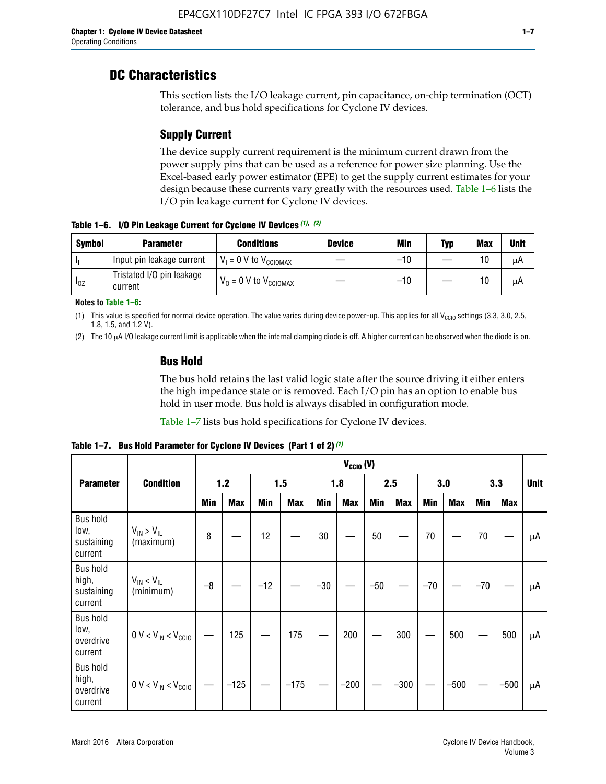## **DC Characteristics**

This section lists the I/O leakage current, pin capacitance, on-chip termination (OCT) tolerance, and bus hold specifications for Cyclone IV devices.

## **Supply Current**

The device supply current requirement is the minimum current drawn from the power supply pins that can be used as a reference for power size planning. Use the Excel-based early power estimator (EPE) to get the supply current estimates for your design because these currents vary greatly with the resources used. Table 1–6 lists the I/O pin leakage current for Cyclone IV devices.

**Table 1–6. I/O Pin Leakage Current for Cyclone IV Devices** *(1)***,** *(2)*

| <b>Symbol</b> | <b>Parameter</b>                     | <b>Conditions</b>                   | <b>Device</b> | Min   | Typ | <b>Max</b> | <b>Unit</b> |
|---------------|--------------------------------------|-------------------------------------|---------------|-------|-----|------------|-------------|
| -lı           | Input pin leakage current            | $V_1 = 0$ V to $V_{\text{CCIOMAX}}$ |               | $-10$ |     | 10         | μA          |
| $I_{0Z}$      | Tristated I/O pin leakage<br>current | $V_0 = 0$ V to $V_{\text{CCIOMAX}}$ |               | $-10$ |     | 10         | μA          |

**Notes to Table 1–6:**

(1) This value is specified for normal device operation. The value varies during device power-up. This applies for all V<sub>CCIO</sub> settings (3.3, 3.0, 2.5, 1.8, 1.5, and 1.2 V).

(2) The 10 µA I/O leakage current limit is applicable when the internal clamping diode is off. A higher current can be observed when the diode is on.

### **Bus Hold**

The bus hold retains the last valid logic state after the source driving it either enters the high impedance state or is removed. Each I/O pin has an option to enable bus hold in user mode. Bus hold is always disabled in configuration mode.

Table 1–7 lists bus hold specifications for Cyclone IV devices.

|                                                   |                                  |            | $V_{CClO}$ (V) |       |            |       |            |            |            |       |            |       |            |             |
|---------------------------------------------------|----------------------------------|------------|----------------|-------|------------|-------|------------|------------|------------|-------|------------|-------|------------|-------------|
| <b>Parameter</b>                                  | <b>Condition</b>                 | 1.2        |                | 1.5   |            | 1.8   |            | 2.5        |            | 3.0   |            | 3.3   |            | <b>Unit</b> |
|                                                   |                                  | <b>Min</b> | <b>Max</b>     | Min   | <b>Max</b> | Min   | <b>Max</b> | <b>Min</b> | <b>Max</b> | Min   | <b>Max</b> | Min   | <b>Max</b> |             |
| <b>Bus hold</b><br>low,<br>sustaining<br>current  | $V_{IN}$ > $V_{IL}$<br>(maximum) | 8          |                | 12    |            | 30    |            | 50         |            | 70    |            | 70    |            | μA          |
| <b>Bus hold</b><br>high,<br>sustaining<br>current | $V_{IN}$ < $V_{IL}$<br>(minimum) | $-8$       |                | $-12$ |            | $-30$ |            | $-50$      |            | $-70$ |            | $-70$ |            | μA          |
| <b>Bus hold</b><br>low,<br>overdrive<br>current   | $0 V < V_{IN} < V_{CG10}$        |            | 125            |       | 175        |       | 200        |            | 300        |       | 500        |       | 500        | μA          |
| <b>Bus hold</b><br>high,<br>overdrive<br>current  | $0 V < V_{IN} < V_{CC10}$        |            | $-125$         |       | $-175$     |       | $-200$     |            | $-300$     |       | $-500$     |       | $-500$     | μA          |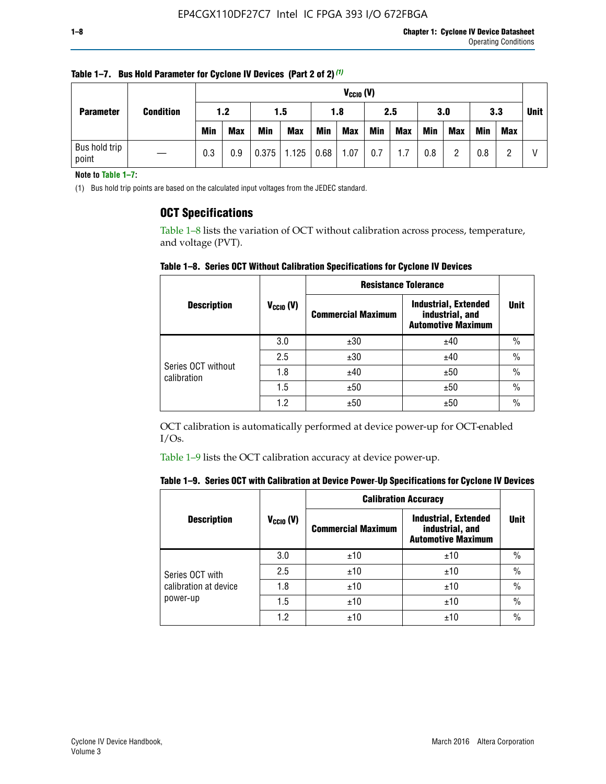| <b>Parameter</b>       |                  |            | $V_{CClO}$ (V) |            |                        |     |            |            |     |     |            |            |     |  |
|------------------------|------------------|------------|----------------|------------|------------------------|-----|------------|------------|-----|-----|------------|------------|-----|--|
|                        | <b>Condition</b> | 1.2        |                |            | 1.5                    |     | 1.8        |            | 2.5 |     | 3.0        |            | 3.3 |  |
|                        |                  | <b>Min</b> | <b>Max</b>     | <b>Min</b> | <b>Max</b>             | Min | <b>Max</b> | <b>Min</b> | Max | Min | <b>Max</b> | <b>Min</b> | Max |  |
| Bus hold trip<br>point |                  | 0.3        | 0.9            |            | $0.375$   1.125   0.68 |     | 1.07       | 0.7        | 1.7 | 0.8 | n          | 0.8        |     |  |

**Table 1–7. Bus Hold Parameter for Cyclone IV Devices (Part 2 of 2)** *(1)*

**Note to Table 1–7:**

(1) Bus hold trip points are based on the calculated input voltages from the JEDEC standard.

### **OCT Specifications**

Table 1–8 lists the variation of OCT without calibration across process, temperature, and voltage (PVT).

**Table 1–8. Series OCT Without Calibration Specifications for Cyclone IV Devices**

|                                   |                      | <b>Resistance Tolerance</b> |                                                                             |               |
|-----------------------------------|----------------------|-----------------------------|-----------------------------------------------------------------------------|---------------|
| <b>Description</b>                | $V_{\text{CCIO}}(V)$ | <b>Commercial Maximum</b>   | <b>Industrial, Extended</b><br>industrial, and<br><b>Automotive Maximum</b> | <b>Unit</b>   |
|                                   | 3.0                  | ±30                         | ±40                                                                         | $\frac{0}{0}$ |
|                                   | 2.5                  | ±30                         | ±40                                                                         | $\frac{0}{0}$ |
| Series OCT without<br>calibration | 1.8                  | ±40                         | ±50                                                                         | $\frac{0}{0}$ |
|                                   | 1.5                  | ±50                         | ±50                                                                         | $\frac{0}{0}$ |
|                                   | 1.2                  | ±50                         | ±50                                                                         | $\frac{0}{0}$ |

OCT calibration is automatically performed at device power-up for OCT-enabled  $I/Os.$ 

Table 1–9 lists the OCT calibration accuracy at device power-up.

|  | Table 1–9.  Series OCT with Calibration at Device Power-Up Specifications for Cyclone IV Devices |  |  |  |
|--|--------------------------------------------------------------------------------------------------|--|--|--|
|--|--------------------------------------------------------------------------------------------------|--|--|--|

|                       |                | <b>Calibration Accuracy</b> |                                                                             |               |
|-----------------------|----------------|-----------------------------|-----------------------------------------------------------------------------|---------------|
| <b>Description</b>    | $V_{CGI0} (V)$ | <b>Commercial Maximum</b>   | <b>Industrial, Extended</b><br>industrial, and<br><b>Automotive Maximum</b> | Unit          |
|                       | 3.0            | ±10                         | ±10                                                                         | $\%$          |
| Series OCT with       | 2.5            | ±10                         | ±10                                                                         | $\frac{0}{0}$ |
| calibration at device | 1.8            | ±10                         | ±10                                                                         | $\frac{0}{0}$ |
| power-up              | 1.5            | ±10                         | ±10                                                                         | $\frac{0}{0}$ |
|                       | 1.2            | ±10                         | ±10                                                                         | $\frac{0}{0}$ |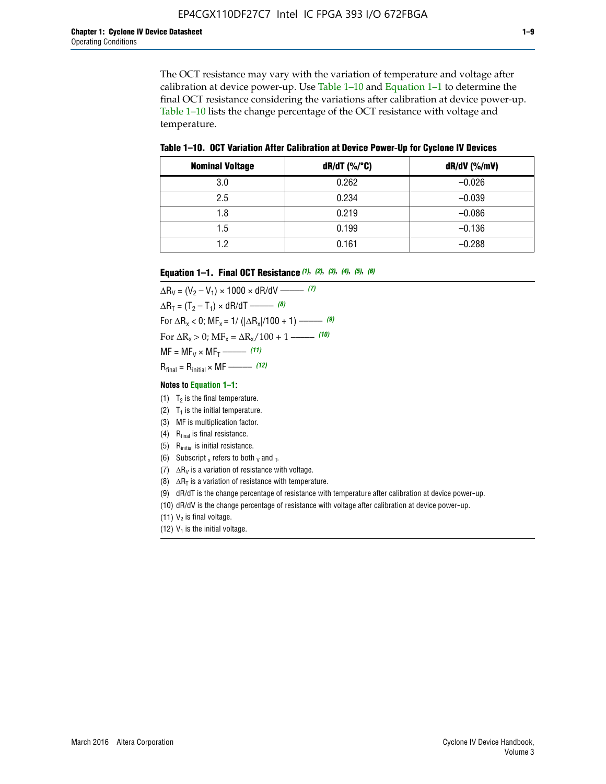The OCT resistance may vary with the variation of temperature and voltage after calibration at device power-up. Use Table 1–10 and Equation 1–1 to determine the final OCT resistance considering the variations after calibration at device power-up. Table 1–10 lists the change percentage of the OCT resistance with voltage and temperature.

**Table 1–10. OCT Variation After Calibration at Device Power**-**Up for Cyclone IV Devices**

| <b>Nominal Voltage</b> | $dR/dT$ (%/°C) | $dR/dV$ (%/mV) |
|------------------------|----------------|----------------|
| 3.0                    | 0.262          | $-0.026$       |
| 2.5                    | 0.234          | $-0.039$       |
| 1.8                    | 0.219          | $-0.086$       |
| 1.5                    | 0.199          | $-0.136$       |
| 1.2                    | 0.161          | $-0.288$       |

#### **Equation 1–1. Final OCT Resistance** *(1)***,** *(2)***,** *(3)***,** *(4)***,** *(5)***,** *(6)*

 $\Delta R_V = (V_2 - V_1) \times 1000 \times dR/dV$  ––––––––––––(7)  $\Delta R_T = (T_2 - T_1) \times dR/dT$  ––––––– (8) For  $\Delta R_x < 0$ ; MF<sub>x</sub> = 1/ ( $|\Delta R_x|/100 + 1$ ) –––––– (9) For  $\Delta R_x > 0$ ;  $\text{MF}_x = \Delta R_x / 100 + 1$  ——– (10)  $MF = MF_V \times MF_T$  –––––––––––(11) Rfinal = Rinitial × MF ––––– *(12)*

#### **Notes to Equation 1–1:**

- (1)  $T_2$  is the final temperature.
- (2)  $T_1$  is the initial temperature.
- (3) MF is multiplication factor.
- (4)  $R<sub>final</sub>$  is final resistance.
- (5) Rinitial is initial resistance.
- (6) Subscript x refers to both  $\sqrt{v}$  and  $\sqrt{v}$ .
- (7)  $\Delta R_V$  is a variation of resistance with voltage.
- (8)  $\Delta R_T$  is a variation of resistance with temperature.
- (9) dR/dT is the change percentage of resistance with temperature after calibration at device power-up.
- (10) dR/dV is the change percentage of resistance with voltage after calibration at device power-up.
- (11)  $V_2$  is final voltage.
- (12)  $V_1$  is the initial voltage.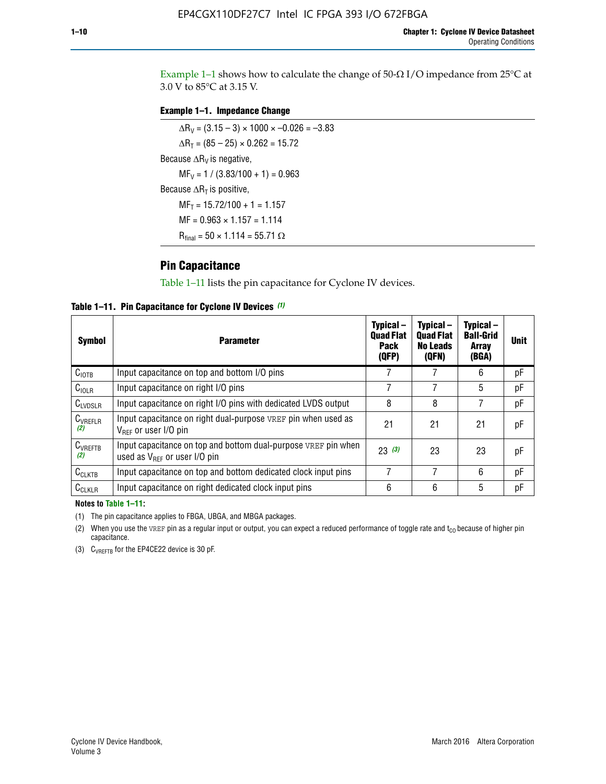Example 1-1 shows how to calculate the change of  $50$ - $\Omega$  I/O impedance from 25°C at 3.0 V to 85°C at 3.15 V.

#### **Example 1–1. Impedance Change**

 $\Delta R_V = (3.15 - 3) \times 1000 \times -0.026 = -3.83$  $\Delta R_T = (85 - 25) \times 0.262 = 15.72$ Because  $\Delta R_V$  is negative,  $MF_V = 1 / (3.83/100 + 1) = 0.963$ Because  $\Delta R_T$  is positive,  $MF_T = 15.72/100 + 1 = 1.157$  $MF = 0.963 \times 1.157 = 1.114$  $R_{final} = 50 \times 1.114 = 55.71 \Omega$ 

### **Pin Capacitance**

Table 1–11 lists the pin capacitance for Cyclone IV devices.

**Table 1–11. Pin Capacitance for Cyclone IV Devices** *(1)*

| Symbol              | <b>Parameter</b>                                                                                           | Typical-<br><b>Quad Flat</b><br><b>Pack</b><br>(QFP) | Typical-<br><b>Quad Flat</b><br><b>No Leads</b><br>(QFN) | Typical-<br><b>Ball-Grid</b><br><b>Array</b><br>(BGA) | <b>Unit</b> |
|---------------------|------------------------------------------------------------------------------------------------------------|------------------------------------------------------|----------------------------------------------------------|-------------------------------------------------------|-------------|
| C <sub>IOTB</sub>   | Input capacitance on top and bottom I/O pins                                                               |                                                      |                                                          | 6                                                     | рF          |
| $C_{IOLR}$          | Input capacitance on right I/O pins                                                                        |                                                      |                                                          | 5                                                     | рF          |
| $C_{LVDSLR}$        | Input capacitance on right I/O pins with dedicated LVDS output                                             | 8                                                    | 8                                                        |                                                       | рF          |
| $C_{VREFLR}$<br>(2) | Input capacitance on right dual-purpose VREF pin when used as<br>$V_{BFE}$ or user I/O pin                 | 21                                                   | 21                                                       | 21                                                    | pF          |
| $C_{VREFTB}$<br>(2) | Input capacitance on top and bottom dual-purpose VREF pin when<br>used as $V_{\text{RFF}}$ or user I/O pin | 23(3)                                                | 23                                                       | 23                                                    | pF          |
| $C_{CLKTB}$         | Input capacitance on top and bottom dedicated clock input pins                                             | 7                                                    | 7                                                        | 6                                                     | pF          |
| $C_{CLKLR}$         | Input capacitance on right dedicated clock input pins                                                      | 6                                                    | 6                                                        | 5                                                     | рF          |

#### **Notes to Table 1–11:**

(1) The pin capacitance applies to FBGA, UBGA, and MBGA packages.

(2) When you use the VREF pin as a regular input or output, you can expect a reduced performance of toggle rate and  $t_{\rm CO}$  because of higher pin capacitance.

(3) CVREFTB for the EP4CE22 device is 30 pF.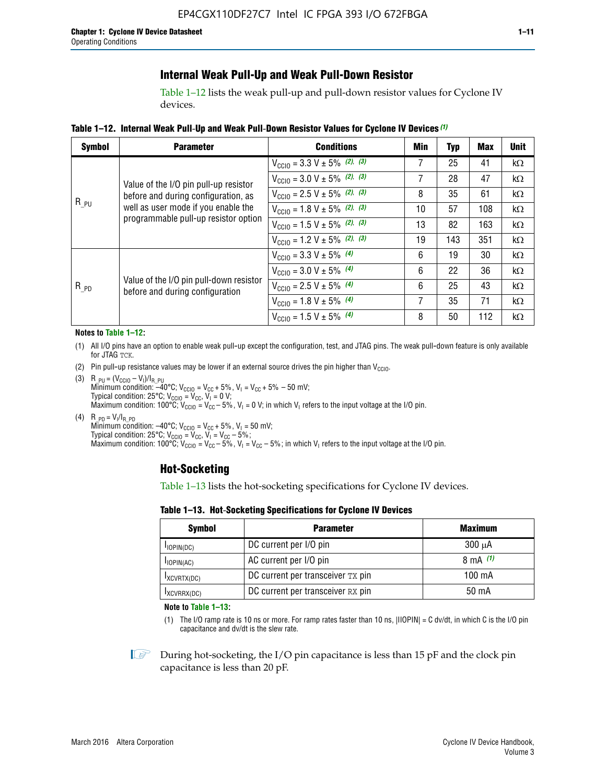## **Internal Weak Pull-Up and Weak Pull-Down Resistor**

Table 1–12 lists the weak pull-up and pull-down resistor values for Cyclone IV devices.

**Table 1–12. Internal Weak Pull**-**Up and Weak Pull**-**Down Resistor Values for Cyclone IV Devices** *(1)*

| <b>Symbol</b> | <b>Parameter</b>                                                            | <b>Conditions</b>                                  | Min | <b>Typ</b> | <b>Max</b> | <b>Unit</b> |
|---------------|-----------------------------------------------------------------------------|----------------------------------------------------|-----|------------|------------|-------------|
|               |                                                                             | $V_{\text{CC10}} = 3.3 \text{ V} \pm 5\%$ (2), (3) | 7   | 25         | 41         | $k\Omega$   |
|               | Value of the I/O pin pull-up resistor                                       | $V_{\text{CC10}} = 3.0 \text{ V} \pm 5\%$ (2), (3) | 7   | 28         | 47         | kΩ          |
|               | before and during configuration, as                                         | $V_{\text{CC10}} = 2.5 V \pm 5\%$ (2), (3)         | 8   | 35         | 61         | kΩ          |
| $R_{PU}$      | well as user mode if you enable the<br>programmable pull-up resistor option | $V_{\text{CGI0}} = 1.8 V \pm 5\%$ (2), (3)         | 10  | 57         | 108        | $k\Omega$   |
|               |                                                                             | $V_{\text{CC10}} = 1.5 V \pm 5\%$ (2), (3)         | 13  | 82         | 163        | $k\Omega$   |
|               |                                                                             | $V_{\text{CC10}} = 1.2 V \pm 5\%$ (2), (3)         | 19  | 143        | 351        | kΩ          |
|               |                                                                             | $V_{\text{CC10}} = 3.3 V \pm 5\%$ (4)              | 6   | 19         | 30         | kΩ          |
| $R_{PD}$      |                                                                             | $V_{\text{CC10}} = 3.0 V \pm 5\%$ (4)              | 6   | 22         | 36         | $k\Omega$   |
|               | Value of the I/O pin pull-down resistor<br>before and during configuration  | $V_{\text{CC10}} = 2.5 V \pm 5\%$ (4)              | 6   | 25         | 43         | kΩ          |
|               |                                                                             | $V_{\text{CC10}} = 1.8 V \pm 5\%$ (4)              | 7   | 35         | 71         | $k\Omega$   |
|               |                                                                             | $V_{\text{CC10}} = 1.5 V \pm 5\%$ (4)              | 8   | 50         | 112        | kΩ          |

#### **Notes to Table 1–12:**

- (1) All I/O pins have an option to enable weak pull-up except the configuration, test, and JTAG pins. The weak pull-down feature is only available for JTAG TCK.
- (2) Pin pull-up resistance values may be lower if an external source drives the pin higher than  $V_{\text{CCIO}}$ .
- (3)  $R_{PU} = (V_{CC10} V_1)/I_{R_PU}$ Minimum condition: –40°C; V<sub>CCIO</sub> = V<sub>CC</sub> + 5%, V<sub>I</sub> = V<sub>CC</sub> + 5% – 50 mV; Typical condition: 25°C; V<sub>CCIO</sub> = V<sub>CC</sub>, V<sub>I</sub> = 0 V; Maximum condition: 100°C;  $V_{\text{CCIO}} = V_{\text{CC}} - 5\%$ ,  $V_1 = 0$  V; in which V<sub>I</sub> refers to the input voltage at the I/O pin.
- (4)  $R_{PD} = V_I/I_{R_PD}$ Minimum condition:  $-40^{\circ}$ C; V<sub>CCIO</sub> = V<sub>CC</sub> + 5%, V<sub>I</sub> = 50 mV; Typical condition: 25°C;  $V_{\text{CCIO}} = V_{\text{CC}}$ ,  $V_{\text{I}} = V_{\text{CC}} - 5\%$ ; Maximum condition: 100°C; V<sub>CClO</sub> = V<sub>CC</sub> – 5%, V<sub>I</sub> = V<sub>CC</sub> – 5%; in which V<sub>I</sub> refers to the input voltage at the I/O pin.

#### **Hot-Socketing**

Table 1–13 lists the hot-socketing specifications for Cyclone IV devices.

**Table 1–13. Hot**-**Socketing Specifications for Cyclone IV Devices**

| <b>Symbol</b> | <b>Maximum</b>                    |             |
|---------------|-----------------------------------|-------------|
| $I$ IOPIN(DC) | DC current per I/O pin            | $300 \mu A$ |
| $I$ IOPIN(AC) | AC current per I/O pin            | 8 mA $(1)$  |
| IXCVRTX(DC)   | DC current per transceiver TX pin | 100 mA      |
| IXCVRRX(DC)   | DC current per transceiver RX pin | 50 mA       |

**Note to Table 1–13:**

(1) The I/O ramp rate is 10 ns or more. For ramp rates faster than 10 ns, |IIOPIN| = C dv/dt, in which C is the I/O pin capacitance and dv/dt is the slew rate.

 $\mathbb{I} \rightarrow \mathbb{I}$  During hot-socketing, the I/O pin capacitance is less than 15 pF and the clock pin capacitance is less than 20 pF.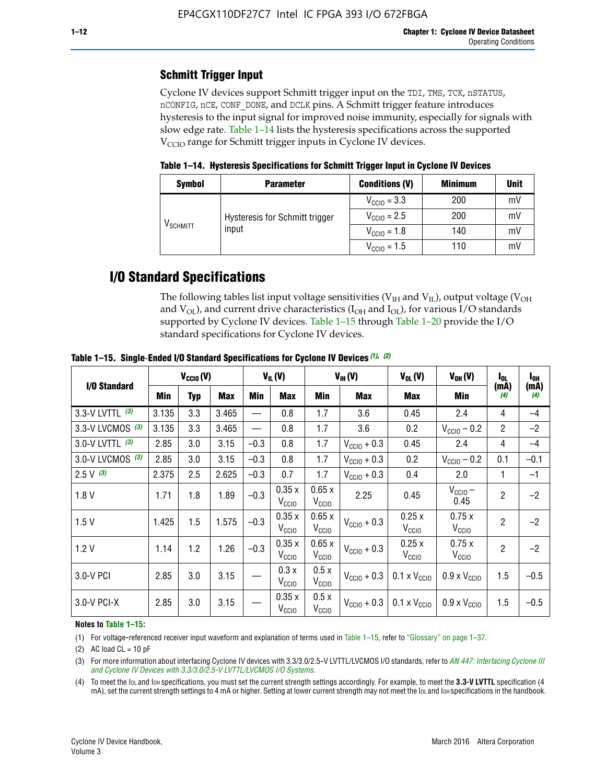## **Schmitt Trigger Input**

Cyclone IV devices support Schmitt trigger input on the TDI, TMS, TCK, nSTATUS, nCONFIG, nCE, CONF\_DONE, and DCLK pins. A Schmitt trigger feature introduces hysteresis to the input signal for improved noise immunity, especially for signals with slow edge rate. Table 1–14 lists the hysteresis specifications across the supported  $V<sub>CCIO</sub>$  range for Schmitt trigger inputs in Cyclone IV devices.

**Table 1–14. Hysteresis Specifications for Schmitt Trigger Input in Cyclone IV Devices**

| <b>Symbol</b>                  | <b>Parameter</b>                        | <b>Conditions (V)</b>   | <b>Minimum</b> | <b>Unit</b> |
|--------------------------------|-----------------------------------------|-------------------------|----------------|-------------|
|                                |                                         | $V_{\text{CCIO}} = 3.3$ | 200            | mV          |
|                                | Hysteresis for Schmitt trigger<br>input | $V_{\text{CCIO}} = 2.5$ | 200            | mV          |
| $\mathsf{V}_{\mathsf{SCHMIT}}$ |                                         | $V_{\text{CCIO}} = 1.8$ | 140            | mV          |
|                                |                                         | $V_{\text{CCIO}} = 1.5$ | 110            | mV          |

## **I/O Standard Specifications**

The following tables list input voltage sensitivities ( $V<sub>IH</sub>$  and  $V<sub>II</sub>$ ), output voltage ( $V<sub>OH</sub>$ and  $V_{OL}$ ), and current drive characteristics ( $I_{OH}$  and  $I_{OL}$ ), for various I/O standards supported by Cyclone IV devices. Table 1–15 through Table 1–20 provide the I/O standard specifications for Cyclone IV devices.

|                    | $V_{CClO}(V)$ |     | $V_{IL}(V)$ |        |                            | $V_{IH} (V)$               | $V_{OL}(V)$             | $V_{OH} (V)$                                    | l <sub>ol</sub>              | $I_{0H}$       |             |
|--------------------|---------------|-----|-------------|--------|----------------------------|----------------------------|-------------------------|-------------------------------------------------|------------------------------|----------------|-------------|
| I/O Standard       | <b>Min</b>    | Typ | Max         | Min    | Max                        | Min                        | <b>Max</b>              | Max                                             | Min                          | (mA)<br>(4)    | (mA)<br>(4) |
| 3.3-V LVTTL (3)    | 3.135         | 3.3 | 3.465       |        | 0.8                        | 1.7                        | 3.6                     | 0.45                                            | 2.4                          | 4              | $-4$        |
| 3.3-V LVCMOS $(3)$ | 3.135         | 3.3 | 3.465       |        | 0.8                        | 1.7                        | 3.6                     | 0.2                                             | $V_{\text{CC10}} - 0.2$      | $\overline{2}$ | $-2$        |
| 3.0-V LVTTL (3)    | 2.85          | 3.0 | 3.15        | $-0.3$ | 0.8                        | 1.7                        | $V_{\text{CC10}} + 0.3$ | 0.45                                            | 2.4                          | 4              | $-4$        |
| 3.0-V LVCMOS (3)   | 2.85          | 3.0 | 3.15        | $-0.3$ | 0.8                        | 1.7                        | $V_{\text{CC10}} + 0.3$ | 0.2                                             | $V_{\text{CC10}} - 0.2$      | 0.1            | $-0.1$      |
| $2.5 V$ (3)        | 2.375         | 2.5 | 2.625       | $-0.3$ | 0.7                        | 1.7                        | $V_{\text{CGI0}} + 0.3$ | 0.4                                             | 2.0                          | 1              | $-1$        |
| 1.8V               | 1.71          | 1.8 | 1.89        | $-0.3$ | 0.35x<br>V <sub>CCIO</sub> | 0.65x<br>V <sub>CCIO</sub> | 2.25                    | 0.45                                            | $V_{CGIO}$ –<br>0.45         | $\overline{2}$ | $-2$        |
| 1.5V               | 1.425         | 1.5 | 1.575       | $-0.3$ | 0.35x<br>V <sub>CCIO</sub> | 0.65x<br>V <sub>CCIO</sub> | $V_{\text{CC10}} + 0.3$ | 0.25x<br>V <sub>CCIO</sub>                      | 0.75x<br>V <sub>CCIO</sub>   | $\overline{2}$ | $-2$        |
| 1.2V               | 1.14          | 1.2 | 1.26        | $-0.3$ | 0.35x<br>V <sub>CCIO</sub> | 0.65x<br>V <sub>CCIO</sub> | $V_{\text{CC10}} + 0.3$ | 0.25x<br>V <sub>CCIO</sub>                      | 0.75x<br>V <sub>CCIO</sub>   | $\overline{2}$ | $-2$        |
| 3.0-V PCI          | 2.85          | 3.0 | 3.15        |        | 0.3x<br>V <sub>CCIO</sub>  | 0.5x<br>V <sub>CCIO</sub>  | $V_{\text{CCI0}} + 0.3$ | $0.1 \times V_{\text{CC10}}$                    | $0.9 \times V_{\text{CC10}}$ | 1.5            | $-0.5$      |
| $3.0 - V$ PCI-X    | 2.85          | 3.0 | 3.15        |        | 0.35x<br>V <sub>CCIO</sub> | 0.5x<br>V <sub>CCIO</sub>  |                         | $V_{\text{CC10}} + 0.3$ 0.1 x $V_{\text{CC10}}$ | $0.9 \times V_{\text{CC10}}$ | 1.5            | $-0.5$      |

**Table 1–15. Single**-**Ended I/O Standard Specifications for Cyclone IV Devices** *(1)***,** *(2)*

#### **Notes to Table 1–15:**

(1) For voltage-referenced receiver input waveform and explanation of terms used in Table 1–15, refer to "Glossary" on page 1–37.

(2) AC load  $CL = 10$  pF

(3) For more information about interfacing Cyclone IV devices with 3.3/3.0/2.5-V LVTTL/LVCMOS I/O standards, refer to *[AN 447: Interfacing Cyclone III](http://www.altera.com/literature/an/an447.pdf)  [and Cyclone IV Devices with 3.3/3.0/2.5-V LVTTL/LVCMOS I/O Systems](http://www.altera.com/literature/an/an447.pdf)*.

(4) To meet the IOL and IOH specifications, you must set the current strength settings accordingly. For example, to meet the **3.3-V LVTTL** specification (4 mA), set the current strength settings to 4 mA or higher. Setting at lower current strength may not meet the lou and lon specifications in the handbook.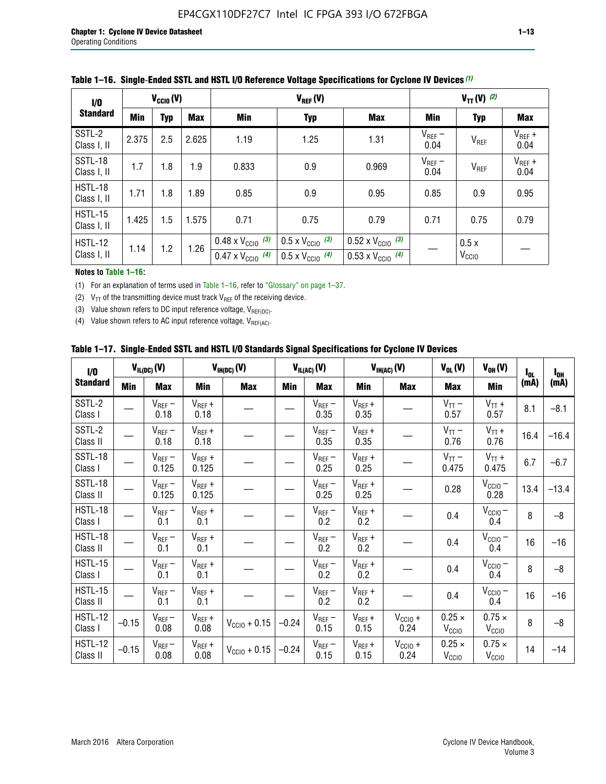| 1/0                    | $V_{CGI0}(V)$ |            |       |                                                                        | $V_{TT}(V)^{(2)}$                                                    |                                                                        |                     |                           |                     |
|------------------------|---------------|------------|-------|------------------------------------------------------------------------|----------------------------------------------------------------------|------------------------------------------------------------------------|---------------------|---------------------------|---------------------|
| <b>Standard</b>        | <b>Min</b>    | <b>Typ</b> | Max   | Min                                                                    | <b>Typ</b>                                                           | <b>Max</b>                                                             | Min                 | <b>Typ</b>                | Max                 |
| SSTL-2<br>Class I, II  | 2.375         | 2.5        | 2.625 | 1.19                                                                   | 1.25                                                                 | 1.31                                                                   | $V_{REF}$ –<br>0.04 | V <sub>REF</sub>          | $V_{REF}$ +<br>0.04 |
| SSTL-18<br>Class I, II | 1.7           | 1.8        | 1.9   | 0.833                                                                  | 0.9                                                                  | 0.969                                                                  | $V_{REF}$ –<br>0.04 | V <sub>REF</sub>          | $V_{REF}$ +<br>0.04 |
| HSTL-18<br>Class I, II | 1.71          | 1.8        | .89   | 0.85                                                                   | 0.9                                                                  | 0.95                                                                   | 0.85                | 0.9                       | 0.95                |
| HSTL-15<br>Class I, II | 1.425         | 1.5        | 1.575 | 0.71                                                                   | 0.75                                                                 | 0.79                                                                   | 0.71                | 0.75                      | 0.79                |
| HSTL-12<br>Class I, II | 1.14          | 1.2        | 1.26  | $0.48 \times V_{\text{CC10}}$ (3)<br>$0.47 \times V_{\text{CC10}}$ (4) | $0.5 \times V_{\text{CC10}}$ (3)<br>$0.5 \times V_{\text{CC10}}$ (4) | $0.52 \times V_{\text{CC10}}$ (3)<br>$0.53 \times V_{\text{CC10}}$ (4) |                     | 0.5x<br>V <sub>CCIO</sub> |                     |

|  |  |  |  | Table 1–16. Single-Ended SSTL and HSTL I/O Reference Voltage Specifications for Cyclone IV Devices (1) |
|--|--|--|--|--------------------------------------------------------------------------------------------------------|
|--|--|--|--|--------------------------------------------------------------------------------------------------------|

#### **Notes to Table 1–16:**

(1) For an explanation of terms used in Table 1–16, refer to "Glossary" on page 1–37.

(2)  $V_{TT}$  of the transmitting device must track  $V_{REF}$  of the receiving device.

(3) Value shown refers to DC input reference voltage,  $V_{REF(DC)}$ .

(4) Value shown refers to AC input reference voltage,  $V_{REF(AC)}$ .

|  |  |  |  |  | Table 1–17.  Single-Ended SSTL and HSTL I/O Standards Signal Specifications for Cyclone IV Devices |
|--|--|--|--|--|----------------------------------------------------------------------------------------------------|
|--|--|--|--|--|----------------------------------------------------------------------------------------------------|

| I/O                        |         | $V_{IL(DC)}(V)$        |                                      | $V_{IH(DC)}(V)$       |         | $V_{IL(AC)}(V)$     |                     | $V_{IH(AC)}(V)$      | $V_{OL}(V)$                        | $V_{OH} (V)$                       | l <sub>ol</sub> | $I_{0H}$ |
|----------------------------|---------|------------------------|--------------------------------------|-----------------------|---------|---------------------|---------------------|----------------------|------------------------------------|------------------------------------|-----------------|----------|
| <b>Standard</b>            | Min     | <b>Max</b>             | Min                                  | <b>Max</b>            | Min     | <b>Max</b>          | Min                 | <b>Max</b>           | <b>Max</b>                         | Min                                | (mA)            | (mA)     |
| SSTL-2<br>Class I          |         | $\rm V_{REF}-$<br>0.18 | $V_{REF} +$<br>0.18                  |                       |         | $V_{REF}$ –<br>0.35 | $V_{REF} +$<br>0.35 |                      | $V_{TT}$ –<br>0.57                 | $V_{TT}$ +<br>0.57                 | 8.1             | $-8.1$   |
| SSTL-2<br>Class II         |         | $V_{REF}$ –<br>0.18    | $V_{REF} +$<br>0.18                  |                       |         | $V_{REF}$ –<br>0.35 | $V_{REF} +$<br>0.35 |                      | $V_{TT}$ –<br>0.76                 | $V_{TT}$ +<br>0.76                 | 16.4            | $-16.4$  |
| <b>SSTL-18</b><br>Class I  |         | $V_{REF}$ –<br>0.125   | $V_{REF}$ +<br>0.125                 |                       |         | $V_{REF}$ –<br>0.25 | $V_{REF}$ +<br>0.25 |                      | $V_{TT}$ –<br>0.475                | $V_{TT}$ +<br>0.475                | 6.7             | $-6.7$   |
| <b>SSTL-18</b><br>Class II |         | $V_{REF}$ –<br>0.125   | $V_{REF}$ +<br>0.125                 |                       |         | $V_{REF}$ –<br>0.25 | $V_{REF}$ +<br>0.25 |                      | 0.28                               | $V_{CC10} -$<br>0.28               | 13.4            | $-13.4$  |
| HSTL-18<br>Class I         |         | $V_{REF}$ –<br>0.1     | $V_{REF} +$<br>0.1                   |                       |         | $V_{REF}$ –<br>0.2  | $V_{REF}$ +<br>0.2  |                      | 0.4                                | $V_{CCIO}$ –<br>0.4                | 8               | $-8$     |
| HSTL-18<br>Class II        |         | $V_{REF}$ –<br>0.1     | $V_{REF} +$<br>0.1                   |                       |         | $V_{REF}$ –<br>0.2  | $V_{REF} +$<br>0.2  |                      | 0.4                                | $V_{CC10}$ –<br>0.4                | 16              | $-16$    |
| HSTL-15<br>Class I         |         | $V_{REF}$ –<br>0.1     | $V_{REF} +$<br>0.1                   |                       |         | $V_{REF}$ –<br>0.2  | $V_{REF}$ +<br>0.2  |                      | 0.4                                | $V_{\text{CC1O}} -$<br>0.4         | 8               | $-8$     |
| HSTL-15<br>Class II        |         | $V_{REF}$ –<br>0.1     | $\mathsf{V}_{\mathsf{REF}}$ +<br>0.1 |                       |         | $V_{REF}$ –<br>0.2  | $V_{REF}$ +<br>0.2  |                      | 0.4                                | $V_{CC10}$ –<br>0.4                | 16              | $-16$    |
| <b>HSTL-12</b><br>Class I  | $-0.15$ | $V_{REF}-$<br>0.08     | $V_{REF} +$<br>0.08                  | $V_{CGI0} + 0.15$     | $-0.24$ | $V_{REF}$ –<br>0.15 | $V_{REF} +$<br>0.15 | $V_{CCIO} +$<br>0.24 | $0.25 \times$<br>V <sub>CCIO</sub> | $0.75 \times$<br>V <sub>CCIO</sub> | 8               | $-8$     |
| HSTL-12<br>Class II        | $-0.15$ | $V_{REF}-$<br>0.08     | $V_{REF} +$<br>0.08                  | $V_{\rm CClO} + 0.15$ | $-0.24$ | $V_{REF}$ –<br>0.15 | $V_{REF} +$<br>0.15 | $V_{CC10}$ +<br>0.24 | $0.25 \times$<br>V <sub>CCIO</sub> | $0.75 \times$<br>V <sub>CCIO</sub> | 14              | $-14$    |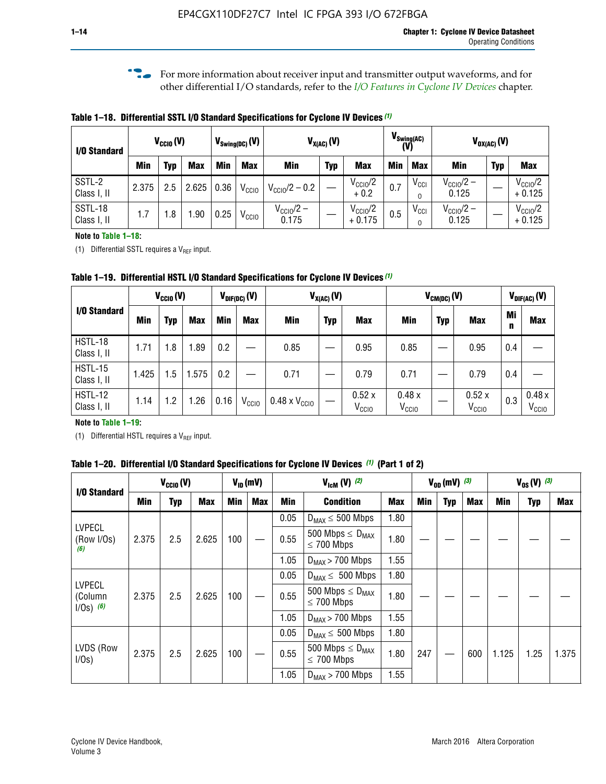**f For more information about receiver input and transmitter output waveforms, and for** other differential I/O standards, refer to the *[I/O Features in Cyclone IV Devices](http://www.altera.com/literature/hb/cyclone-iv/cyiv-51006.pdf)* chapter*.*

**Table 1–18. Differential SSTL I/O Standard Specifications for Cyclone IV Devices** *(1)*

| I/O Standard           |       | $V_{CCl0}(V)$ |            |      | $V_{\text{Swing(DC)}}(V)$ |                                | $V_{X(AC)}(V)$ |                                 |            | $V_{\text{Swing(AC)}}$<br>(V) | $V_{OX(AC)}(V)$                |            |                                 |
|------------------------|-------|---------------|------------|------|---------------------------|--------------------------------|----------------|---------------------------------|------------|-------------------------------|--------------------------------|------------|---------------------------------|
|                        | Min   | Typ           | <b>Max</b> | Min  | <b>Max</b>                | <b>Min</b>                     | <b>Typ</b>     | <b>Max</b>                      | <b>Min</b> | <b>Max</b>                    | Min                            | <b>Typ</b> | <b>Max</b>                      |
| SSTL-2<br>Class I, II  | 2.375 | 2.5           | 2.625      | 0.36 | V <sub>CCIO</sub>         | $V_{\text{CC10}}/2 - 0.2$      |                | $V_{\text{CC10}}/2$<br>$+0.2$   | 0.7        | $V_{\rm CCI}$                 | $V_{\text{CC10}}/2 -$<br>0.125 |            | $V_{\text{CC10}}/2$<br>$+0.125$ |
| SSTL-18<br>Class I, II | 1.7   | .8            | .90        | 0.25 | V <sub>CCIO</sub>         | $V_{\text{CC10}}/2 -$<br>0.175 |                | $V_{\text{CC10}}/2$<br>$+0.175$ | 0.5        | $V_{\rm CCI}$                 | $V_{\text{CC10}}/2 -$<br>0.125 |            | $V_{\text{CC10}}/2$<br>$+0.125$ |

#### **Note to Table 1–18:**

(1) Differential SSTL requires a  $V_{REF}$  input.

**Table 1–19. Differential HSTL I/O Standard Specifications for Cyclone IV Devices** *(1)*

|                               |       | $V_{CClO}(V)$ |            | $V_{\text{DIF(DC)}}(V)$ |                   | $V_{X(AC)}(V)$                |            |                            | $V_{CM(DC)}(V)$            |            |                            |         | $V_{\text{DIF(AC)}}(V)$    |
|-------------------------------|-------|---------------|------------|-------------------------|-------------------|-------------------------------|------------|----------------------------|----------------------------|------------|----------------------------|---------|----------------------------|
| I/O Standard                  | Min   | Typ           | <b>Max</b> | Min                     | <b>Max</b>        | Min                           | <b>Typ</b> | <b>Max</b>                 | Min                        | <b>Typ</b> | <b>Max</b>                 | Mi<br>n | <b>Max</b>                 |
| HSTL-18<br>Class I, II        | 1.71  | 1.8           | .89        | 0.2                     |                   | 0.85                          |            | 0.95                       | 0.85                       |            | 0.95                       | 0.4     |                            |
| <b>HSTL-15</b><br>Class I, II | 1.425 | 1.5           | .575       | $0.2\,$                 |                   | 0.71                          |            | 0.79                       | 0.71                       |            | 0.79                       | 0.4     |                            |
| <b>HSTL-12</b><br>Class I, II | 1.14  | 1.2           | 1.26       | 0.16                    | V <sub>CCIO</sub> | $0.48 \times V_{\text{CC10}}$ |            | 0.52x<br>V <sub>CCIO</sub> | 0.48x<br>V <sub>CCIO</sub> |            | 0.52x<br>V <sub>CCIO</sub> | 0.3     | 0.48x<br>V <sub>CCIO</sub> |

#### **Note to Table 1–19:**

(1) Differential HSTL requires a  $V_{REF}$  input.

**Table 1–20. Differential I/O Standard Specifications for Cyclone IV Devices** *(1)* **(Part 1 of 2)**

| I/O Standard                            |       | $V_{CCl0} (V)$ |            | $V_{ID}$ (mV) |            | $V_{\text{lcm}}(V)^{(2)}$ |                                                     | $V_{0D}$ (mV) $(3)$ |     |     |     | $V_{0S} (V)^{(3)}$ |            |       |
|-----------------------------------------|-------|----------------|------------|---------------|------------|---------------------------|-----------------------------------------------------|---------------------|-----|-----|-----|--------------------|------------|-------|
|                                         | Min   | Typ            | <b>Max</b> | <b>Min</b>    | <b>Max</b> | Min                       | <b>Condition</b>                                    | <b>Max</b>          | Min | Typ | Max | Min                | <b>Typ</b> | Max   |
|                                         |       |                |            |               |            | 0.05                      | $D_{MAX} \leq 500$ Mbps                             | 1.80                |     |     |     |                    |            |       |
| <b>LVPECL</b><br>(Row I/Os)<br>(6)      | 2.375 | 2.5            | 2.625      | 100           |            | 0.55                      | 500 Mbps $\leq$ D <sub>MAX</sub><br>$\leq$ 700 Mbps | 1.80                |     |     |     |                    |            |       |
|                                         |       |                |            |               |            | 1.05                      | $D_{MAX}$ > 700 Mbps                                | 1.55                |     |     |     |                    |            |       |
|                                         |       |                |            |               |            | 0.05                      | $D_{MAX} \leq 500$ Mbps                             | 1.80                |     |     |     |                    |            |       |
| <b>LVPECL</b><br>(Column<br>$1/Os)$ (6) | 2.375 | 2.5            | 2.625      | 100           |            | 0.55                      | 500 Mbps $\leq D_{MAX}$<br>$\leq$ 700 Mbps          | 1.80                |     |     |     |                    |            |       |
|                                         |       |                |            |               |            | 1.05                      | $D_{MAX}$ > 700 Mbps                                | 1.55                |     |     |     |                    |            |       |
|                                         |       |                |            |               |            | 0.05                      | $D_{MAX} \leq 500$ Mbps                             | 1.80                |     |     |     |                    |            |       |
| LVDS (Row<br>I/Os)                      | 2.375 | 2.5            | 2.625      | 100           |            | 0.55                      | 500 Mbps $\leq D_{MAX}$<br>$\leq 700$ Mbps          | 1.80                | 247 |     | 600 | 1.125              | 1.25       | 1.375 |
|                                         |       |                |            |               |            | 1.05                      | $D_{MAX}$ > 700 Mbps                                | 1.55                |     |     |     |                    |            |       |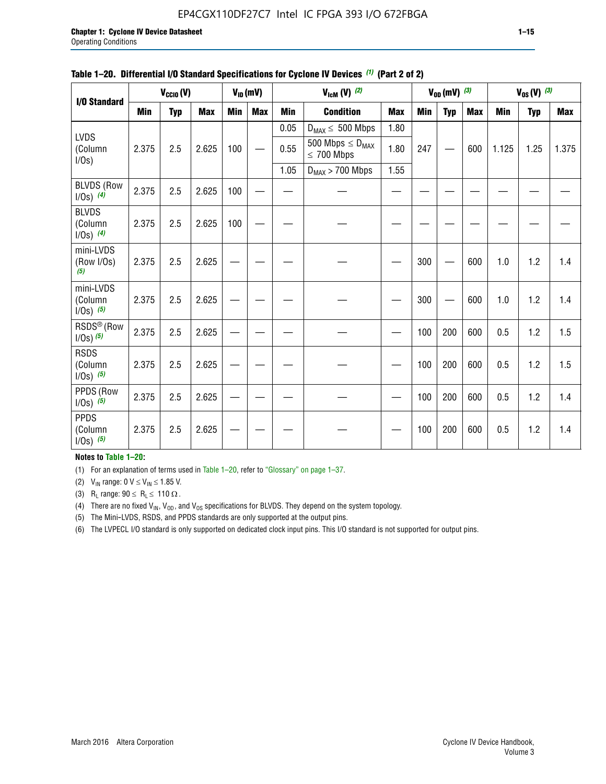#### EP4CGX110DF27C7 Intel IC FPGA 393 I/O 672FBGA

| I/O Standard                             |            | $V_{\text{CCIO}}(V)$ |            |     | $V_{ID}(mV)$ |                                                                   | $V_{\text{lcm}}(V)$ (2)                    |            |     | $V_{0D}$ (mV) $(3)$ |            |            | $V_{0S} (V)$ (3) |            |
|------------------------------------------|------------|----------------------|------------|-----|--------------|-------------------------------------------------------------------|--------------------------------------------|------------|-----|---------------------|------------|------------|------------------|------------|
|                                          | <b>Min</b> | <b>Typ</b>           | <b>Max</b> | Min | <b>Max</b>   | <b>Condition</b><br><b>Min</b><br>0.05<br>$D_{MAX} \leq 500$ Mbps |                                            | <b>Max</b> | Min | <b>Typ</b>          | <b>Max</b> | <b>Min</b> | <b>Typ</b>       | <b>Max</b> |
|                                          |            |                      |            |     |              |                                                                   |                                            | 1.80       |     |                     |            |            |                  |            |
| <b>LVDS</b><br>(Column<br>I/Os)          | 2.375      | 2.5                  | 2.625      | 100 |              | 0.55                                                              | 500 Mbps $\leq D_{MAX}$<br>$\leq 700$ Mbps | 1.80       | 247 |                     | 600        | 1.125      | 1.25             | 1.375      |
|                                          |            |                      |            |     |              | 1.05                                                              | $D_{MAX}$ > 700 Mbps                       | 1.55       |     |                     |            |            |                  |            |
| <b>BLVDS (Row</b><br>$1/0s)$ (4)         | 2.375      | 2.5                  | 2.625      | 100 |              |                                                                   |                                            |            |     |                     |            |            |                  |            |
| <b>BLVDS</b><br>(Column<br>$1/0s)$ (4)   | 2.375      | 2.5                  | 2.625      | 100 |              |                                                                   |                                            |            |     |                     |            |            |                  |            |
| mini-LVDS<br>(Row I/Os)<br>(5)           | 2.375      | 2.5                  | 2.625      |     |              |                                                                   |                                            |            | 300 |                     | 600        | 1.0        | 1.2              | 1.4        |
| mini-LVDS<br>(Column<br>$1/Os)$ (5)      | 2.375      | 2.5                  | 2.625      |     |              |                                                                   |                                            |            | 300 |                     | 600        | 1.0        | 1.2              | 1.4        |
| RSDS <sup>®</sup> (Row<br>$1/0s$ ) $(5)$ | 2.375      | 2.5                  | 2.625      |     |              |                                                                   |                                            |            | 100 | 200                 | 600        | 0.5        | 1.2              | 1.5        |
| <b>RSDS</b><br>(Column<br>$1/Os)$ (5)    | 2.375      | 2.5                  | 2.625      |     |              |                                                                   |                                            |            | 100 | 200                 | 600        | 0.5        | 1.2              | 1.5        |
| PPDS (Row<br>$1/0s)$ (5)                 | 2.375      | 2.5                  | 2.625      |     |              |                                                                   |                                            |            | 100 | 200                 | 600        | 0.5        | 1.2              | 1.4        |
| <b>PPDS</b><br>(Column<br>$1/0s)$ (5)    | 2.375      | 2.5                  | 2.625      |     |              |                                                                   |                                            |            | 100 | 200                 | 600        | 0.5        | 1.2              | 1.4        |

#### **Table 1–20. Differential I/O Standard Specifications for Cyclone IV Devices** *(1)* **(Part 2 of 2)**

**Notes to Table 1–20:**

(1) For an explanation of terms used in Table 1–20, refer to "Glossary" on page 1–37.

(2)  $V_{IN}$  range: 0  $V \le V_{IN} \le 1.85$  V.

(3) R<sub>L</sub> range:  $90 \le R_L \le 110 \Omega$ .

(4) There are no fixed  $V_{IN}$ ,  $V_{OD}$ , and  $V_{OS}$  specifications for BLVDS. They depend on the system topology.

(5) The Mini-LVDS, RSDS, and PPDS standards are only supported at the output pins.

(6) The LVPECL I/O standard is only supported on dedicated clock input pins. This I/O standard is not supported for output pins.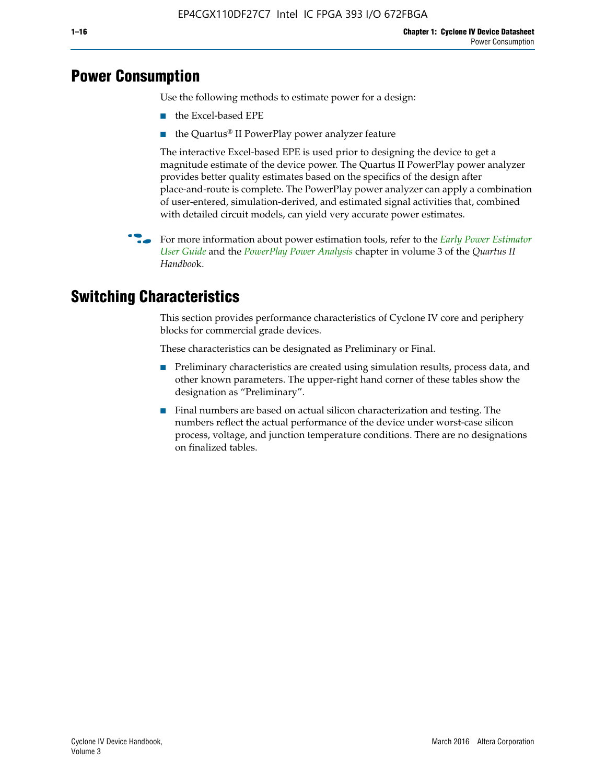## **Power Consumption**

Use the following methods to estimate power for a design:

- the Excel-based EPE
- the Quartus® II PowerPlay power analyzer feature

The interactive Excel-based EPE is used prior to designing the device to get a magnitude estimate of the device power. The Quartus II PowerPlay power analyzer provides better quality estimates based on the specifics of the design after place-and-route is complete. The PowerPlay power analyzer can apply a combination of user-entered, simulation-derived, and estimated signal activities that, combined with detailed circuit models, can yield very accurate power estimates.

f For more information about power estimation tools, refer to the *[Early Power Estimator](http://www.altera.com/literature/ug/ug_epe.pdf
)  [User Guide](http://www.altera.com/literature/ug/ug_epe.pdf
)* and the *[PowerPlay Power Analysis](http://www.altera.com/literature/hb/qts/qts_qii53013.pdf)* chapter in volume 3 of the *Quartus II Handboo*k.

## **Switching Characteristics**

This section provides performance characteristics of Cyclone IV core and periphery blocks for commercial grade devices.

These characteristics can be designated as Preliminary or Final.

- Preliminary characteristics are created using simulation results, process data, and other known parameters. The upper-right hand corner of these tables show the designation as "Preliminary".
- Final numbers are based on actual silicon characterization and testing. The numbers reflect the actual performance of the device under worst-case silicon process, voltage, and junction temperature conditions. There are no designations on finalized tables.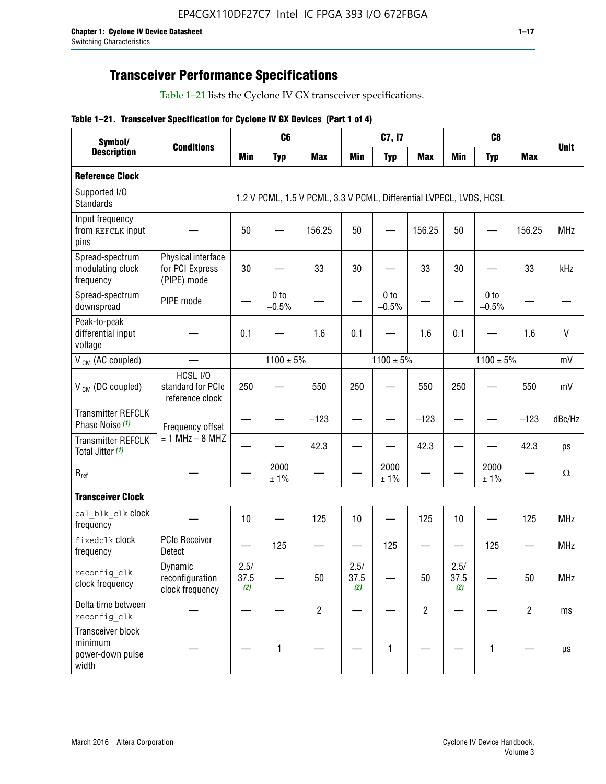## **Transceiver Performance Specifications**

Table 1–21 lists the Cyclone IV GX transceiver specifications.

#### **Table 1–21. Transceiver Specification for Cyclone IV GX Devices (Part 1 of 4)**

| Symbol/                                                   |                                                      |                     | C <sub>6</sub>             |                                                                     |                     | C7, I7                     |                                |                     | C <sub>8</sub>             |                |              |
|-----------------------------------------------------------|------------------------------------------------------|---------------------|----------------------------|---------------------------------------------------------------------|---------------------|----------------------------|--------------------------------|---------------------|----------------------------|----------------|--------------|
| <b>Description</b>                                        | <b>Conditions</b>                                    | <b>Min</b>          | <b>Typ</b>                 | <b>Max</b>                                                          | <b>Min</b>          | <b>Typ</b>                 | <b>Max</b>                     | <b>Min</b>          | <b>Typ</b>                 | <b>Max</b>     | <b>Unit</b>  |
| <b>Reference Clock</b>                                    |                                                      |                     |                            |                                                                     |                     |                            |                                |                     |                            |                |              |
| Supported I/O<br><b>Standards</b>                         |                                                      |                     |                            | 1.2 V PCML, 1.5 V PCML, 3.3 V PCML, Differential LVPECL, LVDS, HCSL |                     |                            |                                |                     |                            |                |              |
| Input frequency<br>from REFCLK input<br>pins              |                                                      | 50                  |                            | 156.25                                                              | 50                  |                            | 156.25                         | 50                  | —                          | 156.25         | <b>MHz</b>   |
| Spread-spectrum<br>modulating clock<br>frequency          | Physical interface<br>for PCI Express<br>(PIPE) mode | 30                  |                            | 33                                                                  | 30                  |                            | 33                             | 30                  |                            | 33             | kHz          |
| Spread-spectrum<br>downspread                             | PIPE mode                                            |                     | 0 <sub>to</sub><br>$-0.5%$ |                                                                     |                     | 0 <sub>to</sub><br>$-0.5%$ |                                |                     | 0 <sub>to</sub><br>$-0.5%$ |                |              |
| Peak-to-peak<br>differential input<br>voltage             |                                                      | 0.1                 |                            | 1.6                                                                 | 0.1                 |                            | 1.6                            | 0.1                 |                            | 1.6            | $\mathsf{V}$ |
| V <sub>ICM</sub> (AC coupled)                             |                                                      |                     | $1100 \pm 5\%$             |                                                                     |                     | $1100 \pm 5\%$             |                                |                     | $1100 \pm 5\%$             |                | mV           |
| V <sub>ICM</sub> (DC coupled)                             | HCSL I/O<br>standard for PCIe<br>reference clock     | 250                 |                            | 550                                                                 | 250                 |                            | 550                            | 250                 |                            | 550            | mV           |
| <b>Transmitter REFCLK</b><br>Phase Noise (1)              | Frequency offset                                     |                     |                            | $-123$                                                              |                     |                            | $-123$                         |                     |                            | $-123$         | dBc/Hz       |
| <b>Transmitter REFCLK</b><br>Total Jitter (1)             | $= 1$ MHz $- 8$ MHZ                                  |                     |                            | 42.3                                                                |                     |                            | 42.3                           |                     |                            | 42.3           | ps           |
| $R_{ref}$                                                 |                                                      |                     | 2000<br>± 1%               |                                                                     |                     | 2000<br>± 1%               |                                |                     | 2000<br>± 1%               |                | $\Omega$     |
| <b>Transceiver Clock</b>                                  |                                                      |                     |                            |                                                                     |                     |                            |                                |                     |                            |                |              |
| cal blk clk clock<br>frequency                            |                                                      | 10                  |                            | 125                                                                 | 10                  |                            | 125                            | 10                  |                            | 125            | <b>MHz</b>   |
| fixedclk Clock<br>frequency                               | <b>PCIe Receiver</b><br>Detect                       |                     | 125                        |                                                                     |                     | 125                        | $\qquad \qquad \longleftarrow$ |                     | 125                        |                | <b>MHz</b>   |
| reconfig clk<br>clock frequency                           | Dynamic<br>reconfiguration<br>clock frequency        | 2.5/<br>37.5<br>(2) |                            | 50                                                                  | 2.5/<br>37.5<br>(2) |                            | 50                             | 2.5/<br>37.5<br>(2) |                            | 50             | <b>MHz</b>   |
| Delta time between<br>reconfig clk                        |                                                      |                     |                            | $\overline{c}$                                                      |                     |                            | $\overline{c}$                 |                     |                            | $\overline{2}$ | ms           |
| Transceiver block<br>minimum<br>power-down pulse<br>width |                                                      |                     | 1                          |                                                                     |                     | 1                          |                                |                     | $\mathbf{1}$               |                | $\mu s$      |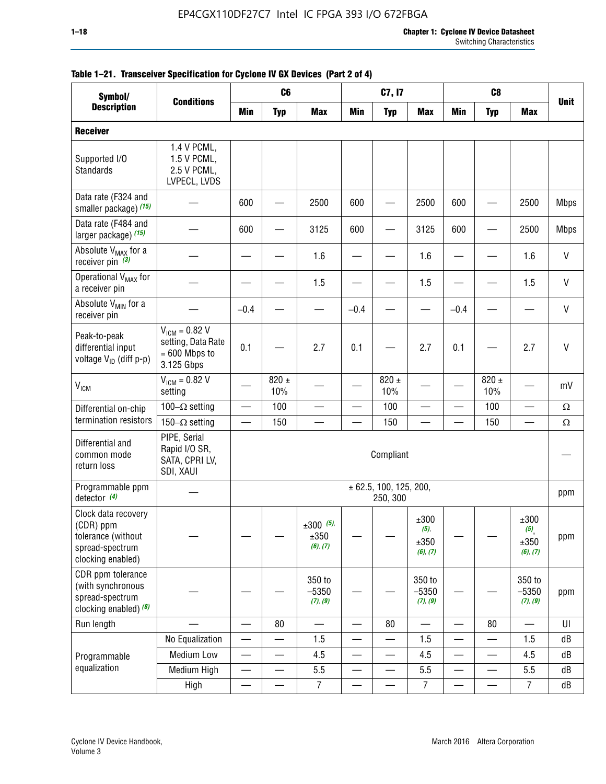| Symbol/                                                                                        |                                                                           |                               | C <sub>6</sub>           |                                 |                          | C7, I7                                 |                                     |                          | C <sub>8</sub>           |                                                |              |
|------------------------------------------------------------------------------------------------|---------------------------------------------------------------------------|-------------------------------|--------------------------|---------------------------------|--------------------------|----------------------------------------|-------------------------------------|--------------------------|--------------------------|------------------------------------------------|--------------|
| <b>Description</b>                                                                             | <b>Conditions</b>                                                         | Min                           | <b>Typ</b>               | <b>Max</b>                      | <b>Min</b>               | <b>Typ</b>                             | <b>Max</b>                          | <b>Min</b>               | <b>Typ</b>               | <b>Max</b>                                     | <b>Unit</b>  |
| <b>Receiver</b>                                                                                |                                                                           |                               |                          |                                 |                          |                                        |                                     |                          |                          |                                                |              |
| Supported I/O<br>Standards                                                                     | 1.4 V PCML,<br>1.5 V PCML,<br>2.5 V PCML,<br>LVPECL, LVDS                 |                               |                          |                                 |                          |                                        |                                     |                          |                          |                                                |              |
| Data rate (F324 and<br>smaller package) (15)                                                   |                                                                           | 600                           |                          | 2500                            | 600                      |                                        | 2500                                | 600                      |                          | 2500                                           | <b>Mbps</b>  |
| Data rate (F484 and<br>larger package) (15)                                                    |                                                                           | 600                           |                          | 3125                            | 600                      |                                        | 3125                                | 600                      |                          | 2500                                           | <b>Mbps</b>  |
| Absolute V <sub>MAX</sub> for a<br>receiver pin $(3)$                                          |                                                                           |                               |                          | 1.6                             |                          |                                        | 1.6                                 |                          |                          | 1.6                                            | V            |
| Operational V <sub>MAX</sub> for<br>a receiver pin                                             |                                                                           |                               |                          | 1.5                             |                          |                                        | 1.5                                 |                          |                          | 1.5                                            | V            |
| Absolute V <sub>MIN</sub> for a<br>receiver pin                                                |                                                                           | $-0.4$                        |                          |                                 | $-0.4$                   |                                        |                                     | $-0.4$                   |                          |                                                | V            |
| Peak-to-peak<br>differential input<br>voltage V <sub>ID</sub> (diff p-p)                       | $V_{ICM} = 0.82 V$<br>setting, Data Rate<br>$= 600$ Mbps to<br>3.125 Gbps | 0.1                           |                          | 2.7                             | 0.1                      |                                        | 2.7                                 | 0.1                      |                          | 2.7                                            | $\mathsf{V}$ |
| $V_{ICM}$                                                                                      | $V_{IGM} = 0.82 V$<br>setting                                             |                               | 820 $\pm$<br>10%         |                                 |                          | 820 $\pm$<br>10%                       |                                     |                          | $820 \pm$<br>10%         |                                                | mV           |
| Differential on-chip                                                                           | 100 $-\Omega$ setting                                                     | —                             | 100                      |                                 |                          | 100                                    |                                     | <u>—</u>                 | 100                      |                                                | $\Omega$     |
| termination resistors                                                                          | 150 $-\Omega$ setting                                                     |                               | 150                      |                                 |                          | 150                                    |                                     |                          | 150                      |                                                | $\Omega$     |
| Differential and<br>common mode<br>return loss                                                 | PIPE, Serial<br>Rapid I/O SR,<br>SATA, CPRI LV,<br>SDI, XAUI              |                               |                          |                                 |                          | Compliant                              |                                     |                          |                          |                                                |              |
| Programmable ppm<br>detector $(4)$                                                             |                                                                           |                               |                          |                                 |                          | $\pm$ 62.5, 100, 125, 200,<br>250, 300 |                                     |                          |                          |                                                | ppm          |
| Clock data recovery<br>(CDR) ppm<br>tolerance (without<br>spread-spectrum<br>clocking enabled) |                                                                           |                               |                          | $±300$ (5),<br>±350<br>(6), (7) |                          |                                        | ±300<br>$(5)$ ,<br>±350<br>(6), (7) |                          |                          | ±300<br>$(5)$ <sub>,</sub><br>±350<br>(6), (7) | ppm          |
| CDR ppm tolerance<br>(with synchronous<br>spread-spectrum<br>clocking enabled) (8)             |                                                                           |                               |                          | 350 to<br>$-5350$<br>(7), (9)   |                          |                                        | 350 to<br>$-5350$<br>(7), (9)       |                          |                          | 350 to<br>$-5350$<br>(7), (9)                  | ppm          |
| Run length                                                                                     |                                                                           |                               | 80                       |                                 |                          | 80                                     | $\overline{\phantom{0}}$            | $\overline{\phantom{0}}$ | 80                       | $\overline{\phantom{0}}$                       | U            |
|                                                                                                | No Equalization                                                           | $\overline{\phantom{0}}$      |                          | 1.5                             |                          | —                                      | 1.5                                 | $\overline{\phantom{0}}$ | $\overline{\phantom{0}}$ | 1.5                                            | dB           |
| Programmable                                                                                   | Medium Low                                                                | —                             | $\overline{\phantom{0}}$ | 4.5                             |                          | —                                      | 4.5                                 | —                        | $\overline{\phantom{0}}$ | 4.5                                            | dB           |
| equalization                                                                                   | Medium High                                                               | $\overbrace{\phantom{aaaaa}}$ | $\qquad \qquad \qquad$   | 5.5                             | $\overline{\phantom{0}}$ | $\overline{\phantom{0}}$               | 5.5                                 | $\overline{\phantom{0}}$ | $\qquad \qquad$          | 5.5                                            | dB           |
|                                                                                                | High                                                                      | $\qquad \qquad$               | $\overline{\phantom{0}}$ | $\overline{7}$                  | $\overline{\phantom{0}}$ | —<br>——                                | $\overline{7}$                      |                          | $\overline{\phantom{0}}$ | $\overline{7}$                                 | dB           |

#### **Table 1–21. Transceiver Specification for Cyclone IV GX Devices (Part 2 of 4)**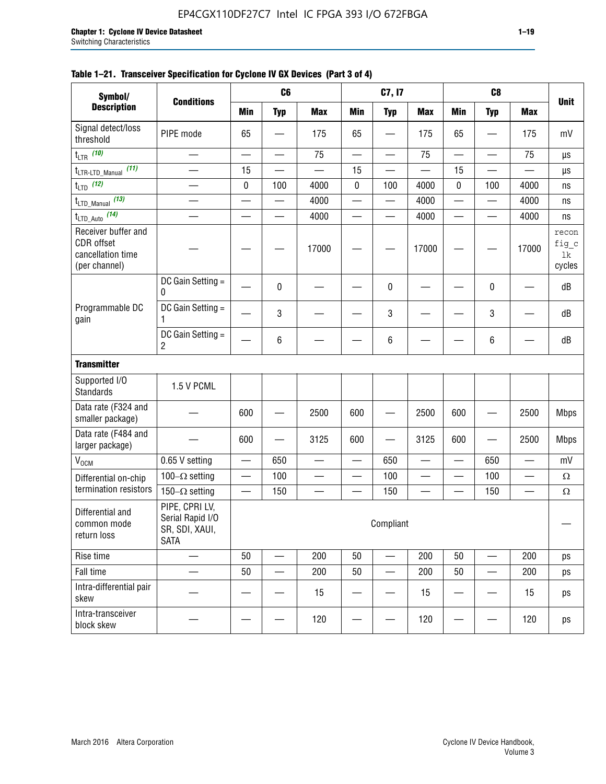#### **Table 1–21. Transceiver Specification for Cyclone IV GX Devices (Part 3 of 4)**

| Symbol/                                                                 |                                                                     |                          | C <sub>6</sub>           |                          |                          | C7, I7                   |                          |                          | C <sub>8</sub>           |                          |                                |
|-------------------------------------------------------------------------|---------------------------------------------------------------------|--------------------------|--------------------------|--------------------------|--------------------------|--------------------------|--------------------------|--------------------------|--------------------------|--------------------------|--------------------------------|
| <b>Description</b>                                                      | <b>Conditions</b>                                                   | <b>Min</b>               | <b>Typ</b>               | <b>Max</b>               | <b>Min</b>               | <b>Typ</b>               | <b>Max</b>               | <b>Min</b>               | <b>Typ</b>               | <b>Max</b>               | <b>Unit</b>                    |
| Signal detect/loss<br>threshold                                         | PIPE mode                                                           | 65                       |                          | 175                      | 65                       |                          | 175                      | 65                       | $\overline{\phantom{0}}$ | 175                      | mV                             |
| $t_{LTR}$ (10)                                                          | $\overline{\phantom{0}}$                                            | $\overline{\phantom{0}}$ | $\overline{\phantom{0}}$ | 75                       | $\overline{\phantom{0}}$ |                          | 75                       | $\overline{\phantom{0}}$ | $\qquad \qquad$          | 75                       | μs                             |
| (11)<br>$t_{\text{LTR-LTD\_Manual}}$                                    |                                                                     | 15                       |                          |                          | 15                       |                          |                          | 15                       | $\overline{\phantom{0}}$ |                          | μs                             |
| $t_{LTD}$ (12)                                                          |                                                                     | 0                        | 100                      | 4000                     | $\mathbf 0$              | 100                      | 4000                     | 0                        | 100                      | 4000                     | ns                             |
| $t_{\text{LTD\_Manual}}$ (13)                                           | $\overline{\phantom{0}}$                                            | $\overline{\phantom{0}}$ | $\overline{\phantom{0}}$ | 4000                     | $\overline{\phantom{0}}$ |                          | 4000                     | $\overline{\phantom{0}}$ | $\overline{\phantom{0}}$ | 4000                     | ns                             |
| $t_{\text{LTD\_Auto}}$ (14)                                             |                                                                     |                          |                          | 4000                     |                          |                          | 4000                     | $\overline{\phantom{0}}$ | $\overline{\phantom{0}}$ | 4000                     | ns                             |
| Receiver buffer and<br>CDR offset<br>cancellation time<br>(per channel) |                                                                     |                          |                          | 17000                    |                          |                          | 17000                    |                          |                          | 17000                    | recon<br>fig_c<br>lk<br>cycles |
|                                                                         | DC Gain Setting =<br>0                                              |                          | 0                        |                          |                          | 0                        |                          |                          | 0                        |                          | dB                             |
| Programmable DC<br>gain                                                 | DC Gain Setting =<br>1                                              |                          | 3                        |                          |                          | 3                        |                          |                          | $\mathbf 3$              |                          | dB                             |
|                                                                         | DC Gain Setting =<br>$\overline{2}$                                 |                          | $\,6\,$                  |                          |                          | 6                        |                          |                          | 6                        |                          | dB                             |
| <b>Transmitter</b>                                                      |                                                                     |                          |                          |                          |                          |                          |                          |                          |                          |                          |                                |
| Supported I/O<br><b>Standards</b>                                       | 1.5 V PCML                                                          |                          |                          |                          |                          |                          |                          |                          |                          |                          |                                |
| Data rate (F324 and<br>smaller package)                                 |                                                                     | 600                      |                          | 2500                     | 600                      |                          | 2500                     | 600                      | $\overline{\phantom{0}}$ | 2500                     | <b>Mbps</b>                    |
| Data rate (F484 and<br>larger package)                                  |                                                                     | 600                      | —                        | 3125                     | 600                      | —                        | 3125                     | 600                      | —                        | 2500                     | <b>Mbps</b>                    |
| $\rm V_{\rm OCM}$                                                       | 0.65 V setting                                                      |                          | 650                      | $\overline{\phantom{0}}$ | $\overline{\phantom{0}}$ | 650                      | $\overline{\phantom{0}}$ | $\overline{\phantom{0}}$ | 650                      | $\overline{\phantom{0}}$ | mV                             |
| Differential on-chip                                                    | 100 $-\Omega$ setting                                               |                          | 100                      | $\overline{\phantom{0}}$ | $\overline{\phantom{0}}$ | 100                      | $\overline{\phantom{0}}$ | $\overline{\phantom{0}}$ | 100                      | $\overline{\phantom{0}}$ | $\Omega$                       |
| termination resistors                                                   | 150 $-\Omega$ setting                                               | $\qquad \qquad$          | 150                      | $\overline{\phantom{0}}$ | —                        | 150                      | $\overline{\phantom{0}}$ | $\qquad \qquad$          | 150                      |                          | $\Omega$                       |
| Differential and<br>common mode<br>return loss                          | PIPE, CPRI LV,<br>Serial Rapid I/O<br>SR, SDI, XAUI,<br><b>SATA</b> |                          |                          |                          |                          | Compliant                |                          |                          |                          |                          |                                |
| Rise time                                                               |                                                                     | 50                       | $\overline{\phantom{0}}$ | 200                      | 50                       | $\overline{\phantom{0}}$ | 200                      | 50                       | $\overline{\phantom{0}}$ | 200                      | ps                             |
| Fall time                                                               | $\overline{\phantom{0}}$                                            | 50                       |                          | 200                      | 50                       | $\qquad \qquad$          | 200                      | 50                       | $\overline{\phantom{0}}$ | 200                      | ps                             |
| Intra-differential pair<br>skew                                         |                                                                     |                          |                          | 15                       |                          |                          | 15                       | —                        | $\qquad \qquad -$        | 15                       | ps                             |
| Intra-transceiver<br>block skew                                         |                                                                     |                          |                          | 120                      |                          |                          | 120                      |                          | —                        | 120                      | ps                             |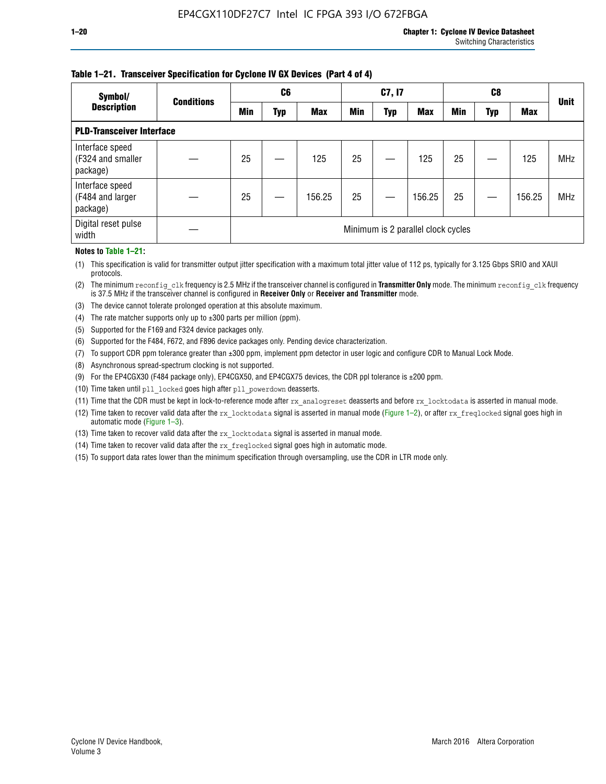#### **Table 1–21. Transceiver Specification for Cyclone IV GX Devices (Part 4 of 4)**

| Symbol/                                          | <b>Conditions</b> |                                    | C <sub>6</sub> |            | C7, I7     |            |            |            |     | <b>Unit</b> |            |
|--------------------------------------------------|-------------------|------------------------------------|----------------|------------|------------|------------|------------|------------|-----|-------------|------------|
| <b>Description</b>                               |                   | Min                                | Typ            | <b>Max</b> | <b>Min</b> | <b>Typ</b> | <b>Max</b> | <b>Min</b> | Typ | <b>Max</b>  |            |
| <b>PLD-Transceiver Interface</b>                 |                   |                                    |                |            |            |            |            |            |     |             |            |
| Interface speed<br>(F324 and smaller<br>package) |                   | 25                                 |                | 125        | 25         |            | 125        | 25         |     | 125         | <b>MHz</b> |
| Interface speed<br>(F484 and larger<br>package)  |                   | 25                                 |                | 156.25     | 25         |            | 156.25     | 25         |     | 156.25      | <b>MHz</b> |
| Digital reset pulse<br>width                     |                   | Minimum is 2 parallel clock cycles |                |            |            |            |            |            |     |             |            |

#### **Notes to Table 1–21:**

(1) This specification is valid for transmitter output jitter specification with a maximum total jitter value of 112 ps, typically for 3.125 Gbps SRIO and XAUI protocols.

(2) The minimum reconfig\_clk frequency is 2.5 MHz if the transceiver channel is configured in **Transmitter Only** mode. The minimum reconfig\_clk frequency is 37.5 MHz if the transceiver channel is configured in **Receiver Only** or **Receiver and Transmitter** mode.

(3) The device cannot tolerate prolonged operation at this absolute maximum.

- (4) The rate matcher supports only up to  $\pm 300$  parts per million (ppm).
- (5) Supported for the F169 and F324 device packages only.
- (6) Supported for the F484, F672, and F896 device packages only. Pending device characterization.
- (7) To support CDR ppm tolerance greater than ±300 ppm, implement ppm detector in user logic and configure CDR to Manual Lock Mode.
- (8) Asynchronous spread-spectrum clocking is not supported.
- (9) For the EP4CGX30 (F484 package only), EP4CGX50, and EP4CGX75 devices, the CDR ppl tolerance is ±200 ppm.
- (10) Time taken until pll\_locked goes high after pll\_powerdown deasserts.
- (11) Time that the CDR must be kept in lock-to-reference mode after rx analogreset deasserts and before rx locktodata is asserted in manual mode.

(12) Time taken to recover valid data after the rx locktodata signal is asserted in manual mode (Figure 1–2), or after rx freqlocked signal goes high in automatic mode (Figure 1–3).

(13) Time taken to recover valid data after the rx locktodata signal is asserted in manual mode.

- (14) Time taken to recover valid data after the rx freqlocked signal goes high in automatic mode.
- (15) To support data rates lower than the minimum specification through oversampling, use the CDR in LTR mode only.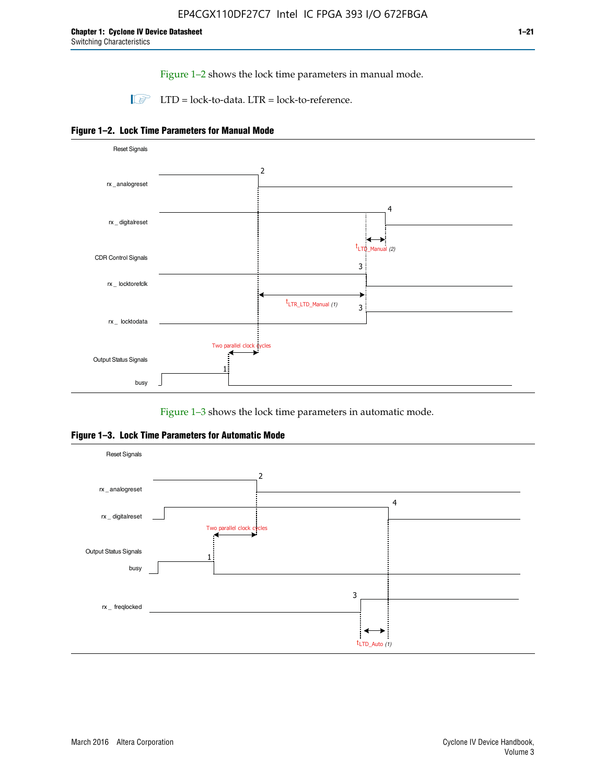Figure 1–2 shows the lock time parameters in manual mode.

 $\Box$  LTD = lock-to-data. LTR = lock-to-reference.





Figure 1–3 shows the lock time parameters in automatic mode.

**Figure 1–3. Lock Time Parameters for Automatic Mode**

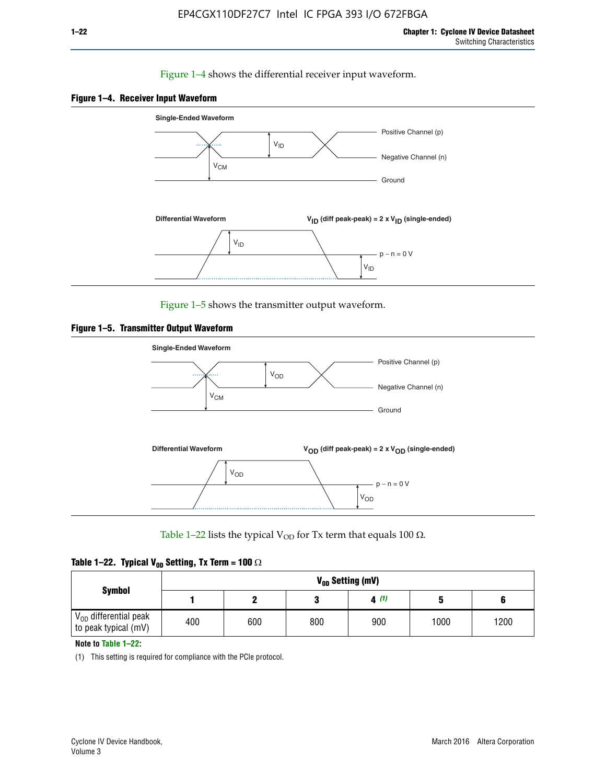#### Figure 1–4 shows the differential receiver input waveform.





Figure 1–5 shows the transmitter output waveform.





Table 1–22 lists the typical V<sub>OD</sub> for Tx term that equals 100  $\Omega$ .

|  |  | Table 1–22. Typical V <sub>0D</sub> Setting, Tx Term = 100 $\Omega$ |  |  |
|--|--|---------------------------------------------------------------------|--|--|
|--|--|---------------------------------------------------------------------|--|--|

| <b>Symbol</b><br>$\rm V_{OD}$ differential peak<br>to peak typical (mV) |     | V <sub>on</sub> Setting (mV) |     |      |      |      |  |  |  |  |  |  |  |
|-------------------------------------------------------------------------|-----|------------------------------|-----|------|------|------|--|--|--|--|--|--|--|
|                                                                         |     |                              |     | 4(1) |      |      |  |  |  |  |  |  |  |
|                                                                         | 400 | 600                          | 800 | 900  | 1000 | 1200 |  |  |  |  |  |  |  |

**Note to Table 1–22:**

(1) This setting is required for compliance with the PCIe protocol.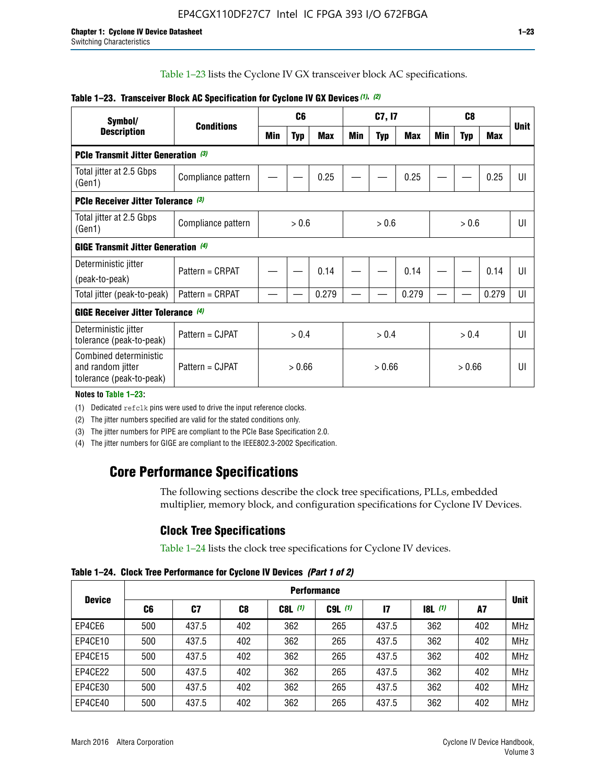Table 1–23 lists the Cyclone IV GX transceiver block AC specifications.

| Symbol/                                                                 |                                            |       | C <sub>6</sub> |            | C7, I7 |            |       |       |            |       |             |  |
|-------------------------------------------------------------------------|--------------------------------------------|-------|----------------|------------|--------|------------|-------|-------|------------|-------|-------------|--|
| <b>Description</b>                                                      | <b>Conditions</b>                          | Min   | <b>Typ</b>     | <b>Max</b> | Min    | <b>Typ</b> | Max   | Min   | <b>Typ</b> | Max   | <b>Unit</b> |  |
| <b>PCIe Transmit Jitter Generation (3)</b>                              |                                            |       |                |            |        |            |       |       |            |       |             |  |
| Total jitter at 2.5 Gbps<br>(Gen1)                                      | Compliance pattern                         |       |                | 0.25       |        |            | 0.25  |       |            | 0.25  | UI          |  |
| <b>PCIe Receiver Jitter Tolerance (3)</b>                               |                                            |       |                |            |        |            |       |       |            |       |             |  |
| Total jitter at 2.5 Gbps<br>(Gen1)                                      | Compliance pattern                         | > 0.6 |                |            | > 0.6  |            |       |       | > 0.6      | UI    |             |  |
|                                                                         | <b>GIGE Transmit Jitter Generation (4)</b> |       |                |            |        |            |       |       |            |       |             |  |
| Deterministic jitter<br>(peak-to-peak)                                  | Pattern = CRPAT                            |       |                | 0.14       |        |            | 0.14  |       |            | 0.14  | UI          |  |
| Total jitter (peak-to-peak)                                             | Pattern = CRPAT                            |       |                | 0.279      |        |            | 0.279 |       |            | 0.279 | UI          |  |
| GIGE Receiver Jitter Tolerance (4)                                      |                                            |       |                |            |        |            |       |       |            |       |             |  |
| Deterministic jitter<br>tolerance (peak-to-peak)                        | Pattern = CJPAT                            |       | > 0.4          |            | > 0.4  |            |       | > 0.4 |            |       | UI          |  |
| Combined deterministic<br>and random jitter<br>tolerance (peak-to-peak) | Pattern = CJPAT                            |       | > 0.66         |            |        | > 0.66     |       |       | > 0.66     |       | UI          |  |

#### **Table 1–23. Transceiver Block AC Specification for Cyclone IV GX Devices** *(1)***,** *(2)*

**Notes to Table 1–23:**

(1) Dedicated refclk pins were used to drive the input reference clocks.

(2) The jitter numbers specified are valid for the stated conditions only.

(3) The jitter numbers for PIPE are compliant to the PCIe Base Specification 2.0.

(4) The jitter numbers for GIGE are compliant to the IEEE802.3-2002 Specification.

## **Core Performance Specifications**

The following sections describe the clock tree specifications, PLLs, embedded multiplier, memory block, and configuration specifications for Cyclone IV Devices.

## **Clock Tree Specifications**

Table 1–24 lists the clock tree specifications for Cyclone IV devices.

**Table 1–24. Clock Tree Performance for Cyclone IV Devices** *(Part 1 of 2)*

| <b>Device</b> |     | <b>Performance</b> |     |           |             |       |                  |     |             |  |  |  |  |  |  |
|---------------|-----|--------------------|-----|-----------|-------------|-------|------------------|-----|-------------|--|--|--|--|--|--|
|               | C6  | C7                 | C8  | $C8L$ (1) | $C9L$ $(1)$ | 17    | <b>18L</b> $(1)$ | A7  | <b>Unit</b> |  |  |  |  |  |  |
| EP4CE6        | 500 | 437.5              | 402 | 362       | 265         | 437.5 | 362              | 402 | <b>MHz</b>  |  |  |  |  |  |  |
| EP4CE10       | 500 | 437.5              | 402 | 362       | 265         | 437.5 | 362              | 402 | <b>MHz</b>  |  |  |  |  |  |  |
| EP4CE15       | 500 | 437.5              | 402 | 362       | 265         | 437.5 | 362              | 402 | <b>MHz</b>  |  |  |  |  |  |  |
| EP4CE22       | 500 | 437.5              | 402 | 362       | 265         | 437.5 | 362              | 402 | <b>MHz</b>  |  |  |  |  |  |  |
| EP4CE30       | 500 | 437.5              | 402 | 362       | 265         | 437.5 | 362              | 402 | <b>MHz</b>  |  |  |  |  |  |  |
| EP4CE40       | 500 | 437.5              | 402 | 362       | 265         | 437.5 | 362              | 402 | <b>MHz</b>  |  |  |  |  |  |  |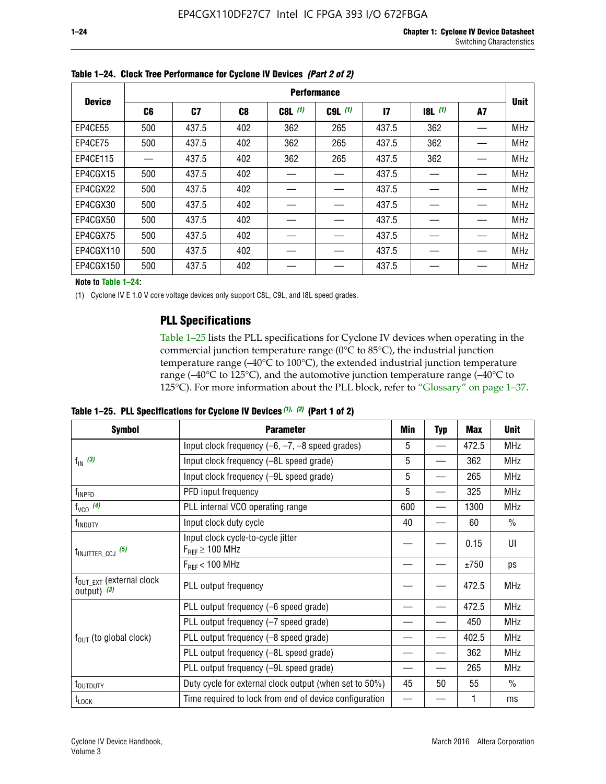|               |                | <b>Performance</b> |     |           |             |              |           |    |             |  |  |  |  |  |  |
|---------------|----------------|--------------------|-----|-----------|-------------|--------------|-----------|----|-------------|--|--|--|--|--|--|
| <b>Device</b> | C <sub>6</sub> | C <sub>7</sub>     | C8  | $C8L$ (1) | $C9L$ $(1)$ | $\mathbf{I}$ | $18L$ (1) | A7 | <b>Unit</b> |  |  |  |  |  |  |
| EP4CE55       | 500            | 437.5              | 402 | 362       | 265         | 437.5        | 362       |    | <b>MHz</b>  |  |  |  |  |  |  |
| EP4CE75       | 500            | 437.5              | 402 | 362       | 265         | 437.5        | 362       |    | <b>MHz</b>  |  |  |  |  |  |  |
| EP4CE115      |                | 437.5              | 402 | 362       | 265         | 437.5        | 362       |    | <b>MHz</b>  |  |  |  |  |  |  |
| EP4CGX15      | 500            | 437.5              | 402 |           |             | 437.5        |           |    | <b>MHz</b>  |  |  |  |  |  |  |
| EP4CGX22      | 500            | 437.5              | 402 |           |             | 437.5        |           |    | <b>MHz</b>  |  |  |  |  |  |  |
| EP4CGX30      | 500            | 437.5              | 402 |           |             | 437.5        |           |    | <b>MHz</b>  |  |  |  |  |  |  |
| EP4CGX50      | 500            | 437.5              | 402 |           |             | 437.5        |           |    | <b>MHz</b>  |  |  |  |  |  |  |
| EP4CGX75      | 500            | 437.5              | 402 |           |             | 437.5        |           |    | <b>MHz</b>  |  |  |  |  |  |  |
| EP4CGX110     | 500            | 437.5              | 402 |           |             | 437.5        |           |    | <b>MHz</b>  |  |  |  |  |  |  |
| EP4CGX150     | 500            | 437.5              | 402 |           |             | 437.5        |           |    | <b>MHz</b>  |  |  |  |  |  |  |

**Table 1–24. Clock Tree Performance for Cyclone IV Devices** *(Part 2 of 2)*

**Note to Table 1–24:**

(1) Cyclone IV E 1.0 V core voltage devices only support C8L, C9L, and I8L speed grades.

### **PLL Specifications**

Table 1–25 lists the PLL specifications for Cyclone IV devices when operating in the commercial junction temperature range (0°C to 85°C), the industrial junction temperature range (–40°C to 100°C), the extended industrial junction temperature range (–40°C to 125°C), and the automotive junction temperature range (–40°C to 125°C). For more information about the PLL block, refer to "Glossary" on page 1–37.

|  |  | Table 1–25. PLL Specifications for Cyclone IV Devices $(1)$ , $(2)$ (Part 1 of 2) |  |
|--|--|-----------------------------------------------------------------------------------|--|
|--|--|-----------------------------------------------------------------------------------|--|

| <b>Symbol</b>                                          | <b>Parameter</b>                                            | Min | <b>Typ</b>               | <b>Max</b> | <b>Unit</b>   |
|--------------------------------------------------------|-------------------------------------------------------------|-----|--------------------------|------------|---------------|
|                                                        | Input clock frequency $(-6, -7, -8)$ speed grades)          | 5   | $\qquad \qquad$          | 472.5      | <b>MHz</b>    |
| $f_{\text{IN}}(3)$                                     | Input clock frequency (-8L speed grade)                     | 5   |                          | 362        | <b>MHz</b>    |
|                                                        | Input clock frequency (-9L speed grade)                     | 5   |                          | 265        | <b>MHz</b>    |
| f <sub>INPFD</sub>                                     | PFD input frequency                                         | 5   | $\overline{\phantom{0}}$ | 325        | <b>MHz</b>    |
| $f_{VCO}$ (4)                                          | PLL internal VCO operating range                            | 600 |                          | 1300       | <b>MHz</b>    |
| f <sub>INDUTY</sub>                                    | Input clock duty cycle                                      | 40  |                          | 60         | $\frac{0}{0}$ |
| $t_{\text{INJITTER\_CCJ}}$ (5)                         | Input clock cycle-to-cycle jitter<br>$F_{REF} \geq 100$ MHz |     |                          | 0.15       | UI            |
|                                                        | $F_{RFF}$ < 100 MHz                                         |     |                          | ±750       | ps            |
| $f_{\text{OUT\_EXT}}$ (external clock<br>output) $(3)$ | PLL output frequency                                        |     |                          | 472.5      | <b>MHz</b>    |
|                                                        | PLL output frequency (-6 speed grade)                       |     |                          | 472.5      | <b>MHz</b>    |
|                                                        | PLL output frequency (-7 speed grade)                       |     |                          | 450        | <b>MHz</b>    |
| $f_{OUT}$ (to global clock)                            | PLL output frequency (-8 speed grade)                       |     |                          | 402.5      | <b>MHz</b>    |
|                                                        | PLL output frequency (-8L speed grade)                      |     |                          | 362        | <b>MHz</b>    |
|                                                        | PLL output frequency (-9L speed grade)                      |     |                          | 265        | <b>MHz</b>    |
| t <sub>outduty</sub>                                   | Duty cycle for external clock output (when set to 50%)      | 45  | 50                       | 55         | $\frac{0}{0}$ |
| $t_{\text{LOCK}}$                                      | Time required to lock from end of device configuration      |     |                          |            | ms            |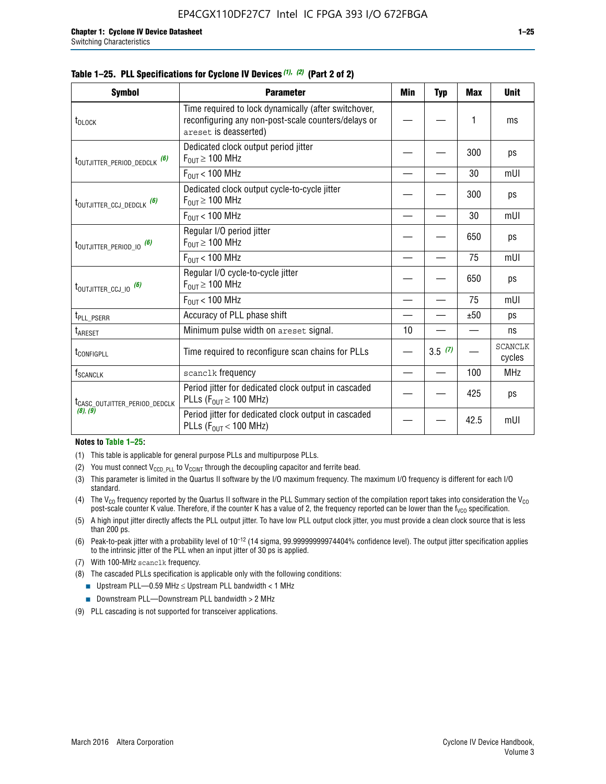|  |  | Table 1–25. PLL Specifications for Cyclone IV Devices (1), (2) (Part 2 of 2) |  |
|--|--|------------------------------------------------------------------------------|--|
|--|--|------------------------------------------------------------------------------|--|

| <b>Symbol</b>                                | <b>Parameter</b>                                                                                                                     | Min | <b>Typ</b> | <b>Max</b> | <b>Unit</b>              |
|----------------------------------------------|--------------------------------------------------------------------------------------------------------------------------------------|-----|------------|------------|--------------------------|
| t <sub>DLOCK</sub>                           | Time required to lock dynamically (after switchover,<br>reconfiguring any non-post-scale counters/delays or<br>areset is deasserted) |     |            | 1          | ms                       |
| t <sub>outjitter_period_dedclk</sub> (6)     | Dedicated clock output period jitter<br>$F_{OIII} \geq 100$ MHz                                                                      |     |            | 300        | ps                       |
|                                              | $F_{OIII}$ < 100 MHz                                                                                                                 |     |            | 30         | mUI                      |
| t <sub>outjitter_ccj_dedclk</sub> (6)        | Dedicated clock output cycle-to-cycle jitter<br>$F_{\text{OUT}} \geq 100 \text{ MHz}$                                                |     |            | 300        | ps                       |
|                                              | $F_{\text{OUT}}$ < 100 MHz                                                                                                           |     |            | 30         | mUI                      |
| $t_{\text{OUTJITTER}_P \text{ERIOD}_10}$ (6) | Regular I/O period jitter<br>$F_{\text{OUT}} \geq 100 \text{ MHz}$                                                                   |     |            | 650        | ps                       |
|                                              | $F_{\text{OUT}}$ < 100 MHz                                                                                                           |     |            | 75         | mUI                      |
| t <sub>outjitter_ccj_io</sub> (6)            | Regular I/O cycle-to-cycle jitter<br>$F_{OUT} \geq 100$ MHz                                                                          |     |            | 650        | ps                       |
|                                              | $F_{OIII}$ < 100 MHz                                                                                                                 |     |            | 75         | mUI                      |
| t <sub>PLL_PSERR</sub>                       | Accuracy of PLL phase shift                                                                                                          |     |            | ±50        | ps                       |
| t <sub>ARESET</sub>                          | Minimum pulse width on areset signal.                                                                                                | 10  |            |            | ns                       |
| <b><i>LCONFIGPLL</i></b>                     | Time required to reconfigure scan chains for PLLs                                                                                    |     | 3.5(7)     |            | <b>SCANCLK</b><br>cycles |
| $f_{\text{SCANCLK}}$                         | scanclk frequency                                                                                                                    |     |            | 100        | <b>MHz</b>               |
| t <sub>CASC_OUTJITTER_PERIOD_DEDCLK</sub>    | Period jitter for dedicated clock output in cascaded<br>PLLs ( $F_{OUT} \ge 100$ MHz)                                                |     |            | 425        | ps                       |
| (8), (9)                                     | Period jitter for dedicated clock output in cascaded<br>PLLs ( $F_{OUT}$ < 100 MHz)                                                  |     |            | 42.5       | mUI                      |

#### **Notes to Table 1–25:**

- (1) This table is applicable for general purpose PLLs and multipurpose PLLs.
- (2) You must connect  $V_{CCD-PLL}$  to  $V_{CCINT}$  through the decoupling capacitor and ferrite bead.
- (3) This parameter is limited in the Quartus II software by the I/O maximum frequency. The maximum I/O frequency is different for each I/O standard.
- (4) The  $V_{CO}$  frequency reported by the Quartus II software in the PLL Summary section of the compilation report takes into consideration the  $V_{CO}$ post-scale counter K value. Therefore, if the counter K has a value of 2, the frequency reported can be lower than the f<sub>VCO</sub> specification.
- (5) A high input jitter directly affects the PLL output jitter. To have low PLL output clock jitter, you must provide a clean clock source that is less than 200 ps.
- (6) Peak-to-peak jitter with a probability level of 10–12 (14 sigma, 99.99999999974404% confidence level). The output jitter specification applies to the intrinsic jitter of the PLL when an input jitter of 30 ps is applied.
- (7) With 100-MHz scanclk frequency.
- (8) The cascaded PLLs specification is applicable only with the following conditions:
	- **■** Upstream PLL—0.59 MHz  $\leq$  Upstream PLL bandwidth  $<$  1 MHz
	- Downstream PLL—Downstream PLL bandwidth > 2 MHz
- (9) PLL cascading is not supported for transceiver applications.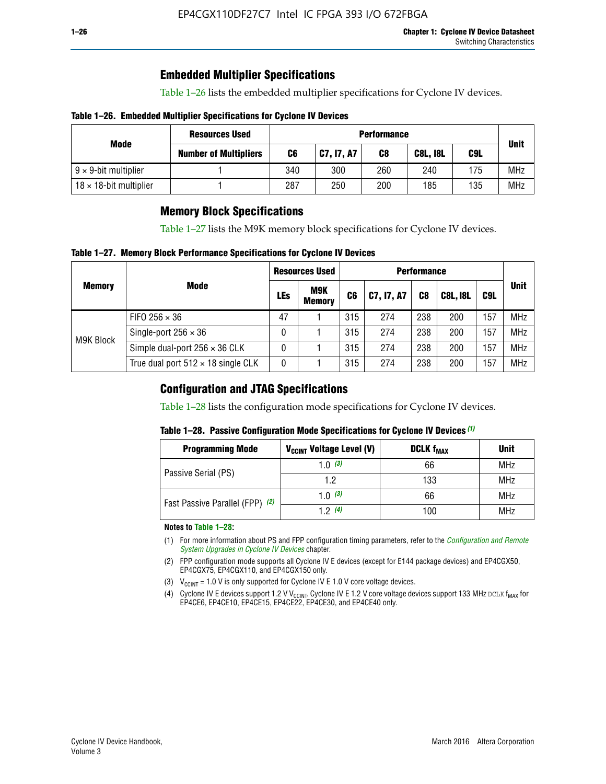## **Embedded Multiplier Specifications**

Table 1–26 lists the embedded multiplier specifications for Cyclone IV devices.

#### **Table 1–26. Embedded Multiplier Specifications for Cyclone IV Devices**

|                                | <b>Resources Used</b>        | <b>Performance</b> |            |     |                 |     |            |  |  |  |  |
|--------------------------------|------------------------------|--------------------|------------|-----|-----------------|-----|------------|--|--|--|--|
| Mode                           | <b>Number of Multipliers</b> | C6                 | C7, I7, A7 | C8  | <b>C8L, I8L</b> | C9L |            |  |  |  |  |
| $9 \times 9$ -bit multiplier   |                              | 340                | 300        | 260 | 240             | 175 | <b>MHz</b> |  |  |  |  |
| $18 \times 18$ -bit multiplier |                              | 287                | 250        | 200 | 185             | 135 | <b>MHz</b> |  |  |  |  |

## **Memory Block Specifications**

Table 1–27 lists the M9K memory block specifications for Cyclone IV devices.

#### **Table 1–27. Memory Block Performance Specifications for Cyclone IV Devices**

|               |                                           |     | <b>Resources Used</b>       |                |            |                |                 |     |             |
|---------------|-------------------------------------------|-----|-----------------------------|----------------|------------|----------------|-----------------|-----|-------------|
| <b>Memory</b> | <b>Mode</b>                               | LEs | <b>M9K</b><br><b>Memory</b> | C <sub>6</sub> | C7, I7, A7 | C <sub>8</sub> | <b>C8L, I8L</b> | C9L | <b>Unit</b> |
| M9K Block     | FIFO 256 $\times$ 36                      | 47  |                             | 315            | 274        | 238            | 200             | 157 | <b>MHz</b>  |
|               | Single-port $256 \times 36$               | 0   |                             | 315            | 274        | 238            | 200             | 157 | <b>MHz</b>  |
|               | Simple dual-port $256 \times 36$ CLK      | 0   |                             | 315            | 274        | 238            | 200             | 157 | <b>MHz</b>  |
|               | True dual port $512 \times 18$ single CLK | 0   |                             | 315            | 274        | 238            | 200             | 157 | <b>MHz</b>  |

### **Configuration and JTAG Specifications**

Table 1–28 lists the configuration mode specifications for Cyclone IV devices.

#### **Table 1–28. Passive Configuration Mode Specifications for Cyclone IV Devices** *(1)*

| <b>Programming Mode</b>         | V <sub>CCINT</sub> Voltage Level (V) | <b>DCLK f<sub>MAX</sub></b> | <b>Unit</b> |
|---------------------------------|--------------------------------------|-----------------------------|-------------|
| Passive Serial (PS)             | 1.0 $(3)$                            | 66                          | MHz         |
|                                 | 1.2                                  | 133                         | MHz         |
| Fast Passive Parallel (FPP) (2) | 1.0 $(3)$                            | 66                          | <b>MHz</b>  |
|                                 | 12(4)                                | 100                         | <b>MHz</b>  |

#### **Notes to Table 1–28:**

- (1) For more information about PS and FPP configuration timing parameters, refer to the *[Configuration and Remote](http://www.altera.com/literature/hb/cyclone-iv/cyiv-51008.pdf)  [System Upgrades in Cyclone IV Devices](http://www.altera.com/literature/hb/cyclone-iv/cyiv-51008.pdf)* chapter.
- (2) FPP configuration mode supports all Cyclone IV E devices (except for E144 package devices) and EP4CGX50, EP4CGX75, EP4CGX110, and EP4CGX150 only.
- (3)  $V_{CCMT}$  = 1.0 V is only supported for Cyclone IV E 1.0 V core voltage devices.
- (4) Cyclone IV E devices support 1.2 V V<sub>CCINT</sub>. Cyclone IV E 1.2 V core voltage devices support 133 MHz DCLK f<sub>MAX</sub> for EP4CE6, EP4CE10, EP4CE15, EP4CE22, EP4CE30, and EP4CE40 only.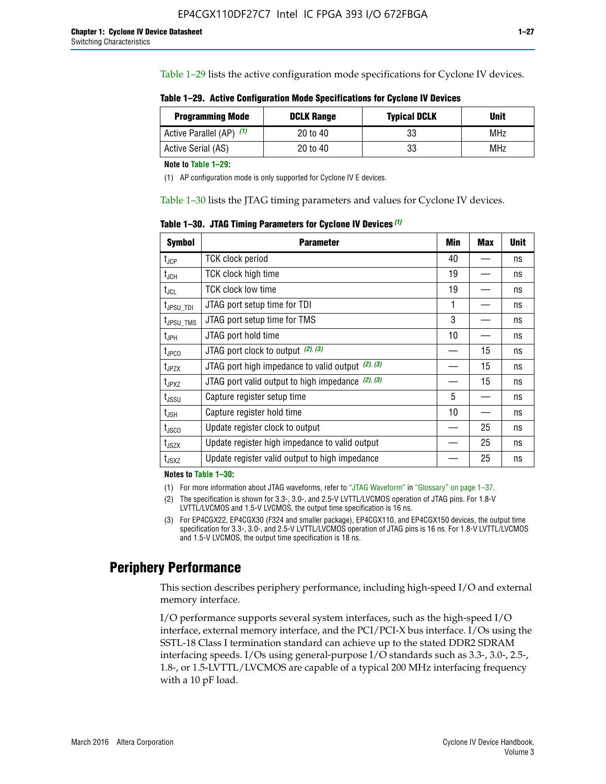Table 1–29 lists the active configuration mode specifications for Cyclone IV devices.

**Table 1–29. Active Configuration Mode Specifications for Cyclone IV Devices**

| <b>Programming Mode</b>  | <b>DCLK Range</b> | <b>Typical DCLK</b> | Unit |
|--------------------------|-------------------|---------------------|------|
| Active Parallel (AP) (1) | 20 to 40          | 33                  | MHz  |
| Active Serial (AS)       | 20 to 40          | 33                  | MHz  |

**Note to Table 1–29:**

(1) AP configuration mode is only supported for Cyclone IV E devices.

Table 1–30 lists the JTAG timing parameters and values for Cyclone IV devices.

**Table 1–30. JTAG Timing Parameters for Cyclone IV Devices** *(1)*

| <b>Symbol</b>                | <b>Parameter</b>                                       | Min | <b>Max</b> | <b>Unit</b> |
|------------------------------|--------------------------------------------------------|-----|------------|-------------|
| $t_{JCP}$                    | <b>TCK clock period</b>                                | 40  |            | ns          |
| $t_{\sf JCH}$                | TCK clock high time                                    | 19  |            | ns          |
| $t_{\sf JCL}$                | <b>TCK clock low time</b>                              | 19  |            | ns          |
| $t_{JPSU\_TDI}$              | JTAG port setup time for TDI                           | 1   |            | ns          |
| t <sub>JPSU_TMS</sub>        | JTAG port setup time for TMS                           | 3   |            | ns          |
| $t_{\sf JPH}$                | JTAG port hold time                                    | 10  |            | ns          |
| t <sub>JPCO</sub>            | JTAG port clock to output (2), (3)                     |     | 15         | ns          |
| $t_{JPZX}$                   | JTAG port high impedance to valid output $(2)$ , $(3)$ |     | 15         | ns          |
| t <sub>JPXZ</sub>            | JTAG port valid output to high impedance $(2)$ , $(3)$ |     | 15         | ns          |
| $t_{\rm JSSU}$               | Capture register setup time                            | 5   |            | ns          |
| $t_{\mathsf{JSH}}$           | Capture register hold time                             | 10  |            | ns          |
| t <sub>JSCO</sub>            | Update register clock to output                        |     | 25         | ns          |
| $t_{\footnotesize \rm JSZX}$ | Update register high impedance to valid output         |     | 25         | ns          |
| t <sub>JSXZ</sub>            | Update register valid output to high impedance         |     | 25         | ns          |

**Notes to Table 1–30:**

(1) For more information about JTAG waveforms, refer to "JTAG Waveform" in "Glossary" on page 1–37.

(2) The specification is shown for 3.3-, 3.0-, and 2.5-V LVTTL/LVCMOS operation of JTAG pins. For 1.8-V LVTTL/LVCMOS and 1.5-V LVCMOS, the output time specification is 16 ns.

(3) For EP4CGX22, EP4CGX30 (F324 and smaller package), EP4CGX110, and EP4CGX150 devices, the output time specification for 3.3-, 3.0-, and 2.5-V LVTTL/LVCMOS operation of JTAG pins is 16 ns. For 1.8-V LVTTL/LVCMOS and 1.5-V LVCMOS, the output time specification is 18 ns.

## **Periphery Performance**

This section describes periphery performance, including high-speed I/O and external memory interface.

I/O performance supports several system interfaces, such as the high-speed I/O interface, external memory interface, and the PCI/PCI-X bus interface. I/Os using the SSTL-18 Class I termination standard can achieve up to the stated DDR2 SDRAM interfacing speeds. I/Os using general-purpose I/O standards such as 3.3-, 3.0-, 2.5-, 1.8-, or 1.5-LVTTL/LVCMOS are capable of a typical 200 MHz interfacing frequency with a 10 pF load.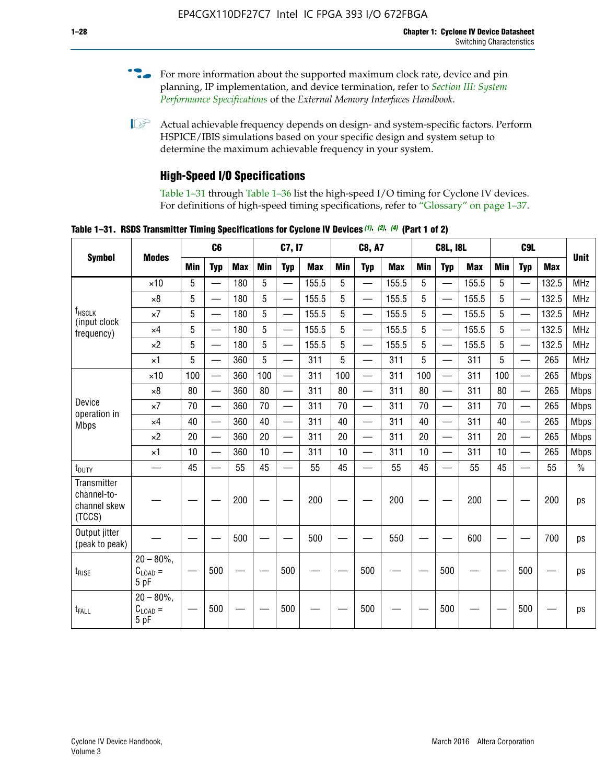- For more information about the supported maximum clock rate, device and pin planning, IP implementation, and device termination, refer to *[Section III: System](http://www.altera.com/literature/hb/external-memory/emi_intro_specs.pdf)  [Performance Specifications](http://www.altera.com/literature/hb/external-memory/emi_intro_specs.pdf)* of the *External Memory Interfaces Handbook*.
- **1 Actual achievable frequency depends on design- and system-specific factors. Perform** HSPICE/IBIS simulations based on your specific design and system setup to determine the maximum achievable frequency in your system.

## **High-Speed I/O Specifications**

Table 1–31 through Table 1–36 list the high-speed I/O timing for Cyclone IV devices. For definitions of high-speed timing specifications, refer to "Glossary" on page 1–37.

**Table 1–31. RSDS Transmitter Timing Specifications for Cyclone IV Devices** *(1)***,** *(2)***,** *(4)* **(Part 1 of 2)**

|                                                      |                                                     | C6              |            | C7, I7     |            | <b>C8, A7</b>            |            |            | <b>C8L, I8L</b>          |            |            | C <sub>9</sub> L         |            |            |                          |            |               |
|------------------------------------------------------|-----------------------------------------------------|-----------------|------------|------------|------------|--------------------------|------------|------------|--------------------------|------------|------------|--------------------------|------------|------------|--------------------------|------------|---------------|
| <b>Symbol</b>                                        | <b>Modes</b>                                        | Min             | <b>Typ</b> | <b>Max</b> | <b>Min</b> | <b>Typ</b>               | <b>Max</b> | <b>Min</b> | <b>Typ</b>               | <b>Max</b> | <b>Min</b> | <b>Typ</b>               | <b>Max</b> | <b>Min</b> | <b>Typ</b>               | <b>Max</b> | <b>Unit</b>   |
|                                                      | $\times$ 10                                         | 5               | —          | 180        | 5          | ÷,                       | 155.5      | 5          | $\overline{\phantom{0}}$ | 155.5      | 5          |                          | 155.5      | 5          |                          | 132.5      | <b>MHz</b>    |
|                                                      | $\times 8$                                          | 5               |            | 180        | 5          |                          | 155.5      | 5          | $\overline{\phantom{0}}$ | 155.5      | 5          |                          | 155.5      | 5          |                          | 132.5      | <b>MHz</b>    |
| f <sub>HSCLK</sub><br>(input clock                   | $\times 7$                                          | 5               |            | 180        | 5          |                          | 155.5      | 5          | $\overline{\phantom{0}}$ | 155.5      | 5          |                          | 155.5      | 5          |                          | 132.5      | <b>MHz</b>    |
| frequency)                                           | $\times$ 4                                          | 5               |            | 180        | 5          | $\overline{\phantom{0}}$ | 155.5      | 5          | $\qquad \qquad$          | 155.5      | 5          |                          | 155.5      | 5          | $\overline{\phantom{0}}$ | 132.5      | <b>MHz</b>    |
|                                                      | $\times 2$                                          | 5               |            | 180        | 5          |                          | 155.5      | 5          | $\equiv$                 | 155.5      | 5          | $\overline{\phantom{0}}$ | 155.5      | 5          | $\overline{\phantom{0}}$ | 132.5      | <b>MHz</b>    |
|                                                      | $\times$ 1                                          | 5               |            | 360        | 5          |                          | 311        | 5          | $\overline{\phantom{0}}$ | 311        | 5          | $\equiv$                 | 311        | 5          | $\equiv$                 | 265        | <b>MHz</b>    |
|                                                      | $\times$ 10                                         | 100             |            | 360        | 100        |                          | 311        | 100        | $\equiv$                 | 311        | 100        |                          | 311        | 100        | $\equiv$                 | 265        | <b>Mbps</b>   |
|                                                      | $\times 8$                                          | 80              |            | 360        | 80         |                          | 311        | 80         | $\overline{\phantom{0}}$ | 311        | 80         |                          | 311        | 80         | $\overline{\phantom{0}}$ | 265        | <b>Mbps</b>   |
| Device                                               | $\times 7$                                          | 70              |            | 360        | 70         | $\overline{\phantom{0}}$ | 311        | 70         | $\overline{\phantom{0}}$ | 311        | 70         |                          | 311        | 70         | $\equiv$                 | 265        | <b>Mbps</b>   |
| operation in<br><b>Mbps</b>                          | $\times$ 4                                          | 40              |            | 360        | 40         |                          | 311        | 40         | $\overline{\phantom{0}}$ | 311        | 40         |                          | 311        | 40         | $\overline{\phantom{0}}$ | 265        | <b>Mbps</b>   |
|                                                      | $\times 2$                                          | 20              |            | 360        | 20         | $\overline{\phantom{0}}$ | 311        | 20         | $\overline{\phantom{0}}$ | 311        | 20         | $\qquad \qquad$          | 311        | 20         |                          | 265        | <b>Mbps</b>   |
|                                                      | $\times$ 1                                          | 10              |            | 360        | 10         |                          | 311        | 10         | $\overline{\phantom{0}}$ | 311        | 10         | $\overline{\phantom{0}}$ | 311        | 10         | $\overline{\phantom{0}}$ | 265        | <b>Mbps</b>   |
| t <sub>DUTY</sub>                                    | —                                                   | 45              |            | 55         | 45         |                          | 55         | 45         | $\overline{\phantom{0}}$ | 55         | 45         |                          | 55         | 45         |                          | 55         | $\frac{0}{0}$ |
| Transmitter<br>channel-to-<br>channel skew<br>(TCCS) |                                                     |                 |            | 200        |            |                          | 200        |            |                          | 200        |            |                          | 200        |            |                          | 200        | ps            |
| Output jitter<br>(peak to peak)                      |                                                     |                 |            | 500        |            |                          | 500        |            |                          | 550        |            |                          | 600        |            |                          | 700        | ps            |
| t <sub>rise</sub>                                    | $20 - 80\%$<br>$\mathrm{C}_{\text{LOAD}}$ =<br>5 pF | $\qquad \qquad$ | 500        |            |            | 500                      |            |            | 500                      |            |            | 500                      |            |            | 500                      |            | ps            |
| t <sub>FALL</sub>                                    | $20 - 80\%$<br>$C_{LOAD} =$<br>5 pF                 |                 | 500        |            |            | 500                      |            |            | 500                      |            |            | 500                      |            |            | 500                      |            | ps            |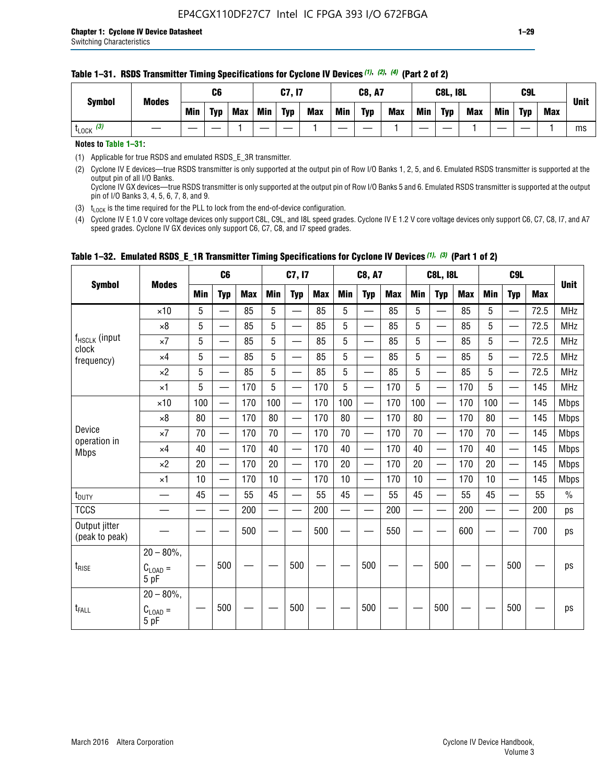| <b>Symbol</b>         | <b>Modes</b> |     | C <sub>6</sub> |            |            | C7, I7     |            |     | <b>C8, A7</b> |            |     | <b>C8L, I8L</b> |            |            | C9L        |            | <b>Unit</b> |
|-----------------------|--------------|-----|----------------|------------|------------|------------|------------|-----|---------------|------------|-----|-----------------|------------|------------|------------|------------|-------------|
|                       |              | Min | <b>Typ</b>     | <b>Max</b> | <b>Min</b> | <b>Typ</b> | <b>Max</b> | Min | <b>Typ</b>    | <b>Max</b> | Min | <b>Typ</b>      | <b>Max</b> | <b>Min</b> | <b>Typ</b> | <b>Max</b> |             |
| $t_{\text{LOCK}}$ (3) |              |     |                |            |            |            |            |     |               |            |     |                 |            |            |            |            | ms          |

#### **Table 1–31. RSDS Transmitter Timing Specifications for Cyclone IV Devices** *(1)***,** *(2)***,** *(4)* **(Part 2 of 2)**

**Notes to Table 1–31:**

(1) Applicable for true RSDS and emulated RSDS\_E\_3R transmitter.

(2) Cyclone IV E devices—true RSDS transmitter is only supported at the output pin of Row I/O Banks 1, 2, 5, and 6. Emulated RSDS transmitter is supported at the output pin of all I/O Banks. Cyclone IV GX devices—true RSDS transmitter is only supported at the output pin of Row I/O Banks 5 and 6. Emulated RSDS transmitter is supported at the output

pin of I/O Banks 3, 4, 5, 6, 7, 8, and 9. (3)  $t_{\text{LOCK}}$  is the time required for the PLL to lock from the end-of-device configuration.

(4) Cyclone IV E 1.0 V core voltage devices only support C8L, C9L, and I8L speed grades. Cyclone IV E 1.2 V core voltage devices only support C6, C7, C8, I7, and A7 speed grades. Cyclone IV GX devices only support C6, C7, C8, and I7 speed grades.

|                                 |                                     |     | C <sub>6</sub>           |     |            | C7, I7                   |            |                          | <b>C8, A7</b>            |            |            | <b>C8L, I8L</b>          |            |            | C <sub>9</sub> L         |            | <b>Unit</b>   |
|---------------------------------|-------------------------------------|-----|--------------------------|-----|------------|--------------------------|------------|--------------------------|--------------------------|------------|------------|--------------------------|------------|------------|--------------------------|------------|---------------|
| <b>Symbol</b>                   | <b>Modes</b>                        | Min | <b>Typ</b>               | Max | <b>Min</b> | <b>Typ</b>               | <b>Max</b> | <b>Min</b>               | <b>Typ</b>               | <b>Max</b> | <b>Min</b> | <b>Typ</b>               | <b>Max</b> | <b>Min</b> | <b>Typ</b>               | <b>Max</b> |               |
|                                 | $\times$ 10                         | 5   | $\overline{\phantom{0}}$ | 85  | 5          | $\overline{\phantom{0}}$ | 85         | 5                        | —                        | 85         | 5          |                          | 85         | 5          |                          | 72.5       | <b>MHz</b>    |
|                                 | $\times 8$                          | 5   | $\qquad \qquad$          | 85  | 5          | e e                      | 85         | 5                        | $\overline{\phantom{0}}$ | 85         | 5          | $\overline{\phantom{0}}$ | 85         | 5          | —                        | 72.5       | <b>MHz</b>    |
| f <sub>HSCLK</sub> (input       | $\times 7$                          | 5   | —                        | 85  | 5          | $\overline{\phantom{0}}$ | 85         | 5                        | $\overline{\phantom{0}}$ | 85         | 5          | —                        | 85         | 5          |                          | 72.5       | <b>MHz</b>    |
| clock<br>frequency)             | $\times$ 4                          | 5   | $\equiv$                 | 85  | 5          | $\overline{\phantom{0}}$ | 85         | 5                        | $\equiv$                 | 85         | 5          | $\equiv$                 | 85         | 5          |                          | 72.5       | <b>MHz</b>    |
|                                 | $\times 2$                          | 5   | —                        | 85  | 5          | $\overline{\phantom{0}}$ | 85         | 5                        | $\overline{\phantom{0}}$ | 85         | 5          |                          | 85         | 5          | $\overline{\phantom{0}}$ | 72.5       | <b>MHz</b>    |
|                                 | $\times$ 1                          | 5   | $\overline{\phantom{0}}$ | 170 | 5          |                          | 170        | 5                        | $\overline{\phantom{0}}$ | 170        | 5          | $\overline{\phantom{0}}$ | 170        | 5          |                          | 145        | <b>MHz</b>    |
|                                 | $\times$ 10                         | 100 |                          | 170 | 100        | $\equiv$                 | 170        | 100                      | $\qquad \qquad$          | 170        | 100        |                          | 170        | 100        | $\qquad \qquad$          | 145        | <b>Mbps</b>   |
|                                 | $\times 8$                          | 80  | $\overline{\phantom{0}}$ | 170 | 80         | $\overline{\phantom{0}}$ | 170        | 80                       | $\qquad \qquad$          | 170        | 80         | $\overline{\phantom{0}}$ | 170        | 80         |                          | 145        | <b>Mbps</b>   |
| Device                          | $\times 7$                          | 70  | $\overline{\phantom{0}}$ | 170 | 70         | —                        | 170        | 70                       |                          | 170        | 70         | $\overline{\phantom{0}}$ | 170        | 70         |                          | 145        | <b>Mbps</b>   |
| operation in<br><b>Mbps</b>     | $\times 4$                          | 40  |                          | 170 | 40         | $\overline{\phantom{0}}$ | 170        | 40                       | $\overline{\phantom{0}}$ | 170        | 40         | $\overline{\phantom{0}}$ | 170        | 40         | $\overline{\phantom{0}}$ | 145        | <b>Mbps</b>   |
|                                 | $\times 2$                          | 20  | $\overline{\phantom{0}}$ | 170 | 20         |                          | 170        | 20                       |                          | 170        | 20         |                          | 170        | 20         |                          | 145        | <b>Mbps</b>   |
|                                 | $\times$ 1                          | 10  |                          | 170 | 10         | $\overline{\phantom{0}}$ | 170        | 10                       | $\overline{\phantom{0}}$ | 170        | 10         | $\overline{\phantom{0}}$ | 170        | 10         |                          | 145        | <b>Mbps</b>   |
| t <sub>DUTY</sub>               |                                     | 45  |                          | 55  | 45         |                          | 55         | 45                       |                          | 55         | 45         | $\overline{\phantom{0}}$ | 55         | 45         |                          | 55         | $\frac{0}{0}$ |
| <b>TCCS</b>                     |                                     |     |                          | 200 |            |                          | 200        | $\overline{\phantom{0}}$ |                          | 200        |            | $\overline{\phantom{0}}$ | 200        |            |                          | 200        | ps            |
| Output jitter<br>(peak to peak) |                                     |     |                          | 500 |            |                          | 500        |                          |                          | 550        |            |                          | 600        |            |                          | 700        | ps            |
| $t_{\sf RISE}$                  | $20 - 80\%$<br>$C_{LOAD} =$<br>5 pF |     | 500                      |     |            | 500                      |            |                          | 500                      |            |            | 500                      |            |            | 500                      |            | ps            |
| t <sub>FALL</sub>               | $20 - 80\%$<br>$C_{LOAD} =$<br>5 pF |     | 500                      |     |            | 500                      |            |                          | 500                      |            |            | 500                      |            |            | 500                      |            | ps            |

#### **Table 1–32. Emulated RSDS\_E\_1R Transmitter Timing Specifications for Cyclone IV Devices** *(1), (3)* **(Part 1 of 2)**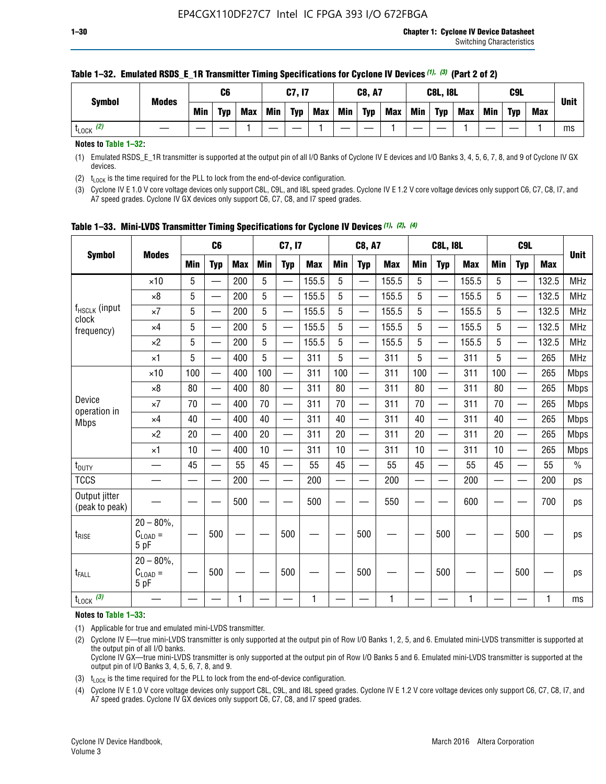| <b>Symbol</b>        | <b>Modes</b> |     | C6         |     |            | C7, I7     |            |            | <b>C8, A7</b> |            |            | <b>C8L, I8L</b> |            |     | <b>C9L</b> |            | <b>Unit</b> |
|----------------------|--------------|-----|------------|-----|------------|------------|------------|------------|---------------|------------|------------|-----------------|------------|-----|------------|------------|-------------|
|                      |              | Min | <b>Typ</b> | Max | <b>Min</b> | <b>Typ</b> | <b>Max</b> | <b>Min</b> | <b>Typ</b>    | <b>Max</b> | <b>Min</b> | <b>Typ</b>      | <b>Max</b> | Min | <b>Typ</b> | <b>Max</b> |             |
| (2)<br><b>L</b> LOCK |              |     |            |     |            |            |            |            |               |            |            |                 |            |     |            |            | ms          |

#### **Table 1–32. Emulated RSDS\_E\_1R Transmitter Timing Specifications for Cyclone IV Devices** *(1), (3)* **(Part 2 of 2)**

**Notes to Table 1–32:**

(1) Emulated RSDS\_E\_1R transmitter is supported at the output pin of all I/O Banks of Cyclone IV E devices and I/O Banks 3, 4, 5, 6, 7, 8, and 9 of Cyclone IV GX devices.

(2)  $t_{\text{LOCK}}$  is the time required for the PLL to lock from the end-of-device configuration.

(3) Cyclone IV E 1.0 V core voltage devices only support C8L, C9L, and I8L speed grades. Cyclone IV E 1.2 V core voltage devices only support C6, C7, C8, I7, and A7 speed grades. Cyclone IV GX devices only support C6, C7, C8, and I7 speed grades.

| <b>Symbol</b><br>f <sub>HSCLK</sub> (input<br>clock<br>frequency)<br>Device<br>operation in<br><b>Mbps</b><br>t <sub>DUTY</sub> |                                            |     | C <sub>6</sub>                            |            |                          | C7, I7                   |            |            | <b>C8, A7</b>            |              |                          | <b>C8L, I8L</b>          |            |            | C <sub>9</sub> L         |            |               |
|---------------------------------------------------------------------------------------------------------------------------------|--------------------------------------------|-----|-------------------------------------------|------------|--------------------------|--------------------------|------------|------------|--------------------------|--------------|--------------------------|--------------------------|------------|------------|--------------------------|------------|---------------|
|                                                                                                                                 | <b>Modes</b>                               | Min | <b>Typ</b>                                | <b>Max</b> | <b>Min</b>               | <b>Typ</b>               | <b>Max</b> | <b>Min</b> | <b>Typ</b>               | <b>Max</b>   | <b>Min</b>               | <b>Typ</b>               | <b>Max</b> | <b>Min</b> | <b>Typ</b>               | <b>Max</b> | <b>Unit</b>   |
|                                                                                                                                 | $\times$ 10                                | 5   |                                           | 200        | 5                        |                          | 155.5      | 5          | $\overline{\phantom{0}}$ | 155.5        | 5                        |                          | 155.5      | 5          |                          | 132.5      | <b>MHz</b>    |
|                                                                                                                                 | $\times 8$                                 | 5   |                                           | 200        | 5                        | —                        | 155.5      | 5          | —                        | 155.5        | 5                        |                          | 155.5      | 5          |                          | 132.5      | <b>MHz</b>    |
|                                                                                                                                 | $\times 7$                                 | 5   | $\overline{\phantom{0}}$                  | 200        | 5                        | —<br>——                  | 155.5      | 5          | —                        | 155.5        | 5                        | —                        | 155.5      | 5          |                          | 132.5      | <b>MHz</b>    |
|                                                                                                                                 | $\times$ 4                                 | 5   |                                           | 200        | 5                        | —<br>——                  | 155.5      | 5          | $\qquad \qquad$          | 155.5        | 5                        |                          | 155.5      | 5          | —                        | 132.5      | MHz           |
|                                                                                                                                 | $\times 2$                                 | 5   | $\overline{\phantom{0}}$                  | 200        | 5                        | —                        | 155.5      | 5          | $\overline{\phantom{0}}$ | 155.5        | 5                        | $\overline{\phantom{0}}$ | 155.5      | 5          | $\overline{\phantom{0}}$ | 132.5      | <b>MHz</b>    |
|                                                                                                                                 | $\times$ 1                                 | 5   | $\overline{\phantom{0}}$                  | 400        | 5                        | $\overline{\phantom{0}}$ | 311        | 5          | $\overline{\phantom{0}}$ | 311          | 5                        |                          | 311        | 5          | —                        | 265        | MHz           |
|                                                                                                                                 | $\times$ 10                                | 100 | $\overline{\phantom{0}}$                  | 400        | 100                      | $\overline{\phantom{0}}$ | 311        | 100        | $\overline{\phantom{0}}$ | 311          | 100                      | $\overline{\phantom{0}}$ | 311        | 100        |                          | 265        | <b>Mbps</b>   |
|                                                                                                                                 | $\times 8$                                 | 80  | $\overline{\phantom{0}}$                  | 400        | 80                       | $\overline{\phantom{0}}$ | 311        | 80         | $\overline{\phantom{0}}$ | 311          | 80                       | $\overline{\phantom{0}}$ | 311        | 80         |                          | 265        | <b>Mbps</b>   |
|                                                                                                                                 | $\times 7$                                 | 70  | $\overline{\phantom{0}}$                  | 400        | 70                       | $\equiv$                 | 311        | 70         |                          | 311          | 70                       | —                        | 311        | 70         |                          | 265        | <b>Mbps</b>   |
|                                                                                                                                 | $\times$ 4                                 | 40  |                                           | 400        | 40                       |                          | 311        | 40         | $\overline{\phantom{0}}$ | 311          | 40                       |                          | 311        | 40         |                          | 265        | <b>Mbps</b>   |
|                                                                                                                                 | $\times 2$                                 | 20  | $\qquad \qquad \overline{\qquad \qquad }$ | 400        | 20                       | —                        | 311        | 20         | $\overline{\phantom{0}}$ | 311          | 20                       | —                        | 311        | 20         |                          | 265        | <b>Mbps</b>   |
|                                                                                                                                 | ×1                                         | 10  |                                           | 400        | 10                       | —                        | 311        | 10         | —                        | 311          | 10                       | $\overline{\phantom{0}}$ | 311        | 10         |                          | 265        | <b>Mbps</b>   |
|                                                                                                                                 | __                                         | 45  | $\qquad \qquad$                           | 55         | 45                       | $\overline{\phantom{0}}$ | 55         | 45         | $\qquad \qquad$          | 55           | 45                       | $\overline{\phantom{0}}$ | 55         | 45         |                          | 55         | $\frac{0}{0}$ |
| <b>TCCS</b>                                                                                                                     |                                            |     |                                           | 200        | $\overline{\phantom{0}}$ |                          | 200        |            | e e                      | 200          | $\overline{\phantom{0}}$ |                          | 200        |            |                          | 200        | ps            |
| Output jitter<br>(peak to peak)                                                                                                 |                                            |     |                                           | 500        |                          |                          | 500        |            |                          | 550          |                          |                          | 600        |            |                          | 700        | ps            |
| $t_{\text{RISE}}$                                                                                                               | $20 - 80\%$ ,<br>$C_{LOAD} =$<br>5 pF      |     | 500                                       |            |                          | 500                      |            |            | 500                      |              |                          | 500                      |            |            | 500                      |            | ps            |
| t <sub>FALL</sub>                                                                                                               | $20 - 80\%$<br>$C_{\text{LOAD}} =$<br>5 pF |     | 500                                       |            |                          | 500                      |            |            | 500                      |              |                          | 500                      |            |            | 500                      |            | ps            |
| $t_{\text{LOCK}}$ (3)                                                                                                           |                                            |     |                                           | 1          |                          |                          | 1          |            |                          | $\mathbf{1}$ |                          |                          | 1          |            |                          | 1          | ms            |

**Table 1–33. Mini-LVDS Transmitter Timing Specifications for Cyclone IV Devices** *(1)***,** *(2)***,** *(4)*

**Notes to Table 1–33:**

(1) Applicable for true and emulated mini-LVDS transmitter.

(2) Cyclone IV E—true mini-LVDS transmitter is only supported at the output pin of Row I/O Banks 1, 2, 5, and 6. Emulated mini-LVDS transmitter is supported at the output pin of all I/O banks.

Cyclone IV GX—true mini-LVDS transmitter is only supported at the output pin of Row I/O Banks 5 and 6. Emulated mini-LVDS transmitter is supported at the output pin of I/O Banks 3, 4, 5, 6, 7, 8, and 9.

(3)  $t_{\text{LOCK}}$  is the time required for the PLL to lock from the end-of-device configuration.

(4) Cyclone IV E 1.0 V core voltage devices only support C8L, C9L, and I8L speed grades. Cyclone IV E 1.2 V core voltage devices only support C6, C7, C8, I7, and A7 speed grades. Cyclone IV GX devices only support C6, C7, C8, and I7 speed grades.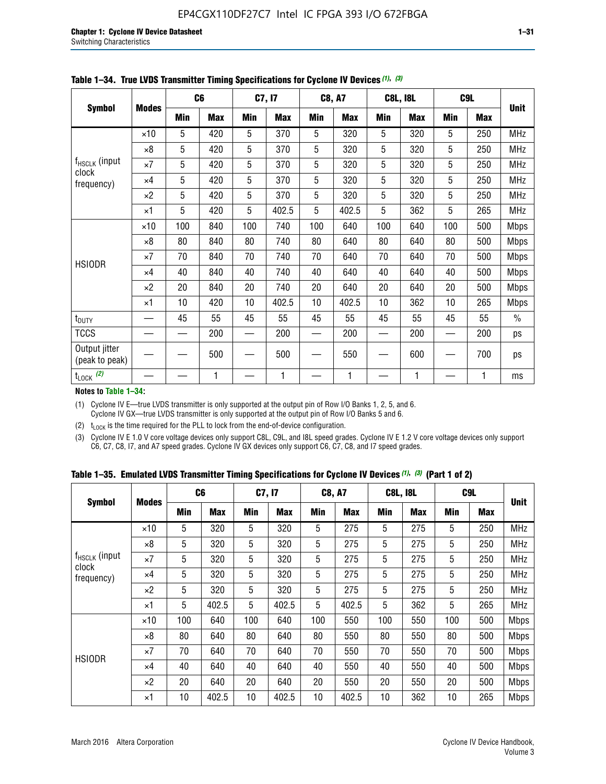|                                 |              |     | C <sub>6</sub> |     | C7, I7     |     | <b>C8, A7</b> |     | <b>C8L, I8L</b> |            | C <sub>9</sub> L |               |
|---------------------------------|--------------|-----|----------------|-----|------------|-----|---------------|-----|-----------------|------------|------------------|---------------|
| <b>Symbol</b>                   | <b>Modes</b> | Min | <b>Max</b>     | Min | <b>Max</b> | Min | <b>Max</b>    | Min | <b>Max</b>      | <b>Min</b> | <b>Max</b>       | <b>Unit</b>   |
|                                 | $\times$ 10  | 5   | 420            | 5   | 370        | 5   | 320           | 5   | 320             | 5          | 250              | <b>MHz</b>    |
|                                 | $\times 8$   | 5   | 420            | 5   | 370        | 5   | 320           | 5   | 320             | 5          | 250              | <b>MHz</b>    |
| f <sub>HSCLK</sub> (input       | $\times 7$   | 5   | 420            | 5   | 370        | 5   | 320           | 5   | 320             | 5          | 250              | MHz           |
| clock<br>frequency)             | $\times$ 4   | 5   | 420            | 5   | 370        | 5   | 320           | 5   | 320             | 5          | 250              | <b>MHz</b>    |
|                                 | $\times 2$   | 5   | 420            | 5   | 370        | 5   | 320           | 5   | 320             | 5          | 250              | <b>MHz</b>    |
|                                 | $\times$ 1   | 5   | 420            | 5   | 402.5      | 5   | 402.5         | 5   | 362             | 5          | 265              | <b>MHz</b>    |
|                                 | $\times$ 10  | 100 | 840            | 100 | 740        | 100 | 640           | 100 | 640             | 100        | 500              | <b>Mbps</b>   |
|                                 | $\times 8$   | 80  | 840            | 80  | 740        | 80  | 640           | 80  | 640             | 80         | 500              | <b>Mbps</b>   |
| <b>HSIODR</b>                   | $\times 7$   | 70  | 840            | 70  | 740        | 70  | 640           | 70  | 640             | 70         | 500              | <b>Mbps</b>   |
|                                 | $\times$ 4   | 40  | 840            | 40  | 740        | 40  | 640           | 40  | 640             | 40         | 500              | <b>Mbps</b>   |
|                                 | $\times 2$   | 20  | 840            | 20  | 740        | 20  | 640           | 20  | 640             | 20         | 500              | <b>Mbps</b>   |
|                                 | $\times$ 1   | 10  | 420            | 10  | 402.5      | 10  | 402.5         | 10  | 362             | 10         | 265              | <b>Mbps</b>   |
| t <sub>DUTY</sub>               |              | 45  | 55             | 45  | 55         | 45  | 55            | 45  | 55              | 45         | 55               | $\frac{0}{0}$ |
| <b>TCCS</b>                     |              |     | 200            |     | 200        |     | 200           |     | 200             |            | 200              | ps            |
| Output jitter<br>(peak to peak) |              |     | 500            |     | 500        |     | 550           |     | 600             |            | 700              | ps            |
| $t_{\text{LOCK}}$ (2)           |              |     | 1              |     | 1          |     | 1             |     | 1               |            | 1                | ms            |

**Table 1–34. True LVDS Transmitter Timing Specifications for Cyclone IV Devices** *(1)***,** *(3)*

**Notes to Table 1–34:**

(1) Cyclone IV E—true LVDS transmitter is only supported at the output pin of Row I/O Banks 1, 2, 5, and 6. Cyclone IV GX—true LVDS transmitter is only supported at the output pin of Row I/O Banks 5 and 6.

(2)  $t_{\text{LOCK}}$  is the time required for the PLL to lock from the end-of-device configuration.

(3) Cyclone IV E 1.0 V core voltage devices only support C8L, C9L, and I8L speed grades. Cyclone IV E 1.2 V core voltage devices only support C6, C7, C8, I7, and A7 speed grades. Cyclone IV GX devices only support C6, C7, C8, and I7 speed grades.

|  |  |  |  |  |  | Table 1–35. Emulated LVDS Transmitter Timing Specifications for Cyclone IV Devices <sup>(1),</sup> <sup>(3)</sup> (Part 1 of 2) |  |  |
|--|--|--|--|--|--|---------------------------------------------------------------------------------------------------------------------------------|--|--|
|--|--|--|--|--|--|---------------------------------------------------------------------------------------------------------------------------------|--|--|

|                             |              | C <sub>6</sub> |            | C7, I7     |            | <b>C8, A7</b> |            | <b>C8L, I8L</b> |            | C <sub>9L</sub> |            |             |
|-----------------------------|--------------|----------------|------------|------------|------------|---------------|------------|-----------------|------------|-----------------|------------|-------------|
| <b>Symbol</b>               | <b>Modes</b> | Min            | <b>Max</b> | <b>Min</b> | <b>Max</b> | <b>Min</b>    | <b>Max</b> | <b>Min</b>      | <b>Max</b> | <b>Min</b>      | <b>Max</b> | <b>Unit</b> |
|                             | $\times$ 10  | 5              | 320        | 5          | 320        | 5             | 275        | 5               | 275        | 5               | 250        | <b>MHz</b>  |
|                             | $\times 8$   | 5              | 320        | 5          | 320        | 5             | 275        | 5               | 275        | 5               | 250        | <b>MHz</b>  |
| $f_{HSCLK}$ (input<br>clock | $\times 7$   | 5              | 320        | 5          | 320        | 5             | 275        | 5               | 275        | 5               | 250        | <b>MHz</b>  |
| frequency)                  | $\times$ 4   | 5              | 320        | 5          | 320        | 5             | 275        | 5               | 275        | 5               | 250        | <b>MHz</b>  |
|                             | $\times 2$   | 5              | 320        | 5          | 320        | 5             | 275        | 5               | 275        | 5               | 250        | <b>MHz</b>  |
|                             | $\times$ 1   | 5              | 402.5      | 5          | 402.5      | 5             | 402.5      | 5               | 362        | 5               | 265        | <b>MHz</b>  |
|                             | $\times$ 10  | 100            | 640        | 100        | 640        | 100           | 550        | 100             | 550        | 100             | 500        | <b>Mbps</b> |
|                             | $\times 8$   | 80             | 640        | 80         | 640        | 80            | 550        | 80              | 550        | 80              | 500        | <b>Mbps</b> |
| <b>HSIODR</b>               | $\times 7$   | 70             | 640        | 70         | 640        | 70            | 550        | 70              | 550        | 70              | 500        | <b>Mbps</b> |
|                             | $\times$ 4   | 40             | 640        | 40         | 640        | 40            | 550        | 40              | 550        | 40              | 500        | <b>Mbps</b> |
|                             | $\times 2$   | 20             | 640        | 20         | 640        | 20            | 550        | 20              | 550        | 20              | 500        | <b>Mbps</b> |
|                             | ×1           | 10             | 402.5      | 10         | 402.5      | 10            | 402.5      | 10              | 362        | 10              | 265        | <b>Mbps</b> |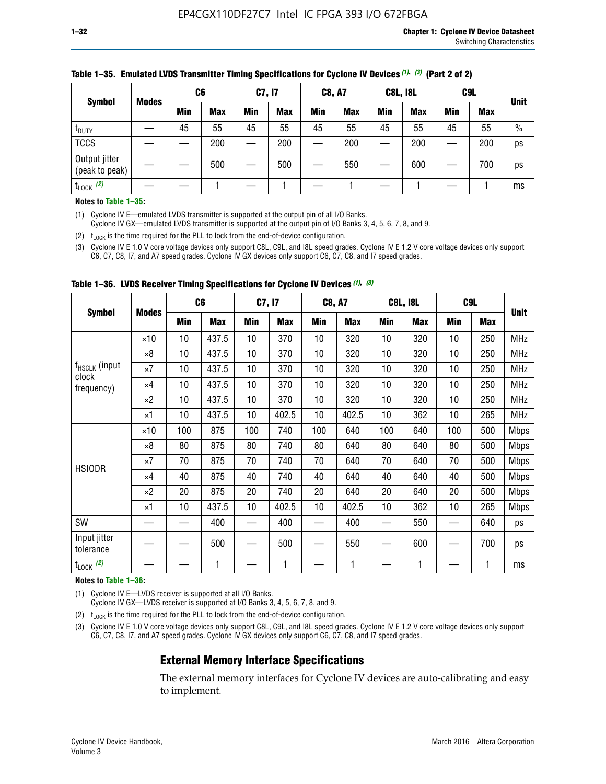|                                 |              | C <sub>6</sub> |            | C7, I7     |            | <b>C8, A7</b> |            | <b>C8L, I8L</b> |            |         | C <sub>9</sub> L |               |
|---------------------------------|--------------|----------------|------------|------------|------------|---------------|------------|-----------------|------------|---------|------------------|---------------|
| <b>Symbol</b>                   | <b>Modes</b> | Min            | <b>Max</b> | <b>Min</b> | <b>Max</b> | <b>Min</b>    | <b>Max</b> | Min             | <b>Max</b> | Min     | <b>Max</b>       | <b>Unit</b>   |
| t <sub>DUTY</sub>               |              | 45             | 55         | 45         | 55         | 45            | 55         | 45              | 55         | 45      | 55               | $\frac{0}{0}$ |
| <b>TCCS</b>                     |              |                | 200        |            | 200        |               | 200        |                 | 200        | —<br>—— | 200              | ps            |
| Output jitter<br>(peak to peak) |              |                | 500        |            | 500        |               | 550        |                 | 600        |         | 700              | ps            |
| $t_{\text{LOCK}}$ (2)           |              |                |            |            |            |               |            |                 |            |         |                  | ms            |

#### **Table 1–35. Emulated LVDS Transmitter Timing Specifications for Cyclone IV Devices** *(1)***,** *(3)* **(Part 2 of 2)**

#### **Notes to Table 1–35:**

(1) Cyclone IV E—emulated LVDS transmitter is supported at the output pin of all I/O Banks.

Cyclone IV GX—emulated LVDS transmitter is supported at the output pin of I/O Banks 3, 4, 5, 6, 7, 8, and 9.

(2)  $t_{\text{LOCK}}$  is the time required for the PLL to lock from the end-of-device configuration.

(3) Cyclone IV E 1.0 V core voltage devices only support C8L, C9L, and I8L speed grades. Cyclone IV E 1.2 V core voltage devices only support C6, C7, C8, I7, and A7 speed grades. Cyclone IV GX devices only support C6, C7, C8, and I7 speed grades.

|                                    |              | C <sub>6</sub> |            | C7, I7     |            | <b>C8, A7</b> |            | <b>C8L, I8L</b> |            | C <sub>9</sub> L |            |             |
|------------------------------------|--------------|----------------|------------|------------|------------|---------------|------------|-----------------|------------|------------------|------------|-------------|
| <b>Symbol</b>                      | <b>Modes</b> | Min            | <b>Max</b> | <b>Min</b> | <b>Max</b> | Min           | <b>Max</b> | Min             | <b>Max</b> | Min              | <b>Max</b> | <b>Unit</b> |
|                                    | $\times$ 10  | 10             | 437.5      | 10         | 370        | 10            | 320        | 10              | 320        | 10               | 250        | <b>MHz</b>  |
|                                    | $\times 8$   | 10             | 437.5      | 10         | 370        | 10            | 320        | 10              | 320        | 10               | 250        | <b>MHz</b>  |
| f <sub>HSCLK</sub> (input<br>clock | $\times 7$   | 10             | 437.5      | 10         | 370        | 10            | 320        | 10              | 320        | 10               | 250        | <b>MHz</b>  |
| frequency)                         | ×4           | 10             | 437.5      | 10         | 370        | 10            | 320        | 10              | 320        | 10               | 250        | <b>MHz</b>  |
|                                    | $\times 2$   | 10             | 437.5      | 10         | 370        | 10            | 320        | 10              | 320        | 10               | 250        | <b>MHz</b>  |
|                                    | ×1           | 10             | 437.5      | 10         | 402.5      | 10            | 402.5      | 10              | 362        | 10               | 265        | <b>MHz</b>  |
|                                    | $\times$ 10  | 100            | 875        | 100        | 740        | 100           | 640        | 100             | 640        | 100              | 500        | <b>Mbps</b> |
|                                    | $\times 8$   | 80             | 875        | 80         | 740        | 80            | 640        | 80              | 640        | 80               | 500        | <b>Mbps</b> |
| <b>HSIODR</b>                      | $\times 7$   | 70             | 875        | 70         | 740        | 70            | 640        | 70              | 640        | 70               | 500        | <b>Mbps</b> |
|                                    | $\times 4$   | 40             | 875        | 40         | 740        | 40            | 640        | 40              | 640        | 40               | 500        | <b>Mbps</b> |
|                                    | $\times 2$   | 20             | 875        | 20         | 740        | 20            | 640        | 20              | 640        | 20               | 500        | <b>Mbps</b> |
|                                    | ×1           | 10             | 437.5      | 10         | 402.5      | 10            | 402.5      | 10              | 362        | 10               | 265        | <b>Mbps</b> |
| SW                                 |              |                | 400        |            | 400        |               | 400        |                 | 550        | —                | 640        | ps          |
| Input jitter<br>tolerance          |              |                | 500        |            | 500        |               | 550        |                 | 600        |                  | 700        | ps          |
| $t_{\text{LOCK}}$ (2)              |              |                | 1          |            | 1          |               | 1          |                 | 1          |                  | 1          | ms          |

**Table 1–36. LVDS Receiver Timing Specifications for Cyclone IV Devices** *(1)***,** *(3)*

#### **Notes to Table 1–36:**

(1) Cyclone IV E—LVDS receiver is supported at all I/O Banks.

Cyclone IV GX—LVDS receiver is supported at I/O Banks 3, 4, 5, 6, 7, 8, and 9.

(2)  $t_{\text{LOCK}}$  is the time required for the PLL to lock from the end-of-device configuration.

(3) Cyclone IV E 1.0 V core voltage devices only support C8L, C9L, and I8L speed grades. Cyclone IV E 1.2 V core voltage devices only support C6, C7, C8, I7, and A7 speed grades. Cyclone IV GX devices only support C6, C7, C8, and I7 speed grades.

#### **External Memory Interface Specifications**

The external memory interfaces for Cyclone IV devices are auto-calibrating and easy to implement.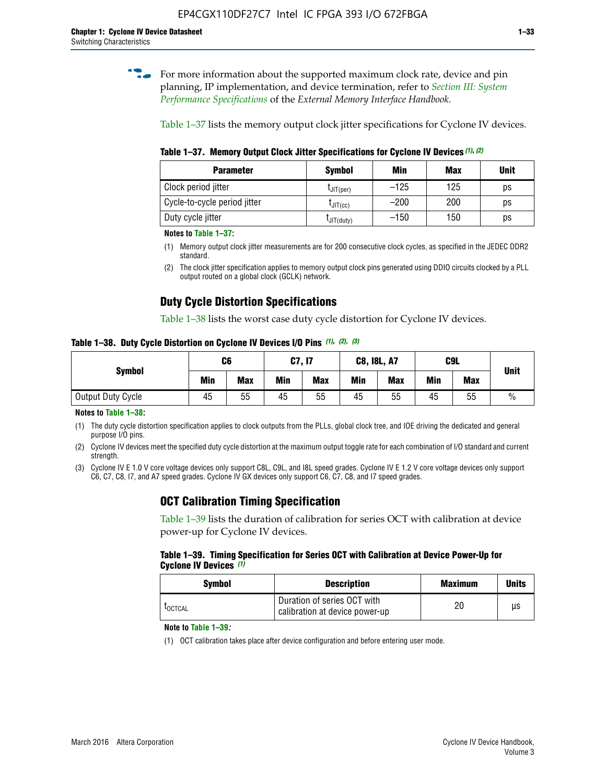**for more information about the supported maximum clock rate, device and pin** planning, IP implementation, and device termination, refer to *[Section III: System](http://www.altera.com/literature/hb/external-memory/emi_intro_specs.pdf)  [Performance Specifications](http://www.altera.com/literature/hb/external-memory/emi_intro_specs.pdf)* of the *External Memory Interface Handbook*.

Table 1–37 lists the memory output clock jitter specifications for Cyclone IV devices.

**Table 1–37. Memory Output Clock Jitter Specifications for Cyclone IV Devices** *(1)***,** *(2)*

| <b>Parameter</b>             | <b>Symbol</b>  | Min    | Max | <b>Unit</b> |
|------------------------------|----------------|--------|-----|-------------|
| Clock period jitter          | $L$ JIT(per)   | $-125$ | 125 | ps          |
| Cycle-to-cycle period jitter | $L$ JIT $(cc)$ | $-200$ | 200 | ps          |
| Duty cycle jitter            | LJIT(duty)     | $-150$ | 150 | ps          |

**Notes to Table 1–37:**

- (1) Memory output clock jitter measurements are for 200 consecutive clock cycles, as specified in the JEDEC DDR2 standard.
- (2) The clock jitter specification applies to memory output clock pins generated using DDIO circuits clocked by a PLL output routed on a global clock (GCLK) network.

## **Duty Cycle Distortion Specifications**

Table 1–38 lists the worst case duty cycle distortion for Cyclone IV devices.

**Table 1–38. Duty Cycle Distortion on Cyclone IV Devices I/O Pins** *(1)***,** *(2), (3)*

| <b>Symbol</b>     | C <sub>6</sub> |            | C7, I7     |            | <b>C8, I8L, A7</b> |            |            | C9L        | <b>Unit</b>   |
|-------------------|----------------|------------|------------|------------|--------------------|------------|------------|------------|---------------|
|                   | Min            | <b>Max</b> | <b>Min</b> | <b>Max</b> | Min                | <b>Max</b> | <b>Min</b> | <b>Max</b> |               |
| Output Duty Cycle | 45             | 55         | 45         | 55         | 45                 | 55         | 45         | 55         | $\frac{0}{0}$ |

**Notes to Table 1–38:**

(1) The duty cycle distortion specification applies to clock outputs from the PLLs, global clock tree, and IOE driving the dedicated and general purpose I/O pins.

(2) Cyclone IV devices meet the specified duty cycle distortion at the maximum output toggle rate for each combination of I/O standard and current strength.

(3) Cyclone IV E 1.0 V core voltage devices only support C8L, C9L, and I8L speed grades. Cyclone IV E 1.2 V core voltage devices only support C6, C7, C8, I7, and A7 speed grades. Cyclone IV GX devices only support C6, C7, C8, and I7 speed grades.

### **OCT Calibration Timing Specification**

Table 1–39 lists the duration of calibration for series OCT with calibration at device power-up for Cyclone IV devices.

#### **Table 1–39. Timing Specification for Series OCT with Calibration at Device Power-Up for Cyclone IV Devices** *(1)*

| Symbol  | <b>Description</b>                                            | <b>Maximum</b> | <b>Units</b> |
|---------|---------------------------------------------------------------|----------------|--------------|
| LOCTCAL | Duration of series OCT with<br>calibration at device power-up | 20             | μs           |

#### **Note to Table 1–39***:*

(1) OCT calibration takes place after device configuration and before entering user mode.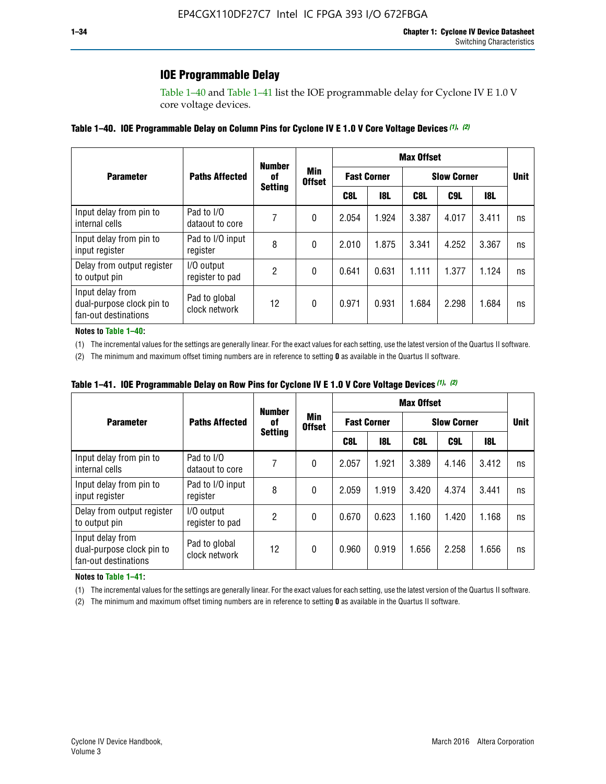## **IOE Programmable Delay**

Table 1–40 and Table 1–41 list the IOE programmable delay for Cyclone IV E 1.0 V core voltage devices.

#### **Table 1–40. IOE Programmable Delay on Column Pins for Cyclone IV E 1.0 V Core Voltage Devices** *(1)***,** *(2)*

|                                                                       |                                | <b>Number</b><br>0f | Min<br><b>Offset</b> | <b>Max Offset</b>  |            |                    |       |       |             |
|-----------------------------------------------------------------------|--------------------------------|---------------------|----------------------|--------------------|------------|--------------------|-------|-------|-------------|
| <b>Parameter</b>                                                      | <b>Paths Affected</b>          |                     |                      | <b>Fast Corner</b> |            | <b>Slow Corner</b> |       |       | <b>Unit</b> |
|                                                                       |                                | <b>Setting</b>      |                      | C8L                | <b>18L</b> | C8L                | C9L   | 18L   |             |
| Input delay from pin to<br>internal cells                             | Pad to I/O<br>dataout to core  |                     | 0                    | 2.054              | 1.924      | 3.387              | 4.017 | 3.411 | ns          |
| Input delay from pin to<br>input register                             | Pad to I/O input<br>register   | 8                   | 0                    | 2.010              | 1.875      | 3.341              | 4.252 | 3.367 | ns          |
| Delay from output register<br>to output pin                           | I/O output<br>register to pad  | 2                   | 0                    | 0.641              | 0.631      | 1.111              | 1.377 | 1.124 | ns          |
| Input delay from<br>dual-purpose clock pin to<br>fan-out destinations | Pad to global<br>clock network | 12                  | 0                    | 0.971              | 0.931      | 1.684              | 2.298 | 1.684 | ns          |

#### **Notes to Table 1–40:**

(1) The incremental values for the settings are generally linear. For the exact values for each setting, use the latest version of the Quartus II software.

(2) The minimum and maximum offset timing numbers are in reference to setting **0** as available in the Quartus II software.

| Table 1–41. IOE Programmable Delay on Row Pins for Cyclone IV E 1.0 V Core Voltage Devices (1), (2) |  |  |
|-----------------------------------------------------------------------------------------------------|--|--|
|-----------------------------------------------------------------------------------------------------|--|--|

|                                                                       |                                | <b>Number</b>  |                      | <b>Max Offset</b> |                    |                    |             |       |    |
|-----------------------------------------------------------------------|--------------------------------|----------------|----------------------|-------------------|--------------------|--------------------|-------------|-------|----|
| <b>Parameter</b>                                                      | <b>Paths Affected</b>          | 0f             | Min<br><b>Offset</b> |                   | <b>Fast Corner</b> | <b>Slow Corner</b> | <b>Unit</b> |       |    |
|                                                                       |                                | <b>Setting</b> |                      | C8L               | <b>18L</b>         | C8L                | C9L         | 18L   |    |
| Input delay from pin to<br>internal cells                             | Pad to I/O<br>dataout to core  |                | 0                    | 2.057             | 1.921              | 3.389              | 4.146       | 3.412 | ns |
| Input delay from pin to<br>input register                             | Pad to I/O input<br>register   | 8              | 0                    | 2.059             | 1.919              | 3.420              | 4.374       | 3.441 | ns |
| Delay from output register<br>to output pin                           | I/O output<br>register to pad  | 2              | 0                    | 0.670             | 0.623              | 1.160              | 1.420       | 1.168 | ns |
| Input delay from<br>dual-purpose clock pin to<br>fan-out destinations | Pad to global<br>clock network | 12             | 0                    | 0.960             | 0.919              | 1.656              | 2.258       | 1.656 | ns |

#### **Notes to Table 1–41:**

(1) The incremental values for the settings are generally linear. For the exact values for each setting, use the latest version of the Quartus II software.

(2) The minimum and maximum offset timing numbers are in reference to setting **0** as available in the Quartus II software.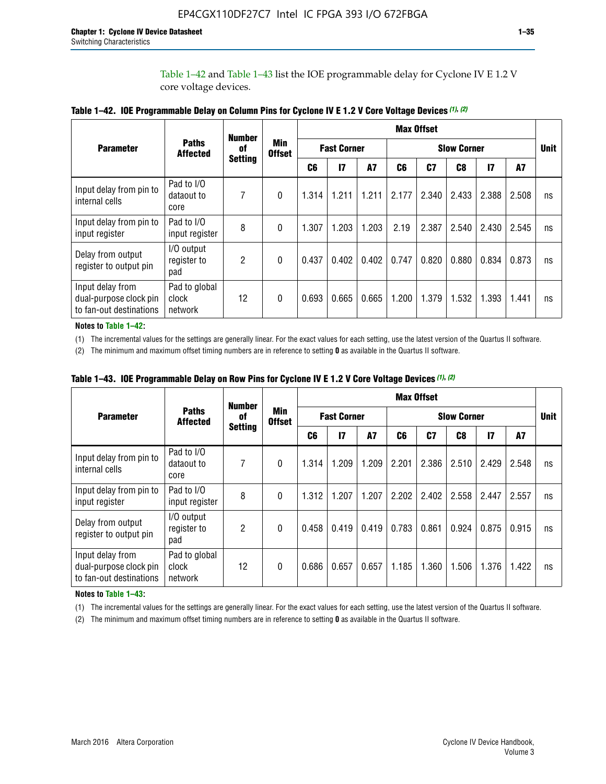Table 1–42 and Table 1–43 list the IOE programmable delay for Cyclone IV E 1.2 V core voltage devices.

|                                                                       |                                   | <b>Number</b>  | <b>Max Offset</b>           |                |                    |           |                    |       |       |               |       |    |
|-----------------------------------------------------------------------|-----------------------------------|----------------|-----------------------------|----------------|--------------------|-----------|--------------------|-------|-------|---------------|-------|----|
| <b>Parameter</b>                                                      | <b>Paths</b><br><b>Affected</b>   | of             | <b>Min</b><br><b>Offset</b> |                | <b>Fast Corner</b> |           | <b>Slow Corner</b> |       |       |               |       |    |
|                                                                       |                                   | <b>Setting</b> |                             | C <sub>6</sub> | $\mathbf{I}$       | <b>A7</b> | C6                 | C7    | C8    | $\mathsf{I}7$ | A7    |    |
| Input delay from pin to<br>internal cells                             | Pad to I/O<br>dataout to<br>core  | 7              | 0                           | 1.314          | 1.211              | 1.211     | 2.177              | 2.340 | 2.433 | 2.388         | 2.508 | ns |
| Input delay from pin to<br>input register                             | Pad to I/O<br>input register      | 8              | $\Omega$                    | 1.307          | 1.203              | 1.203     | 2.19               | 2.387 | 2.540 | 2.430         | 2.545 | ns |
| Delay from output<br>register to output pin                           | I/O output<br>register to<br>pad  | 2              | 0                           | 0.437          | 0.402              | 0.402     | 0.747              | 0.820 | 0.880 | 0.834         | 0.873 | ns |
| Input delay from<br>dual-purpose clock pin<br>to fan-out destinations | Pad to global<br>clock<br>network | 12             | 0                           | 0.693          | 0.665              | 0.665     | 1.200              | 1.379 | 1.532 | 1.393         | 1.441 | ns |

**Table 1–42. IOE Programmable Delay on Column Pins for Cyclone IV E 1.2 V Core Voltage Devices** *(1)***,** *(2)*

**Notes to Table 1–42:**

(1) The incremental values for the settings are generally linear. For the exact values for each setting, use the latest version of the Quartus II software.

(2) The minimum and maximum offset timing numbers are in reference to setting **0** as available in the Quartus II software.

|                                                                       |                                   | <b>Number</b>  | <b>Min</b><br><b>Offset</b> | <b>Max Offset</b> |                    |           |                    |       |       |               |       |             |
|-----------------------------------------------------------------------|-----------------------------------|----------------|-----------------------------|-------------------|--------------------|-----------|--------------------|-------|-------|---------------|-------|-------------|
| <b>Parameter</b>                                                      | <b>Paths</b><br><b>Affected</b>   | 0f             |                             |                   | <b>Fast Corner</b> |           | <b>Slow Corner</b> |       |       |               |       | <b>Unit</b> |
|                                                                       |                                   | <b>Setting</b> |                             | C6                | $\mathbf{I}$       | <b>A7</b> | C6                 | C7    | C8    | $\mathsf{I}7$ | A7    |             |
| Input delay from pin to<br>internal cells                             | Pad to I/O<br>dataout to<br>core  | 7              | $\Omega$                    | 1.314             | 1.209              | 1.209     | 2.201              | 2.386 | 2.510 | 2.429         | 2.548 | ns          |
| Input delay from pin to<br>input register                             | Pad to I/O<br>input register      | 8              | $\Omega$                    | 1.312             | 1.207              | 1.207     | 2.202              | 2.402 | 2.558 | 2.447         | 2.557 | ns          |
| Delay from output<br>register to output pin                           | I/O output<br>register to<br>pad  | 2              | $\Omega$                    | 0.458             | 0.419              | 0.419     | 0.783              | 0.861 | 0.924 | 0.875         | 0.915 | ns          |
| Input delay from<br>dual-purpose clock pin<br>to fan-out destinations | Pad to global<br>clock<br>network | 12             | $\Omega$                    | 0.686             | 0.657              | 0.657     | 1.185              | 1.360 | 1.506 | 1.376         | 1.422 | ns          |

**Table 1–43. IOE Programmable Delay on Row Pins for Cyclone IV E 1.2 V Core Voltage Devices** *(1)***,** *(2)*

#### **Notes to Table 1–43:**

(1) The incremental values for the settings are generally linear. For the exact values for each setting, use the latest version of the Quartus II software.

(2) The minimum and maximum offset timing numbers are in reference to setting **0** as available in the Quartus II software.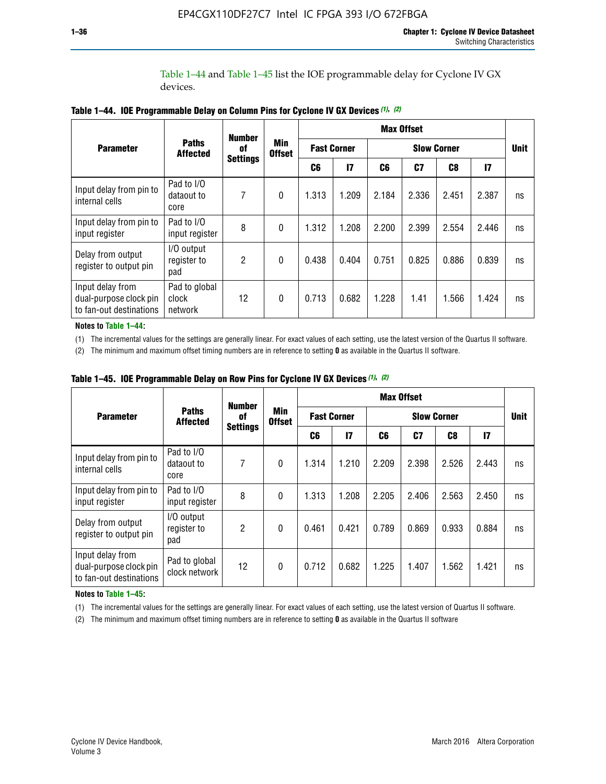Table 1–44 and Table 1–45 list the IOE programmable delay for Cyclone IV GX devices.

|                                                                       |                                   | <b>Number</b><br>0f | <b>Min</b><br><b>Offset</b> | <b>Max Offset</b>  |              |       |                |                |               |    |
|-----------------------------------------------------------------------|-----------------------------------|---------------------|-----------------------------|--------------------|--------------|-------|----------------|----------------|---------------|----|
| <b>Parameter</b>                                                      | <b>Paths</b><br><b>Affected</b>   |                     |                             | <b>Fast Corner</b> |              |       | <b>Unit</b>    |                |               |    |
|                                                                       |                                   | <b>Settings</b>     |                             | C6                 | $\mathbf{I}$ | C6    | C <sub>7</sub> | C <sub>8</sub> | $\mathsf{I}7$ |    |
| Input delay from pin to<br>internal cells                             | Pad to I/O<br>dataout to<br>core  | 7                   | $\boldsymbol{0}$            | 1.313              | 1.209        | 2.184 | 2.336          | 2.451          | 2.387         | ns |
| Input delay from pin to<br>input register                             | Pad to I/O<br>input register      | 8                   | $\Omega$                    | 1.312              | 1.208        | 2.200 | 2.399          | 2.554          | 2.446         | ns |
| Delay from output<br>register to output pin                           | I/O output<br>register to<br>pad  | 2                   | $\mathbf{0}$                | 0.438              | 0.404        | 0.751 | 0.825          | 0.886          | 0.839         | ns |
| Input delay from<br>dual-purpose clock pin<br>to fan-out destinations | Pad to global<br>clock<br>network | 12                  | 0                           | 0.713              | 0.682        | 1.228 | 1.41           | 1.566          | 1.424         | ns |

**Table 1–44. IOE Programmable Delay on Column Pins for Cyclone IV GX Devices** *(1)***,** *(2)*

**Notes to Table 1–44:**

(1) The incremental values for the settings are generally linear. For exact values of each setting, use the latest version of the Quartus II software.

(2) The minimum and maximum offset timing numbers are in reference to setting **0** as available in the Quartus II software.

|                                                                       |                                  | <b>Number</b>         | Min<br><b>Offset</b> | <b>Max Offset</b>  |       |       |       |             |               |    |
|-----------------------------------------------------------------------|----------------------------------|-----------------------|----------------------|--------------------|-------|-------|-------|-------------|---------------|----|
| <b>Parameter</b>                                                      | <b>Paths</b><br><b>Affected</b>  | 0f<br><b>Settings</b> |                      | <b>Fast Corner</b> |       |       |       | <b>Unit</b> |               |    |
|                                                                       |                                  |                       |                      | C6                 | 17    | C6    | C7    | C8          | $\mathsf{I}7$ |    |
| Input delay from pin to<br>internal cells                             | Pad to I/O<br>dataout to<br>core | 7                     | $\mathbf{0}$         | 1.314              | 1.210 | 2.209 | 2.398 | 2.526       | 2.443         | ns |
| Input delay from pin to<br>input register                             | Pad to I/O<br>input register     | 8                     | $\mathbf{0}$         | 1.313              | 1.208 | 2.205 | 2.406 | 2.563       | 2.450         | ns |
| Delay from output<br>register to output pin                           | I/O output<br>register to<br>pad | $\overline{2}$        | $\mathbf{0}$         | 0.461              | 0.421 | 0.789 | 0.869 | 0.933       | 0.884         | ns |
| Input delay from<br>dual-purpose clock pin<br>to fan-out destinations | Pad to global<br>clock network   | 12                    | $\mathbf{0}$         | 0.712              | 0.682 | 1.225 | 1.407 | 1.562       | 1.421         | ns |

**Table 1–45. IOE Programmable Delay on Row Pins for Cyclone IV GX Devices** *(1)***,** *(2)*

#### **Notes to Table 1–45:**

(1) The incremental values for the settings are generally linear. For exact values of each setting, use the latest version of Quartus II software.

(2) The minimum and maximum offset timing numbers are in reference to setting **0** as available in the Quartus II software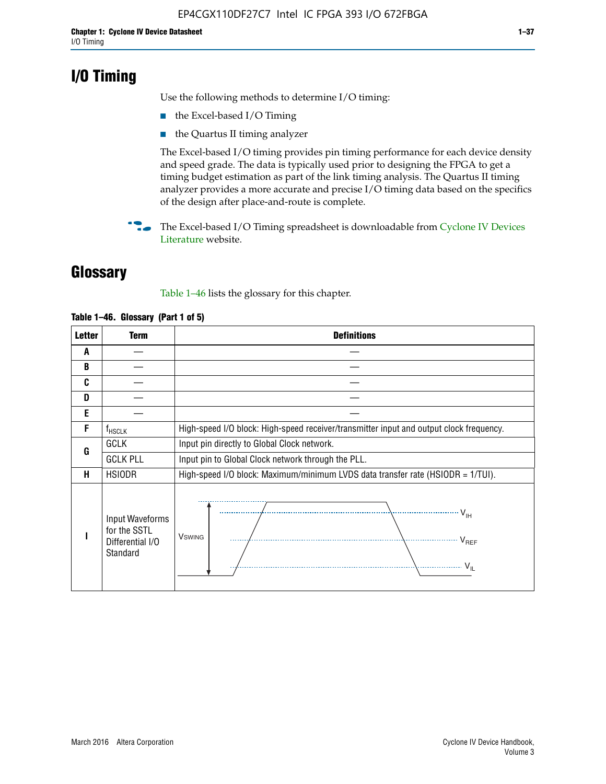## **I/O Timing**

Use the following methods to determine I/O timing:

- the Excel-based I/O Timing
- the Quartus II timing analyzer

The Excel-based I/O timing provides pin timing performance for each device density and speed grade. The data is typically used prior to designing the FPGA to get a timing budget estimation as part of the link timing analysis. The Quartus II timing analyzer provides a more accurate and precise I/O timing data based on the specifics of the design after place-and-route is complete.

**For The Excel-based I/O Timing spreadsheet is downloadable from Cyclone IV Devices** [Literature](http://www.altera.com/literature/lit-cyclone-iv.jsp) website.

## **Glossary**

Table 1–46 lists the glossary for this chapter.

| <b>Letter</b> | <b>Term</b>                                                     | <b>Definitions</b>                                                                                                                               |  |  |  |  |  |  |  |
|---------------|-----------------------------------------------------------------|--------------------------------------------------------------------------------------------------------------------------------------------------|--|--|--|--|--|--|--|
| A             |                                                                 |                                                                                                                                                  |  |  |  |  |  |  |  |
| B             |                                                                 |                                                                                                                                                  |  |  |  |  |  |  |  |
| C             |                                                                 |                                                                                                                                                  |  |  |  |  |  |  |  |
| D             |                                                                 |                                                                                                                                                  |  |  |  |  |  |  |  |
| E             |                                                                 |                                                                                                                                                  |  |  |  |  |  |  |  |
| F             | $f_{\sf HSCLK}$                                                 | High-speed I/O block: High-speed receiver/transmitter input and output clock frequency.                                                          |  |  |  |  |  |  |  |
| G             | <b>GCLK</b>                                                     | Input pin directly to Global Clock network.                                                                                                      |  |  |  |  |  |  |  |
|               | <b>GCLK PLL</b>                                                 | Input pin to Global Clock network through the PLL.                                                                                               |  |  |  |  |  |  |  |
| н             | <b>HSIODR</b>                                                   | High-speed I/O block: Maximum/minimum LVDS data transfer rate (HSIODR = 1/TUI).                                                                  |  |  |  |  |  |  |  |
|               | Input Waveforms<br>for the SSTL<br>Differential I/O<br>Standard | $\frac{1}{\sqrt{1+\frac{1}{2}}}\left\{ \frac{1}{\sqrt{1+\frac{1}{2}}}\right\}$<br><b>V</b> swing<br>$\cdots$ $V_{REF}$<br>\<br>$\sim V_{\rm IL}$ |  |  |  |  |  |  |  |

#### **Table 1–46. Glossary (Part 1 of 5)**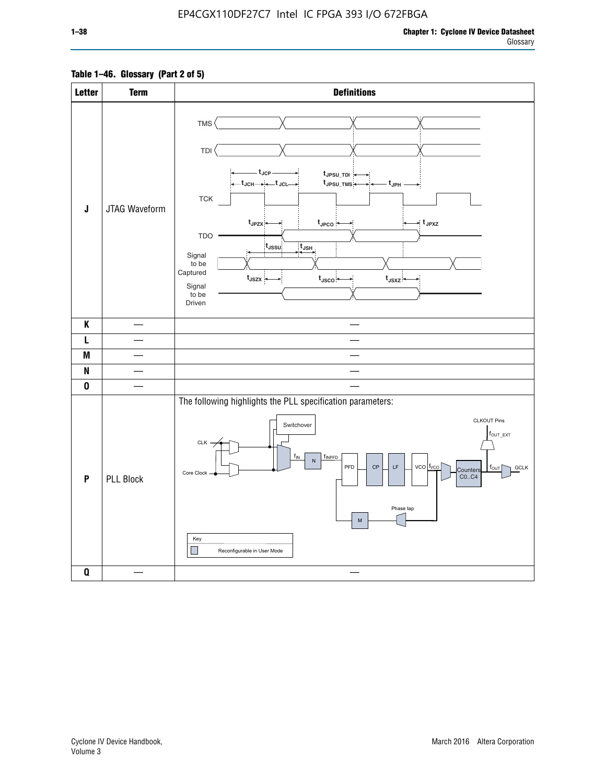### **Table 1–46. Glossary (Part 2 of 5)**

| <b>Letter</b>             | <b>Term</b>      | <b>Definitions</b>                                                                                                                                                                                                                                                                                                                                                                                                                                          |
|---------------------------|------------------|-------------------------------------------------------------------------------------------------------------------------------------------------------------------------------------------------------------------------------------------------------------------------------------------------------------------------------------------------------------------------------------------------------------------------------------------------------------|
| $\mathsf J$               | JTAG Waveform    | TMS<br><b>TDI</b><br>– t <sub>JCP</sub><br>tJPSU_TDI:<br>t <sub>JPSU_TMS</sub><br>t <sub>JPH</sub><br>${\sf TCK}$<br>t <sub>JPZX</sub> :<br>$t_{\text{JPCO}}$<br>$\star$ t <sub>JPXZ</sub><br><b>TDO</b><br>t <sub>JSSU</sub><br>$\overline{t}_{\mathsf{JSH}}$<br>Signal<br>to be<br>Captured<br>$t_{\text{JSZX}}$<br>$t_{\text{JSCO}}$<br>$t_{JSXZ}$<br>Signal<br>to be<br>Driven                                                                          |
| K                         |                  |                                                                                                                                                                                                                                                                                                                                                                                                                                                             |
| L                         |                  |                                                                                                                                                                                                                                                                                                                                                                                                                                                             |
| M                         |                  |                                                                                                                                                                                                                                                                                                                                                                                                                                                             |
| N                         |                  |                                                                                                                                                                                                                                                                                                                                                                                                                                                             |
| $\pmb{0}$                 |                  |                                                                                                                                                                                                                                                                                                                                                                                                                                                             |
| $\boldsymbol{\mathsf{P}}$ | <b>PLL Block</b> | The following highlights the PLL specification parameters:<br><b>CLKOUT Pins</b><br>Switchover<br>$f_{\text{OUT\_EXT}}$<br>$CLK -$<br>$f_{IN}$<br>fINPFD<br>$\overline{N}$<br>PFD<br>$\mathsf{LF}% _{0}\left( t\right) \equiv\mathsf{LF}_{0}\left( t\right)$<br>$vco$ $ f_{VCO} $<br>$\mathsf{CP}$<br><b>GCLK</b><br>$f_{\text{OUT}}$<br>Counters<br>Core Clock<br>CO., C4<br>Phase tap<br>${\sf M}$<br>Key<br>$\mathcal{L}$<br>Reconfigurable in User Mode |
| $\pmb{0}$                 |                  | $\overline{\phantom{a}}$                                                                                                                                                                                                                                                                                                                                                                                                                                    |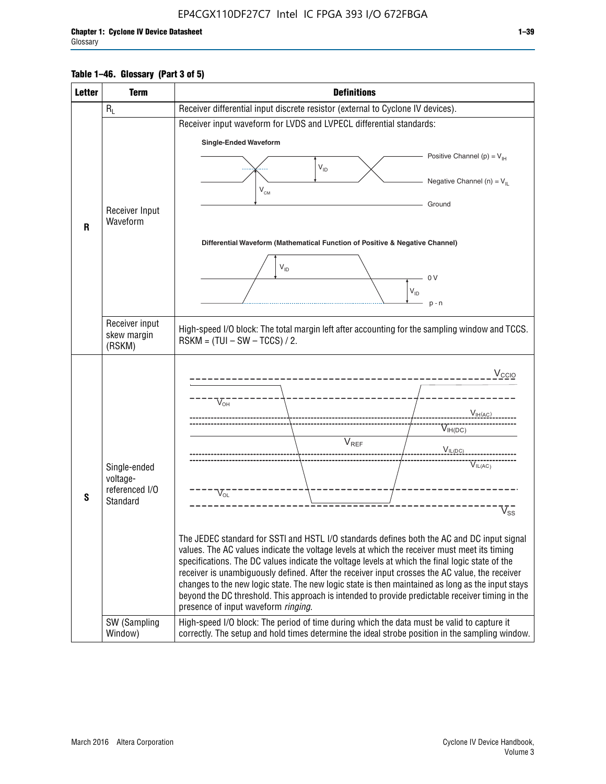#### **Table 1–46. Glossary (Part 3 of 5)**

| <b>Letter</b> | <b>Term</b>                | <b>Definitions</b>                                                                                                                                                                                |  |  |  |  |  |  |  |
|---------------|----------------------------|---------------------------------------------------------------------------------------------------------------------------------------------------------------------------------------------------|--|--|--|--|--|--|--|
|               | $R_L$                      | Receiver differential input discrete resistor (external to Cyclone IV devices).                                                                                                                   |  |  |  |  |  |  |  |
|               |                            | Receiver input waveform for LVDS and LVPECL differential standards:                                                                                                                               |  |  |  |  |  |  |  |
|               |                            | <b>Single-Ended Waveform</b>                                                                                                                                                                      |  |  |  |  |  |  |  |
|               |                            | Positive Channel (p) = $V_{\text{H}}$                                                                                                                                                             |  |  |  |  |  |  |  |
|               |                            | $V_{ID}$                                                                                                                                                                                          |  |  |  |  |  |  |  |
|               |                            | Negative Channel (n) = $V_{\parallel}$<br>$V_{CM}$                                                                                                                                                |  |  |  |  |  |  |  |
|               | Receiver Input             | Ground                                                                                                                                                                                            |  |  |  |  |  |  |  |
| $\mathbf{R}$  | Waveform                   |                                                                                                                                                                                                   |  |  |  |  |  |  |  |
|               |                            | Differential Waveform (Mathematical Function of Positive & Negative Channel)                                                                                                                      |  |  |  |  |  |  |  |
|               |                            |                                                                                                                                                                                                   |  |  |  |  |  |  |  |
|               |                            | $V_{ID}$                                                                                                                                                                                          |  |  |  |  |  |  |  |
|               |                            | 0 <sup>V</sup><br>$V_{ID}$                                                                                                                                                                        |  |  |  |  |  |  |  |
|               |                            | $p - n$                                                                                                                                                                                           |  |  |  |  |  |  |  |
|               | Receiver input             |                                                                                                                                                                                                   |  |  |  |  |  |  |  |
|               | skew margin                | High-speed I/O block: The total margin left after accounting for the sampling window and TCCS.<br>$RSKM = (TUI - SW - TCCS) / 2.$                                                                 |  |  |  |  |  |  |  |
|               | (RSKM)                     |                                                                                                                                                                                                   |  |  |  |  |  |  |  |
|               |                            | $V_{CCIO}$                                                                                                                                                                                        |  |  |  |  |  |  |  |
|               |                            |                                                                                                                                                                                                   |  |  |  |  |  |  |  |
|               |                            | $V_{\text{\tiny OH}}^-$                                                                                                                                                                           |  |  |  |  |  |  |  |
|               |                            | V <sub>IH</sub> (AC)                                                                                                                                                                              |  |  |  |  |  |  |  |
|               |                            | $V_{IH(DC)}$<br>V <sub>REF</sub>                                                                                                                                                                  |  |  |  |  |  |  |  |
|               |                            | $V_{I L (DC)}$                                                                                                                                                                                    |  |  |  |  |  |  |  |
|               | Single-ended               | $\overline{V}_{IL(AC)}$                                                                                                                                                                           |  |  |  |  |  |  |  |
|               | voltage-<br>referenced I/O |                                                                                                                                                                                                   |  |  |  |  |  |  |  |
| S             | Standard                   | $V_{OL}$                                                                                                                                                                                          |  |  |  |  |  |  |  |
|               |                            | $\overline{V}_{\text{SS}}$                                                                                                                                                                        |  |  |  |  |  |  |  |
|               |                            | The JEDEC standard for SSTI and HSTL I/O standards defines both the AC and DC input signal                                                                                                        |  |  |  |  |  |  |  |
|               |                            | values. The AC values indicate the voltage levels at which the receiver must meet its timing                                                                                                      |  |  |  |  |  |  |  |
|               |                            | specifications. The DC values indicate the voltage levels at which the final logic state of the<br>receiver is unambiguously defined. After the receiver input crosses the AC value, the receiver |  |  |  |  |  |  |  |
|               |                            | changes to the new logic state. The new logic state is then maintained as long as the input stays                                                                                                 |  |  |  |  |  |  |  |
|               |                            | beyond the DC threshold. This approach is intended to provide predictable receiver timing in the                                                                                                  |  |  |  |  |  |  |  |
|               | SW (Sampling               | presence of input waveform ringing.                                                                                                                                                               |  |  |  |  |  |  |  |
|               | Window)                    | High-speed I/O block: The period of time during which the data must be valid to capture it<br>correctly. The setup and hold times determine the ideal strobe position in the sampling window.     |  |  |  |  |  |  |  |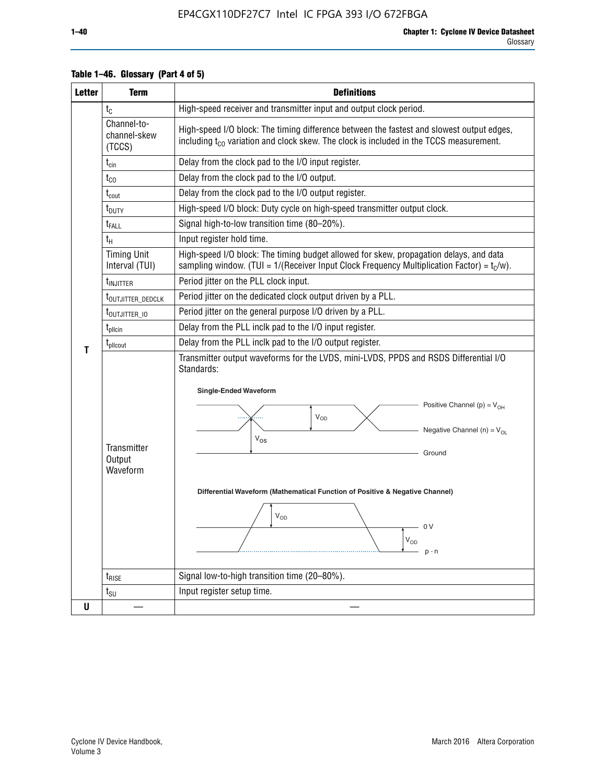| <b>Letter</b> | <b>Term</b>                           | <b>Definitions</b>                                                                                                                                                                                                                                                                                                                                                                    |  |  |  |  |  |  |  |  |
|---------------|---------------------------------------|---------------------------------------------------------------------------------------------------------------------------------------------------------------------------------------------------------------------------------------------------------------------------------------------------------------------------------------------------------------------------------------|--|--|--|--|--|--|--|--|
|               | $t_{C}$                               | High-speed receiver and transmitter input and output clock period.                                                                                                                                                                                                                                                                                                                    |  |  |  |  |  |  |  |  |
|               | Channel-to-<br>channel-skew<br>(TCCS) | High-speed I/O block: The timing difference between the fastest and slowest output edges,<br>including t <sub>co</sub> variation and clock skew. The clock is included in the TCCS measurement.                                                                                                                                                                                       |  |  |  |  |  |  |  |  |
|               | $t_{\text{cin}}$                      | Delay from the clock pad to the I/O input register.                                                                                                                                                                                                                                                                                                                                   |  |  |  |  |  |  |  |  |
|               | $t_{CO}$                              | Delay from the clock pad to the I/O output.                                                                                                                                                                                                                                                                                                                                           |  |  |  |  |  |  |  |  |
|               | $t_{\text{cout}}$                     | Delay from the clock pad to the I/O output register.                                                                                                                                                                                                                                                                                                                                  |  |  |  |  |  |  |  |  |
|               | t <sub>DUTY</sub>                     | High-speed I/O block: Duty cycle on high-speed transmitter output clock.                                                                                                                                                                                                                                                                                                              |  |  |  |  |  |  |  |  |
|               | t <sub>FALL</sub>                     | Signal high-to-low transition time (80-20%).                                                                                                                                                                                                                                                                                                                                          |  |  |  |  |  |  |  |  |
|               | $t_H$                                 | Input register hold time.                                                                                                                                                                                                                                                                                                                                                             |  |  |  |  |  |  |  |  |
|               | <b>Timing Unit</b><br>Interval (TUI)  | High-speed I/O block: The timing budget allowed for skew, propagation delays, and data<br>sampling window. (TUI = $1/($ Receiver Input Clock Frequency Multiplication Factor) = $tC/w$ ).                                                                                                                                                                                             |  |  |  |  |  |  |  |  |
|               | $t_{\text{INJITTER}}$                 | Period jitter on the PLL clock input.                                                                                                                                                                                                                                                                                                                                                 |  |  |  |  |  |  |  |  |
|               | t <sub>outjitter_dedclk</sub>         | Period jitter on the dedicated clock output driven by a PLL.                                                                                                                                                                                                                                                                                                                          |  |  |  |  |  |  |  |  |
|               | t <sub>outjitter_io</sub>             | Period jitter on the general purpose I/O driven by a PLL.                                                                                                                                                                                                                                                                                                                             |  |  |  |  |  |  |  |  |
|               | $t_{\rm plicin}$                      | Delay from the PLL inclk pad to the I/O input register.                                                                                                                                                                                                                                                                                                                               |  |  |  |  |  |  |  |  |
| т             | t <sub>plicout</sub>                  | Delay from the PLL inclk pad to the I/O output register.                                                                                                                                                                                                                                                                                                                              |  |  |  |  |  |  |  |  |
|               | Transmitter<br>Output<br>Waveform     | Transmitter output waveforms for the LVDS, mini-LVDS, PPDS and RSDS Differential I/O<br>Standards:<br><b>Single-Ended Waveform</b><br>Positive Channel (p) = $V_{OH}$<br>VOD<br>Negative Channel (n) = $V_{OL}$<br>$V_{OS}$<br>Ground<br>Differential Waveform (Mathematical Function of Positive & Negative Channel)<br>$\rm V_{OD}$<br>0 V<br>$\mathsf{V}_{\mathsf{OD}}$<br>$p - n$ |  |  |  |  |  |  |  |  |
|               | $t_{RISE}$                            | Signal low-to-high transition time (20-80%).                                                                                                                                                                                                                                                                                                                                          |  |  |  |  |  |  |  |  |
|               | $t_{\scriptstyle\text{SU}}$           | Input register setup time.                                                                                                                                                                                                                                                                                                                                                            |  |  |  |  |  |  |  |  |
| U             |                                       |                                                                                                                                                                                                                                                                                                                                                                                       |  |  |  |  |  |  |  |  |

#### **Table 1–46. Glossary (Part 4 of 5)**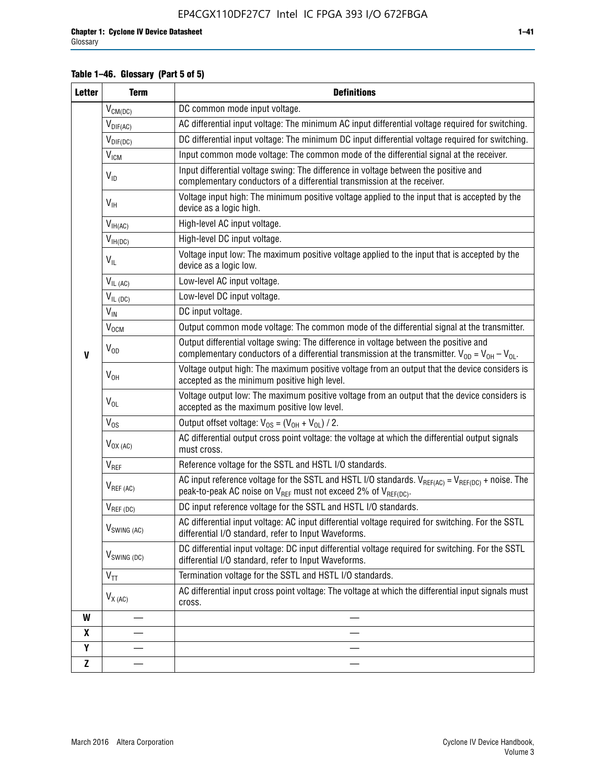#### **Table 1–46. Glossary (Part 5 of 5)**

| <b>Letter</b> | <b>Term</b>             | <b>Definitions</b>                                                                                                                                                                                |
|---------------|-------------------------|---------------------------------------------------------------------------------------------------------------------------------------------------------------------------------------------------|
|               | $V_{CM(DC)}$            | DC common mode input voltage.                                                                                                                                                                     |
|               | $V_{DIF(AC)}$           | AC differential input voltage: The minimum AC input differential voltage required for switching.                                                                                                  |
|               | $V_{DIF(DC)}$           | DC differential input voltage: The minimum DC input differential voltage required for switching.                                                                                                  |
|               | <b>V<sub>ICM</sub></b>  | Input common mode voltage: The common mode of the differential signal at the receiver.                                                                                                            |
|               | $V_{ID}$                | Input differential voltage swing: The difference in voltage between the positive and<br>complementary conductors of a differential transmission at the receiver.                                  |
|               | $V_{\text{IH}}$         | Voltage input high: The minimum positive voltage applied to the input that is accepted by the<br>device as a logic high.                                                                          |
|               | $V_{IH(AC)}$            | High-level AC input voltage.                                                                                                                                                                      |
|               | $V_{IH(DC)}$            | High-level DC input voltage.                                                                                                                                                                      |
|               | $V_{IL}$                | Voltage input low: The maximum positive voltage applied to the input that is accepted by the<br>device as a logic low.                                                                            |
|               | $V_{IL(AC)}$            | Low-level AC input voltage.                                                                                                                                                                       |
|               | $V_{IL(DC)}$            | Low-level DC input voltage.                                                                                                                                                                       |
|               | $V_{\text{IN}}$         | DC input voltage.                                                                                                                                                                                 |
|               | $\rm V_{\rm OCM}$       | Output common mode voltage: The common mode of the differential signal at the transmitter.                                                                                                        |
| $\mathbf{V}$  | $V_{OD}$                | Output differential voltage swing: The difference in voltage between the positive and<br>complementary conductors of a differential transmission at the transmitter. $V_{OD} = V_{OH} - V_{OL}$ . |
|               | $V_{OH}$                | Voltage output high: The maximum positive voltage from an output that the device considers is<br>accepted as the minimum positive high level.                                                     |
|               | $V_{OL}$                | Voltage output low: The maximum positive voltage from an output that the device considers is<br>accepted as the maximum positive low level.                                                       |
|               | $V_{OS}$                | Output offset voltage: $V_{OS} = (V_{OH} + V_{OL}) / 2$ .                                                                                                                                         |
|               | $V_{OX (AC)}$           | AC differential output cross point voltage: the voltage at which the differential output signals<br>must cross.                                                                                   |
|               | V <sub>REF</sub>        | Reference voltage for the SSTL and HSTL I/O standards.                                                                                                                                            |
|               | $V_{REF\,(AC)}$         | AC input reference voltage for the SSTL and HSTL I/O standards. $V_{REF(AC)} = V_{REF(DC)} +$ noise. The<br>peak-to-peak AC noise on $V_{REF}$ must not exceed 2% of $V_{REF(DC)}$ .              |
|               | $V_{REF(DC)}$           | DC input reference voltage for the SSTL and HSTL I/O standards.                                                                                                                                   |
|               | $V_{\text{SWING (AC)}}$ | AC differential input voltage: AC input differential voltage required for switching. For the SSTL<br>differential I/O standard, refer to Input Waveforms.                                         |
|               | $V_{SWING(DC)}$         | DC differential input voltage: DC input differential voltage required for switching. For the SSTL<br>differential I/O standard, refer to Input Waveforms.                                         |
|               | $V_{TT}$                | Termination voltage for the SSTL and HSTL I/O standards.                                                                                                                                          |
|               | $V_{X(AC)}$             | AC differential input cross point voltage: The voltage at which the differential input signals must<br>cross.                                                                                     |
| W             |                         |                                                                                                                                                                                                   |
| X             |                         |                                                                                                                                                                                                   |
| Y             |                         |                                                                                                                                                                                                   |
| $\mathbf{Z}$  |                         |                                                                                                                                                                                                   |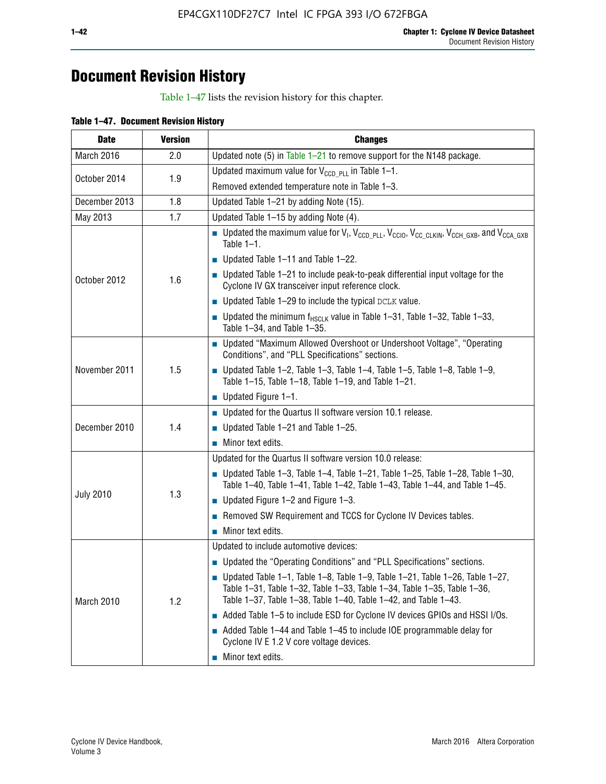## **Document Revision History**

Table 1–47 lists the revision history for this chapter.

| <b>Date</b>      | <b>Version</b> | <b>Changes</b>                                                                                                                                                                                                                            |
|------------------|----------------|-------------------------------------------------------------------------------------------------------------------------------------------------------------------------------------------------------------------------------------------|
| March 2016       | 2.0            | Updated note (5) in Table $1-21$ to remove support for the N148 package.                                                                                                                                                                  |
| October 2014     | 1.9            | Updated maximum value for $V_{CCD, PL}$ in Table 1-1.                                                                                                                                                                                     |
|                  |                | Removed extended temperature note in Table 1-3.                                                                                                                                                                                           |
| December 2013    | 1.8            | Updated Table 1-21 by adding Note (15).                                                                                                                                                                                                   |
| May 2013         | 1.7            | Updated Table 1-15 by adding Note (4).                                                                                                                                                                                                    |
| October 2012     | 1.6            | <b>D</b> Updated the maximum value for $V_1$ , $V_{CCD}$ <sub>PLL</sub> , $V_{CC10}$ , $V_{CC_1CLKIN}$ , $V_{CCH_GXB}$ , and $V_{CCA_GXB}$<br>Table $1-1$ .                                                                               |
|                  |                | $\blacksquare$ Updated Table 1-11 and Table 1-22.                                                                                                                                                                                         |
|                  |                | $\blacksquare$ Updated Table 1-21 to include peak-to-peak differential input voltage for the<br>Cyclone IV GX transceiver input reference clock.                                                                                          |
|                  |                | $\blacksquare$ Updated Table 1-29 to include the typical DCLK value.                                                                                                                                                                      |
|                  |                | <b>Updated the minimum f<sub>HSCLK</sub></b> value in Table 1-31, Table 1-32, Table 1-33,<br>Table 1-34, and Table 1-35.                                                                                                                  |
| November 2011    | 1.5            | ■ Updated "Maximum Allowed Overshoot or Undershoot Voltage", "Operating<br>Conditions", and "PLL Specifications" sections.                                                                                                                |
|                  |                | Updated Table 1-2, Table 1-3, Table 1-4, Table 1-5, Table 1-8, Table 1-9,<br>Table 1-15, Table 1-18, Table 1-19, and Table 1-21.                                                                                                          |
|                  |                | ■ Updated Figure $1-1$ .                                                                                                                                                                                                                  |
|                  | 1.4            | • Updated for the Quartus II software version 10.1 release.                                                                                                                                                                               |
| December 2010    |                | $\blacksquare$ Updated Table 1-21 and Table 1-25.                                                                                                                                                                                         |
|                  |                | $\blacksquare$ Minor text edits.                                                                                                                                                                                                          |
|                  | 1.3            | Updated for the Quartus II software version 10.0 release:                                                                                                                                                                                 |
| <b>July 2010</b> |                | Updated Table 1-3, Table 1-4, Table 1-21, Table 1-25, Table 1-28, Table 1-30,<br>Table 1-40, Table 1-41, Table 1-42, Table 1-43, Table 1-44, and Table 1-45.                                                                              |
|                  |                | ■ Updated Figure $1-2$ and Figure $1-3$ .                                                                                                                                                                                                 |
|                  |                | Removed SW Requirement and TCCS for Cyclone IV Devices tables.                                                                                                                                                                            |
|                  |                | $\blacksquare$ Minor text edits.                                                                                                                                                                                                          |
|                  | 1.2            | Updated to include automotive devices:                                                                                                                                                                                                    |
| March 2010       |                | • Updated the "Operating Conditions" and "PLL Specifications" sections.                                                                                                                                                                   |
|                  |                | $\blacksquare$ Updated Table 1-1, Table 1-8, Table 1-9, Table 1-21, Table 1-26, Table 1-27,<br>Table 1-31, Table 1-32, Table 1-33, Table 1-34, Table 1-35, Table 1-36,<br>Table 1-37, Table 1-38, Table 1-40, Table 1-42, and Table 1-43. |
|                  |                | Added Table 1-5 to include ESD for Cyclone IV devices GPIOs and HSSI I/Os.                                                                                                                                                                |
|                  |                | Added Table 1-44 and Table 1-45 to include IOE programmable delay for<br>Cyclone IV E 1.2 V core voltage devices.                                                                                                                         |
|                  |                | Minor text edits.                                                                                                                                                                                                                         |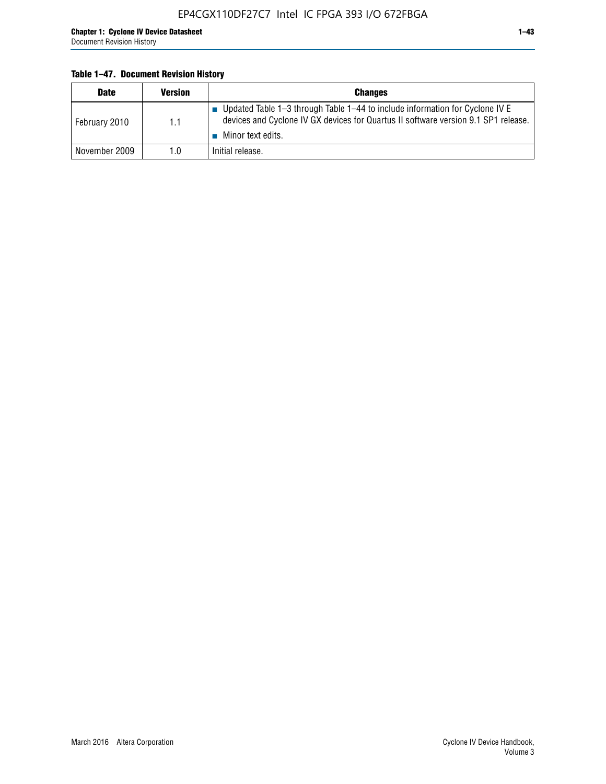#### **Table 1–47. Document Revision History**

| <b>Date</b>   | <b>Version</b> | <b>Changes</b>                                                                                                                                                                          |
|---------------|----------------|-----------------------------------------------------------------------------------------------------------------------------------------------------------------------------------------|
| February 2010 | 1.1            | Updated Table 1-3 through Table 1-44 to include information for Cyclone IV E<br>devices and Cyclone IV GX devices for Quartus II software version 9.1 SP1 release.<br>Minor text edits. |
| November 2009 | 1.0            | Initial release.                                                                                                                                                                        |